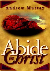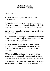#### **ABIDE IN CHRIST By Andrew Murray**

JOHN 15:1-12

1 I am the true vine, and my Father is the husbandman.

2 Every branch in me that beareth not fruit he taketh away; and every branch that beareth fruit, he purgeth it, that it may bring forth more fruit.

3 Now ye are clean through the word which I have spoken unto you.

4 Abide in me, and I in you. As the branch cannot bear fruit of itself, except it abide in the vine; no more can ye, except ye abide in me.

5 I am the vine, ye are the branches: he that abideth in me, and I in him, the same bringeth forth much fruit: for without me ye can do nothing.

6 If a man abide not in me, he is cast forth as a branch, and is withered; and men gather them, and cast them into the fire, and they are burned.

7 If ye abide in me, and my words abide in you, ye shall ask what ye will, and it shall be done unto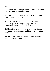you.

8 Herein is my Father glorified, that ye bear much fruit; so shall ye be my disciples.

9 As the Father hath loved me, so have I loved you: continue ye in my love.

10. If ye keep my commandments, ye shall abide in my love; even as I have kept my Father's commandments and abide in his love.

11 These things have I spoken unto you, that my joy might remain in you, and that your joy might be full.

12 This is my commandment, That ye love one another, as I have loved you.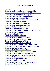#### **TABLE OF CONTENTS**

**[PREFACE](#page-4-0) [Chapter 1. All you who have come to Him](#page-8-0) [Chapter 2. And you shall find Rest to your souls](#page-14-0) [Chapter 3. Trusting Him to keep you](#page-21-0) [Chapter 4. As the Branch in the Vine](#page-28-0) [Chapter 5. As you came to Him](#page-34-0) [Chapter 6. God Himself has united you to Him](#page-43-0) [Chapter 7. As your Wisdom](#page-49-0) [Chapter 8. As your Righteousness](#page-56-0) [Chapter 9. As your Sanctification](#page-62-0) [Chapter 10. As your Redemption](#page-71-0) [Chapter 11. The Crucified One](#page-77-0) [Chapter 12. God Himself will stablish you in Him](#page-84-0)  [Chapter 13. Every Moment](#page-91-0) [Chapter 14. Day by Day](#page-98-0) [Chapter 15. At this Moment](#page-105-0) [Chapter 16. Forsaking all for Him](#page-112-0) [Chapter 17. Through the Holy Spirit](#page-119-0) [Chapter 18. In Stillness of Soul](#page-126-0) [Chapter 19. In Affliction and Trial](#page-133-0) [Chapter 2o. That you may bear much Fruit](#page-139-0) [Chapter 21. So will you have Power in Prayer](#page-146-0) [Chapter 22. And in His Love](#page-153-0) [Chapter 23. As Christ in the Father](#page-160-0) [Chapter 24. Obeying His Commandments](#page-166-0) [Chapter 25. That your joy may be full](#page-173-0) [Chapter 26. And in Love to the Brethren](#page-180-0) [Chapter 27. That you may not sin](#page-187-0) [Chapter 28. As your Strength](#page-195-0) [Chapter 29. And not in Self](#page-202-0) [Chapter 30. As the Surety of the Covenant](#page-210-0) [Chapter 31. The Glorified One](#page-217-0)**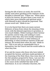#### <span id="page-4-0"></span>**PREFACE**

During the life of Jesus on earth, the word He chiefly used when speaking of the relations of the disciples to Himself was: "Follow me." When about to leave for heaven, He gave them a new word, in which their more intimate and spiritual union with Himself in glory should be expressed. That chosen word was: "Abide in me."

It is to be feared that there are many earnest followers of Jesus from whom the meaning of this word, with the blessed experience it promises, is very much hidden. While trusting in their Saviour for pardon and for help, and seeking to some extent to obey Him, they have hardly realized to what closeness of union, to what intimacy of fellowship, to what wondrous oneness of life and interest, He invited them when He said, "Abide in me." This is not only an unspeakable loss to themselves, but the Church and the world suffer in what they lose.

If we ask the reason why those who have indeed accepted the Saviour, and been made partakers of the renewing of the Holy Ghost, thus come short of the full salvation prepared for them, I am sure the answer will in very many cases be, that ignorance is the cause of the unbelief that fails of the inheritance. If, in our orthodox Churches, the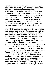abiding in Christ, the living union with Him, the experience of His daily and hourly presence and keeping, were preached with the same distinctness and urgency as His atonement and pardon through His blood, I am confident that many would be found to accept with gladness the invitation to such a life, and that its influence would be manifest in their experience of the purity and the power, the love and the joy, the fruit-bearing, and all the blessedness which the Saviour connected with the abiding in Him.

It is with the desire to help those who have not yet fully understood what the Saviour meant with His command, or who have feared that it was a life beyond their reach, that these meditations are now published. It is only by frequent repetition that a child learns its lessons. It is only by continuously fixing the mind for a time on some one of the lessons of faith, that the believer is gradually helped to take and thoroughly assimilate them. I have the hope that to some, especially young believers, it will be a help to come and for a month day after day spell over the precious words, "Abide in me," with the lessons connected with them in the parable of the Vine. Step by step we shall get to see how truly this promise-precept is meant for us, how surely grace is provided to enable us to obey it, how indispensable the experience of its blessing is to a healthy Christian life, and how unspeakable the blessings are that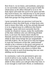flow from it. As we listen, and meditate, and pray- as we surrender ourselves, and accept in faith the whole Jesus as He offers Himself to us in it--the Holy Spirit will make the word to be spirit and life; this word of Jesus, too, will become to us the power of God unto salvation, and through it will come the faith that grasps the long desired blessing.

I pray earnestly that our gracious Lord may be pleased to bless this little book, to help those who seek to know Him fully, as He has already blessed it in its original issue in a different (the Dutch) language. I pray still more earnestly that He would, by whatever means, make the multitudes of His dear children who are still living divided lives, to see how He claims them wholly for Himself, and how the wholehearted surrender to abide in Him alone brings the joy unspeakable and full of glory. Oh, let each of us who has begun to taste the sweetness of this life, yield himself wholly to be a witness to the grace and power of our Lord to keep us united with Himself, and seek by word and walk to win others to follow Him fully. It is only in such fruit-bearing that our own abiding can be maintained.

In conclusion, I ask to be permitted to give one word of advice to my reader. It is this. It needs time to grow into Jesus the Vine: do not expect to abide in Him unless you will give Him that time. It is not enough to read God's Word, or meditations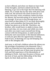as here offered, and when we think we have hold of the thoughts, and have asked God for His blessing, to go out in the hope that the blessing will abide. No, it needs day by day time with Jesus and with God. We all know the need of time for our meals each day--every workman claims his hour for dinner; the hurried eating of so much food is not enough. If we are to live through Jesus, we must feed on Him (John 6:57); we must thoroughly take in and assimilate that heavenly food the Father has given us in His life. Therefore, my brother, who would learn to abide in Jesus, take time each day, ere you read, and while you read, and after you read, to put yourself into living contact with the living Jesus, to yield yourself distinctly and consciously to His blessed influence; so will you give Him the opportunity of taking hold of you, of drawing you up and keeping you safe in His almighty life.

And now, to all God's children whom He allows me the privilege of pointing to the Heavenly Vine, I offer my fraternal love and salutations, with the prayer that to each one of them may be given the rich and full experience of the blessedness of abiding in Christ. And may the grace of Jesus, and the love of God, and the fellowship of the Holy Spirit, be their daily portion. Amen.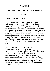### <span id="page-8-0"></span>**CHAPTER 1**

## **ALL YOU WHO HAVE COME TO HIM**

"Come unto me."--MATT.11:28

"Abide in me."--JOHN 15:4

IT IS to you who have heard and hearkened to the call, "Come unto me," that this new invitation comes, "Abide in me." The message comes from the same loving Saviour. You doubtless have never repented having come at His call. You experienced that His word was truth; all His promises He fulfilled; He made you partakers of the blessings and the joy of His love. Was not His welcome most hearty, His pardon full and free, His love most sweet and precious? You more than once, at your first coming to Him, had reason to say, "The half was not told me."

And yet you have had to complain of disappointment: as time went on, your expectations were not realized. The blessings you once enjoyed were lost; the love and joy of your first meeting with your Saviour, instead of deepening, have become faint and feeble. And often you have wondered what the reason could be, that with such a Saviour, so mighty and so loving, your experience of salvation should not have been a fuller one.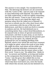The answer is very simple. You wandered from Him. The blessings He bestows are all connected with His "Come to ME," and are only to be enjoyed in close fellowship with Himself. You either did not fully understand, or did not rightly remember, that the call meant, "Come to me to stay with me." And yet this was in very deed His object and purpose when first He called you to Himself. It was not to refresh you for a few short hours after your conversion with the joy of His love and deliverance, and then to send you forth to wander in sadness and sin. He had destined you to something better than a short-lived blessedness, to be enjoyed only in times of special earnestness and prayer, and then to pass away, as you had to return to those duties in which far the greater part of life has to be spent. No, indeed; He had prepared for you an abiding dwelling with Himself, where your whole life and every moment of it might be spent, where the work of your daily life might be done, and where all the while you might be enjoying unbroken communion with Himself. It was even this He meant when to that first word, "Come to me," He added this, "Abide in me." As earnest and faithful, as loving and tender, as the compassion that breathed in that blessed "Come," was the grace that added this no less blessed "Abide." As mighty as the attraction with which that first word drew you, were the bonds with which this second, had you but listened to it,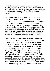would have kept you. And as great as were the blessings with which that coming was rewarded, so large, yea, and much greater, were the treasures to which that abiding would have given you access.

And observe especially, it was not that He said, "Come to me and abide with me," but, "Abide in me." The intercourse was not only to be unbroken, but most intimate and complete. He opened His arms, to press you to His bosom; He opened His heart, to welcome you there; He opened up all His divine fulness of life and love, and offered to take you up into its fellowship, to make you wholly one with Himself. There was a depth of meaning you cannot yet realize in His words: "Abide IN ME."

And with no less earnestness than He had cried, "Come to me," did He plead, had you but noticed it, "Abide in me." By every motive that had induced you to come, did He beseech you to abide. Was it the fear of sin and its curse that first drew you? the pardon you received on first coming could, with all the blessings flowing from it, only be confirmed and fully enjoyed on abiding in Him. Was it the longing to know and enjoy the Infinite Love that was calling you? the first coming gave but single drops to taste--'tis only the abiding that can really satisfy the thirsty soul, and give to drink of the rivers of pleasure that are at His right hand. Was it the weary longing to be made free from the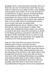bondage of sin, to become pure and holy, and so to find rest, the rest of God for the soul? this too can only be realized as you abide in Him--only abiding in Jesus gives rest in Him. Or if it was the hope of an inheritance in glory, and an everlasting home in the presence of the Infinite One: the true preparation for this,as well as its blessed foretaste in this life, are granted only to those who abide in Him. In very truth, there is nothing that moved you to come, that does not plead with thousandfold greater force: "Abide in Him." You did well to come; you do better to abide. Who would, after seeking the King's palace, be content to stand in the door, when he is invited in to dwell in the King's presence, and share with Him in all the glory of His royal life? Oh, let us enter in and abide, and enjoy to the full all the rich supply His wondrous love hath prepared for us!

And yet I fear that there are many who have indeed come to Jesus, and who yet have mournfully to confess that they know but little of this blessed abiding in Him. With some the reason is, that they never fully understood that this was the meaning of the Saviour's call. With others, that though they heard the word, they did not know that such a life of abiding fellowship was possible, and indeed within their reach. Others will say that, though they did believe that such a life was possible, and seek after it, they have never yet succeeded discovering the secret of its attainment.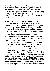And others, again, alas! will confess that it is their own unfaithfulness that has kept them from the enjoyment of the blessing. When the Saviour would have kept them, they were not found ready to stay; they were not prepared to give up everything, and always, only, wholly to abide in Jesus.

To all such I come now in the name of Jesus, their Redeemer and mine, with the blessed message: "Abide in me." In His name I invite them to come, and for a season meditate with me daily on its meaning, its lessons, its claims, and its promises. I know how many, and, to the young believer, how difficult, the questions are which suggest themselves in connection with it. There is especially the question, with its various aspects, to the possibility, in the midst of wearying work and continual distraction, of keeping up, or rather being kept in, the abiding communion. I do not undertake to remove all difficulties; this Jesus Christ Himself alone must do by His Holy Spirit. But what I would fain by the grace of God be permitted to do is, to repeat day by day the Master's blessed command, "Abide in me," until it enter the heart and find a place there, no more to be forgotten or neglected. I would fain that in the light of Holy Scripture we should Meditate on its meaning, until the understanding, that gate to the heart, opens to apprehend something of what it offers and expects. So we shall discover the means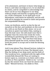of its attainment, and learn to know what keeps us from it, and what can help us to it. So we shall feel its claims, and be compelled to acknowledge that there can be no true allegiance to our King without simply and heartily accepting this one, too, of His commands. So we shall gaze on its blessedness, until desire be inflamed, and the will with all its energies be roused to claim and possess the unspeakable blessing.

Come, my brethren, and let us day by day set ourselves at His feet, and meditate on this word of His, with an eye fixed on Him alone. Let us set ourselves in quiet trust before Him, waiting to hear His holy voice--the still small voice that is mightier than the storm that rends the rocks- breathing its quickening spirit within us, as He speaks: "Abide in me." The soul that truly hears Jesus Himself speak the word, receives with the word the power to accept and to hold the blessing He offers.

And it may please Thee, blessed Saviour, indeed, to speak to us; let each of us hear Thy blessed voice. May the feeling of our deep need, and the faith of Thy wondrous love, combined with the sight of the wonderfully blessed life Thou art waiting to bestow upon us, constrain us to listen and to obey, as often as Thou speakest: "Abide in me." Let day by day the answer from our heart be clearer and fuller: "Blessed Saviour, I do abide in Thee.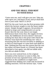## <span id="page-14-0"></span>**CHAPTER 2**

## **AND YOU SHALL FIND REST TO YOUR SOULS**

"Come unto me, and I will give you rest. Take my yoke upon you, and learn of me; and ye shall find rest to your souls -MATT.11:28-29

REST for the soul: Such was the first promise with which the Saviour sought to win the heavy-laden sinner. Simple though it appears, the promise is indeed as large and comprehensive as can be found. Rest for the soul--does it not imply deliverance from every fear, the supply of every want, the fulfillment of every desire? And now nothing less than this is the prize with which the Saviour woos back the wandering one--who is mourning that the rest has not been so abiding or so full as it had hoped--to come back and abide in Him. Nothing but this was the reason that the rest has either not been found, or, if found, has been disturbed or lost again: you did not abide with, you did not abide in Him.

Have you ever noticed how, in the original invitation of the Saviour to come to Him, the promise of rest was repeated twice, with such a variation in the conditions as might have suggested that abiding rest could only be found in abiding nearness. First the Saviour says, "Come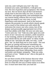unto me, and I will give you rest"; the very moment you come, and believe, I will give you rest--the rest of pardon and acceptance--the rest in my love. But we know that all that God bestows needs time to become fully our own; it must be held fast, and appropriated, and assimilated into our inmost being; without this not even Christ's giving can make it our very own, in full experience and enjoyment. And so the Saviour repeats His promise, in words which clearly speak not so much of the initial rest with which He welcomes the weary one who comes, but of the deeper and personally appropriated rest of the soul that abides with Him. He now not only says, "Come unto me," but "Take my yoke upon you and learn of me"; become my scholars, yield ourselves to my training, submit in all things to my will, let your whole life be one with mine--in other words, Abide in me. And then He adds, not only, "I will give," but "ye shall find rest to your souls." The rest He gave at coming will become something you have really found and made your very own--the deeper the abiding rest which comes from longer acquaintance and closer fellowship, from entire surrender and deeper sympathy. "Take my yoke, and learn of me," "Abide in me"--this is the path to abiding rest.

Do not these words of the Saviour discover what you have perhaps often sought in vain to know, how it is that the rest you at times enjoy is so often lost. It must have been this: you had not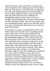understood how entire surrender to Jesus is the secret of perfect rest. Giving up one's whole life to Him, for Him alone to rule and order it; taking up His yoke, and submitting to be led and taught, to learn of Him; abiding in Him, to be and do only what He wills--these are the conditions of discipleship without which there can be no thought of maintaining the rest that was bestowed on first coming to Christ. The rest is in Christ, and not something He gives apart from Himself, and so it is only in having Him that the rest can really be kept and enjoyed.

It is because so many a young believer fails to lay hold of this truth that the rest so speedily passes away. With some it is that they really did not know; they were never taught how Jesus claims the undivided allegiance of the whole heart and life; how there is not a spot in the whole of life over which He does not wish to reign; how in the very least things His disciples must only seek to please Him. They did not know how entire the consecration was that Jesus claimed. With others, who had some idea of what a very holy life a Christian ought to lead, the mistake was a different one: they could not believe such a life to be a possible attainment. Taking, and bearing, and never for a moment laying aside the yoke of Jesus, appeared to them to require such a strain of effort, and such an amount of goodness, as to be altogether beyond their reach. The very idea of always, all the day, abiding in Jesus, was too high--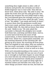something they might attain to after a life of holiness and growth, but certainly not what a feeble beginner was to start with. They did not know how, when Jesus said, "My yoke is easy," He spoke the truth; how just the yoke gives the rest, because the moment the soul yields itself to obey, the Lord Himself gives the strength and joy to do it. They did not notice how, when He said, "Learn of me," He added, "I am meek and lowly in heart," to assure them that His gentleness would meet their every need, and bear them as a mother bears her feeble child. Oh, they did not know that when He said, "Abide in me," He only asked the surrender to Himself, His almighty love would hold them fast, and keep and bless them. And so, as some had erred from the want of full consecration, so these failed because they did not fully trust. These two, consecration and faith, are the essential elements of the Christian life--the giving up all to Jesus, the receiving all from Jesus. They are implied in each other; they are united in the one word--surrender. A full surrender is to obey as well as to trust, to trust as well as to obey.

With such misunderstanding at the outset, it is no wonder that the disciple life was not one of such joy or strength as had been hoped. In some things you were led into sin without knowing it, because you had not learned how wholly Jesus wanted to rule you, and how you could not keep right for a moment unless you had Him very near you. In other things you knew what sin was, but had not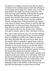the power to conquer, because you did not know or believe how entirely Jesus would take charge of you to keep and to help you. Either way, it was not long before the bright joy of your first love was lost, and your path, instead of being like the path of the just, shining more and more unto the perfect day, became like Israel's wandering in the desert--ever on the way, never very far, and yet always coming short of the promised rest. Weary soul, since so many years driven to and fro like the panting hart, O come and learn this day the lesson that there is a spot where safety and victory, where peace and rest, are always sure, and that that spot is always open to thee--the heart of Jesus.

But, alas! I hear someone say, it is just this abiding in Jesus, always bearing His yoke, to learn of Him, that is so difficult, and the very effort to attain to this often disturbs the rest even more than sin or the world. What a mistake to speak thus, and yet how often the words are heard! Does it weary the traveler to rest in the house or on the bed where he seeks repose from his fatigue? Or is it a labour to a little child to rest in its mother's arms? Is it not the house that keeps the traveler within its shelter? do not the arms of the mother sustain and keep the little one? And so it is with Jesus. The soul has but to yield itself to Him, to be still and rest in the confidence that His love has undertaken, and that His faithfulness will perform, the work of keeping it safe in the shelter of His bosom. Oh, it is because the blessing is so great that our little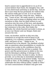hearts cannot rise to apprehend it; it is as if we cannot believe that Christ, the Almighty One, will in very deed teach and keep us all the day. And yet this is just what He has promised, for without this He cannot really give us rest. It is as our heart takes in this truth that, when He says, "Abide in me," "Learn of me," He really means it, and that it is His own work to keep us abiding when we yield ourselves to Him, that we shall venture to cast ourselves into the arms of His love, and abandon ourselves to His blessed keeping. It is not the yoke, but resistance to the yoke, that makes the difficulty; the whole-hearted surrender to Jesus, as at once our Master and our Keeper, finds and secures the rest.

Come, my brother, and let us this very day commence to accept the word of Jesus in all simplicity. It is a distinct command this: "Take my yoke, and learn of me, " "Abide in me. " A command has to be obeyed. The obedient scholar asks no questions about possibilities or results; he accepts every order in the confidence that his teacher has provided for all that is needed. The power and the perseverance to abide in the rest, and the blessing in abiding--it belongs to the Saviour to see to this; 'tis mine to obey, 'tis His to provide. Let us this day in immediate obedience accept the command, and answer boldly, "Saviour, I abide in Thee. At Thy bidding I take Thy yoke; I undertake the duty without delay; I abide in Thee." Let each consciousness of failure only give new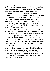urgency to the command, and teach us to listen more earnestly than ever till the Spirit again give us to hear the voice of Jesus saying, with a love and authority that inspire both hope and obedience, "Child, abide in me." That word, listened to as coming from Himself, will be an end of all doubting--a divine promise of what shall surely be granted. And with ever-increasing simplicity its meaning will be interpreted. Abiding in Jesus is nothing but the giving up of oneself to be ruled and taught and led, and so resting in the arms of Everlasting Love.

Blessed rest! the fruit and the foretaste and the fellowship of God's own rest! found of them who thus come to Jesus to abide in Him. It is the peace of God, the great calm of the eternal world, that passeth all understanding, and that keeps the heart and mind. With this grace secured, we have strength for every duty, courage for every struggle, a blessing in every cross, and the joy of life eternal in death itself.

O my Saviour! if ever my heart should doubt or fear again, as if the blessing were too great to expect, or too high to attain, let me hear Thy voice to quicken my faith and obedience: "Abide in me"; "Take my yoke upon you, and learn of me; ye shall find rest to your souls."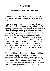#### <span id="page-21-0"></span>**CHAPTER 3**

#### **TRUSTING HIM TO KEEP YOU**

"I follow after, if that I may apprehend that for which I also am apprehended of Christ Jesus."-- PHIL.3:12

MORE than one admits that it is a sacred duty and a blessed privilege to abide in Christ, but shrinks back continually before the question: Is it possible, a life of unbroken fellowship with the Saviour? Eminent Christians, to whom special opportunities of cultivating this grace have been granted, may attain to it; for the large majority of disciples, whose life, by a divine appointment, is so fully occupied with the affairs of this life, it can scarce be expected. The more they hear of this life, the deeper their sense of its glory and blessedness, and there is nothing they would not sacrifice to be made partakers of it. But they are too weak, too unfaithful--they never can attain to it.

Dear souls! how little they know that the abiding in Christ is just meant for the weak, and so beautifully suited to their feebleness. It is not the doing of some great thing, and does not demand that we first lead a very holy and devoted life. No, it is simply weakness entrusting itself to a Mighty One to be kept--the unfaithful one casting self on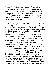One who is altogether trustworthy and true. Abiding in Him is not a work that we have to do as the condition for enjoying His salvation, but a consenting to let Him do all for us, and in us, and through us. It is a work He does for us--the fruit and the power of His redeeming love. Our part is simply to yield, to trust, and to wait for what He has engaged to perform.

It is this quiet expectation and confidence, resting on the word of Christ that in Him there is an abiding place prepared, which is so sadly wanting among Christians. They scarce take the time or the trouble to realize that when He says "Abide IN ME," He offers Himself, the Keeper of Israel that slumbers not nor sleeps, with all His power and love, as the living home of the soul, where the mighty influences of His grace will be stronger to keep than all their feebleness to lead astray. The idea they have of grace is this--that their conversion and pardon are God's work, but that now, in gratitude to God, it is their work to live as Christians, and follow Jesus. There is always the thought of a work that has to be done, and even though they pray for help, still the work is theirs. They fail continually, and become hopeless; and the despondency only increases the helplessness. No, wandering one; as it was Jesus who drew you when He spake "Come," so it is Jesus who keeps you when He says "Abide." The grace to come and the grace to abide are alike from Him alone. That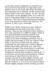word Come, heard, meditated on, accepted, was the cord of love that drew you nigh; that word Abide is even so the band with which He holds you fast and binds you to Himself. Let the soul but take time to listen to the voice of Jesus. "In me," He says, "is thy place--in my almighty arms. It is I who love thee so, who speak Abide in me; surely thou canst trust me." The voice of Jesus entering and dwelling in the soul cannot but call for the response: "Yes, Saviour, in Thee I can, I will abide."

Abide in me: These words are no law of Moses, demanding from the sinful what they cannot perform. They are the command of love, which is ever only a promise in a different shape. Think of this until all feeling of burden and fear and despair pass away, and the first thought that comes as you hear of abiding in Jesus be one of bright and joyous hope: it is for me, I know I shall enjoy it. You are not under the law, with its inexorable Do, but under grace, with its blessed Believe what Christ will do for you. And if the question be asked, "But surely there is something for us to do?" the answer is, "Our doing and working are but the fruit of Christ's work in us." It is when the soul becomes utterly passive, looking and resting on what Christ is to do, that its energies are stirred to their highest activity, and that we work most effectually because we know that He works in us. It is as we see in that word IN ME the mighty energies of love reaching out after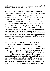us to have us and to hold us, that all the strength of our will is roused to abide in Him.

This connection between Christ's work and our work is beautifully expressed in the words of Paul: "I follow after, if that I may apprehend that whereunto I also am apprehended of Christ Jesus." It was because he knew that the mighty and the faithful One had grasped him with the glorious purpose of making him one with Himself, that he did his utmost to grasp the glorious prize. The faith, the experience, the full assurance, "Christ hath apprehended me," gave him the courage and the strength to press on and apprehend that whereunto he was apprehended. Each new insight of the great end for which Christ had apprehended and was holding him, roused him afresh to aim at nothing less.

Paul's expression, and its application to the Christian life, can be best understood if we think of a father helping his child to mount the side of some steep precipice. The father stands above, and has taken the son by the hand to help him on. He points him to the spot on which he will help him to plant his feet, as he leaps upward. The leap would be too high and dangerous for the child alone; but the father's hand is his trust, and he leaps to get hold of the point for which his father has taken hold of him. It is the father's strength that secures him and lifts him up, and so urges him to use his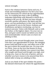utmost strength.

Such is the relation between Christ and you, O weak and trembling believer! Fix first your eyes on the whereunto for which He has apprehended you. It is nothing less than a life of abiding, unbroken fellowship with Himself to which He is seeking to lift you up. All that you have already received--pardon and peace, the Spirit and His grace--are but preliminary to this. And all that you see promised to you in the future--holiness and fruitfulness and glory everlasting--are but its natural outcome. Union with Himself, and so with the Father, is His highest object. Fix your eye on this, and gaze until it stand out before you clear and unmistakeable: Christ's aim is to have me abiding in Him.

And then let the second thought enter your heart: Unto this I am apprehended of Christ. His almighty power hath laid hold on me, and offers now to lift me up to where He would have me. Fix your eyes on Christ. Gaze on the love that beams in those eyes, and that asks whether you cannot trust Him, who sought and found and brought you nigh, now to keep you. Gaze on that arm of power, and say whether you have reason to be assured that He is indeed able to keep you abiding in Him.

And as you think of the spot whither He points- the blessed whereunto for which He apprehended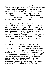you--and keep your gaze fixed on Himself, holding you and waiting to lift you up, O say, could you not this very day take the upward step, and rise to enter upon this blessed life of abiding in Christ? Yes, begin at once, and say, "O my Jesus, if Thou biddest me, and if Thou engagest to lift and keep me there, I will venture. Trembling, but trusting, I will say: Jesus, I do abide in Thee. "

My beloved fellow-believer, go, and take time alone with Jesus, and say this to Him. I dare not speak to you about abiding in Him for the mere sake of calling forth a pleasing religious sentiment. God's truth must at once be acted on. O yield yourself this very day to the blessed Saviour in the surrender of the one thing He asks of you: give up yourself to abide in Him. He Himself will work it in you. You can trust Him to keep you trusting and abiding.

And if ever doubts again arise, or the bitter experience of failure tempt you to despair, just remember where Paul found His strength: "I am apprehended of Jesus Christ." In that assurance you have a fountain of strength. From that you can look up to the whereunto on which He has set His heart, and set yours there too. From that you gather confidence that the good work He hath begun He will also perform. And in that confidence you will gather courage, day by day, afresh to say, " `I follow on, that I may also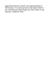apprehend that for which I am apprehended of Christ Jesus.' It is because Jesus has taken hold of me, and because Jesus keeps me, that I dare to say: Saviour, I abide in Thee. "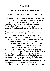## <span id="page-28-0"></span>**CHAPTER 4**

## **AS THE BRANCH IN THE VINE**

"I am the vine, ye are the branches."-JOHN 15:5

IT WAS in connection with the parable of the Vine that our Lord first used the expression, "Abide in me." That parable, so simple, and yet so rich in its teaching, gives us the best and most complete illustration of the meaning of our Lord's command, and the union to which He invites us.

The parable teaches us the nature of that union. The connection between the vine and the branch is a living one. No external, temporary union will suffice; no work of man can effect it: the branch, whether an original or an engrafted one, is such only by the Creator's own work, in virtue of which the life, the sap, the fatness, and the fruitfulness of the vine communicate themselves to the branch. And just so it is with the believer too. His union with his Lord is no work of human wisdom or human will, but an act of God, by which the closest and most complete life-union is effected between the Son of God and the sinner. "God hath sent forth the Spirit of His Son into your hearts." The same Spirit which dwelt and still dwells in the Son, becomes the life of the believer; in the unity of that one Spirit, and the fellowship of the same life which is in Christ, he is one with Him. As between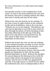the vine and branch, it is a life-union that makes them one.

The parable teaches us the completeness of the union. So close is the union between the vine and the branch, that each is nothing without the other, that each is wholly and only for the other.

Without the vine the branch can do nothing. To the vine it owes its right of place in the vineyard, its life and its fruitfulness. And so the Lord says, "Without me ye can do nothing." The believer can each day be pleasing to God only in that which he does through the power of Christ dwelling in him. The daily inflowing of the life-sap of the Holy Spirit is his only power to bring forth fruit. He lives alone in Him and is for each moment dependent on Him alone.

Without the branch the vine can also do nothing. A vine without branches can bear no fruit. No less indispensable than the vine to the branch, is the branch to the vine. Such is the wonderful condescension of the grace of Jesus, that just as His people are dependent on Him, He has made Himself dependent on them. Without His disciples He cannot dispense His blessing to the world; He cannot offer sinners the grapes of the heavenly Canaan. Marvel not! It is His own appointment; and this is the high honour to which He has called His redeemed ones, that as indispensable as He is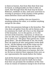to them in heaven, that from Him their fruit may be found, so indispensable are they to Him on earth, that through them His fruit may be found. Believers, meditate on this, until your soul bows to worship in presence of the mystery of the perfect union between Christ and the believer.

There is more: as neither vine nor branch is anything without the other, so is neither anything except for the other.

All the vine possesses belongs to the branches. The vine does not gather from the soil its fatness and its sweetness for itself--all it has is at the disposal of the branches. As it is the parent, so it is the servant of the branches. And Jesus, to whom we owe our life, how completely does He give Himself for us and to us: "The glory Thou gavest me, I have given them"; "He that believeth in me, the works that I do shall he do also; and greater works shall he do." All His fullness and all His riches are for thee, O believer; for the vine does not live for itself, keeps nothing for itself, but exists only for the branches. All that Jesus is in heaven, He is for us: He has no interest there separate from ours; as our representative He stands before the Father.

And all the branch possesses belongs to the vine. The branch does not exist for itself, but to bear fruit that can proclaim the excellence of the vine: it has no reason of existence except to be of service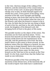to the vine. Glorious image of the calling of the believer, and the entireness of his consecration to the service of his Lord. As Jesus gives Himself so wholly over to him, he feels himself urged to be wholly his Lord's. Every power of his being, every moment of his life, every thought and feeling, belong to Jesus, that from Him and for Him he may bring forth fruit. As he realizes what the vine is to the branch, and what the branch is meant to be to the vine, he feels that he has but one thing to think of and to live for, and that is, the will, the glory, the work, the kingdom of his blessed Lord--the bringing forth of fruit to the glory of His name.

The parable teaches us the object of the union. The branches are for fruit and fruit alone. "Every branch that beareth not fruit He taketh away." The branch needs leaves for the maintenance of its own life, and the perfection of its fruit: the fruit itself it bears to give away to those around. As the believer enters into his calling as a branch, he sees that he has to forget himself, and to live entirely for his fellowmen. To love them, to seek for them, and to save them, Jesus came: for this every branch on the Vine has to live as much as the Vine itself. It is for fruit, much fruit, that the Father has made us one with Jesus.

Wondrous parable of the Vine-unveiling the mysteries of the Divine love, of the heavenly life, of the world of Spirit--how little have I understood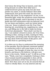thee! Jesus the living Vine in heaven, and I the living branch on earth! How little have I understood how great my need, but also how perfect my claim, to all His fullness! How little understood, how great His need, but also how perfect His claim, to my emptiness! Let me, in its beautiful light, study the wondrous union between Jesus and His people, until it becomes to me the guide into full communion with my beloved Lord. Let me listen and believe, until my whole being cries out, "Jesus is indeed to me the True Vine, bearing me, nourishing me, supplying me, using me, and filling me to the full to make me bring forth fruit abundantly." Then shall I not fear to say, "I am indeed a branch to Jesus, the True Vine, abiding in Him, resting on Him, waiting for Him, serving Him, and living only that through me, too, He may show forth the riches of His grace, and give His fruit to a perishing world."

It is when we try thus to understand the meaning of the parable, that the blessed command spoken in connection with it will come home to us in its true power. The thought of what the vine is to the branch, and Jesus to the believer, will give new force to the words, "Abide in me!" It will be as if He says, "Think, soul, how completely I belong to thee. I have joined myself inseparably to thee; all the fulness and fatness of the Vine are thine in very deed. Now thou once art in me, be assured that all I have is wholly thine. It is my interest and my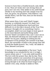honour to have thee a fruitful branch; only Abide in me. Thou art weak, but I am strong; thou art poor, but I am rich. Only abide in me; yield thyself wholly to my teaching and rule; simply trust my love, my grace, my promises. Only believe; I am wholly thine; I am the Vine, thou art the branch. Abide in me."

What sayest thou, 0 my soul? Shall I longer hesitate, or withhold consent? Or shall I not, instead of only thinking how hard and how difficult it is to live like a branch of the True Vine, because I thought of it as something I had to accomplish--shall I not now begin to look upon it as the most blessed and joyful thing under heaven? Shall I not believe that, now I once am in Him, He Himself will keep me and enable me to abide? On my part, abiding is nothing but the acceptance of my position, the consent to be kept there, the surrender of faith to the strong Vine still to hold the feeble branch. Yes, I will, I do abide in Thee, blessed Lord Jesus.

O Saviour, how unspeakable is Thy love! "Such knowledge is too wonderful for me: it is high, I cannot attain unto it." I can only yield myself to Thy love with the prayer that, day by day, Thou wouldest unfold to me somewhat of its precious mysteries, and so encourage and strengthen Thy loving disciple to do what his heart longs to do indeed--ever, only, wholly to abide in Thee.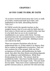# <span id="page-34-0"></span>**CHAPTER 5**

## **AS YOU CAME TO HIM, BY FAITH**

"As ye have received Christ Jesus the Lord, so walk ye in Him: rooted and built up in Him, and stablished in the faith, abounding therein. "COL.2:6-7

IN THESE words the apostle teaches us the weighty lesson, that it is not only by faith that we first come to Christ and are united to Him, but that it is by faith that we are to be rooted and established in our union with Christ. Not less essential than for the commencement, is faith for the progress of the spiritual life. Abiding in Jesus can only be by faith.

There are earnest Christians who do not understand this; or, if they admit it in theory, they fail to realize its application in practice. They are very zealous for a free gospel, with our first acceptance of Christ, and justification by faith alone. But after this they think everything depends on our diligence and faithfulness. While they firmly grasp the truth, "The sinner shall be justified by faith," they have hardly found a place in their scheme for the larger truth, "The just shall live by faith." They have never understood what a perfect Saviour Jesus is, and how He will each day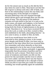do for the sinner just as much as He did the first day when he came to Him. They know not that the life of grace is always and only a life of faith, and that in the relationship to Jesus the one daily and unceasing duty of the disciple is to believe, because believing is the one channel through which divine grace and strength flow out into the heart of man. The old nature of the believer remains evil and sinful to the last; it is only as he daily comes, all empty and helpless, to his Saviour to receive of His life and strength, that he can bring forth the fruits of righteousness to the glory of God. Therefore it is: "As ye have received Christ Jesus the Lord, so walk ye in Him: rooted in Him, and stablished in the faith, abounding therein." As you came to Jesus, so abide in Him, by faith.

And if you would know how faith is to be exercised in thus abiding in Jesus, to be rooted more deeply and firmly in Him, you have only to look back to the time when first you received Him. You remember well what obstacles at that time there appeared to be in the way of your believing. There was first your vileness and guilt: it appeared impossible that the promise of pardon and love could be for such a sinner. Then there was the sense of weakness and death: you felt not the power for the surrender and the trust to which you were called. And then there was the future: you dared not undertake to be a disciple of Jesus while you felt so sure that you could not remain standing, but would speedily again be unfaithful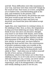and fall. These difficulties were like mountains in your way. And how were they removed? Simply by the word of God. That word, as it were, compelled you to believe that, notwithstanding guilt in the past, and weakness in the present, and unfaithfulness in the future, the promise was sure that Jesus would accept and save you. On that word you ventured to come, and were not deceived: you found that Jesus did indeed accept and save.

Apply this, your experience in coming to Jesus, to the abiding in Him. Now, as then, the temptations to keep you from believing are many. When you think of your sins since you became a disciple, your heart is cast down with shame, and it looks as if it were too much to expect that Jesus should indeed receive you into perfect intimacy and the full enjoyment of His holy love. When you think how utterly, in times past, you have failed in keeping the most sacred vows, the consciousness of present weakness makes you tremble at the very idea of answering the Saviour's command with the promise, "Lord, from henceforth I will abide in Thee. " And when you set before yourself the life of love and joy, of holiness and fruitfulness, which in the future are to flow from abiding in Him, it is as if it only serves to make you still more hopeless: you, at least, can never attain to it. You know yourself too well. It is no use expecting it, only to be disappointed; a life fully and wholly abiding in Jesus is not for you.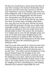Oh that you would learn a lesson from the time of your first coming to the Saviour! Remember, dear soul, how you then were led, contrary to all that your experience, and your feelings, and even your sober judgment said, to take Jesus at His word, and how you were not disappointed. He did receive you, and pardon you; He did love you, and save you--you know it. And if He did this for you when you were an enemy and a stranger, what think you, now that you are His own, will He not much more fulfil His promise? Oh that you would come and begin simply to listen to His word, and to ask only the one question: Does He really mean that I should abide in Him? The answer His word gives is so simple and so sure: By His almighty grace you now are in Him; that same almighty grace will indeed enable you to abide in Him. By faith you became partakers of the initial grace; by that same faith you can enjoy the continuous grace of abiding in Him.

And if you ask what exactly it is that you now have to believe that you may abide in Him, the answer is not difficult. Believe first of all what He says: "I am the Vine." The safety and the fruitfulness of the branch depend upon the strength of the vine. Think not so much of yourself as a branch, nor of the abiding as your duty, until you have first had your soul filled with the faith of what Christ as the Vine is. He really will be to you all that a vine can be--holding you fast, nourishing you, and making Himself every moment responsible for your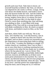growth and your fruit. Take time to know, set yourself heartily to believe: My Vine, on whom I can depend for all I need, is Christ. A large, strong vine bears the feeble branch, and holds it more than the branch holds the vine. Ask the Father by the Holy Ghost to reveal to you what a glorious, loving, mighty Christ this is, in whom you have your place and your life; it is the faith in what Christ is, more than anything else, that will keep you abiding in Him. A soul filled with large thoughts of the Vine will be a strong branch, and will abide confidently in Him. Be much occupied with Jesus, and believe much in Him, as the True Vine.

And then, when Faith can well say, "He is my Vine," let it further say, "I am His branch, I am in Him." I speak to those who say they are Christ's disciples, and on them I cannot too earnestly press the importance of exercising their faith in saying, "I am in Him." It makes the abiding so simple. If I realize clearly as I meditate: Now I am in Him, I see at once that there is nothing wanting but just my consent to be what He has made me, to remain where He has placed me. I am in Christ: This simple thought, carefully, prayerfully, believingly uttered, removes all difficulty as if there were some great attainment to be reached. No, I am in Christ, my blessed Saviour. His love has prepared a home for me with Himself, when He says, "Abide in my love"; and His power has undertaken to keep the door, and to keep me in, if I will but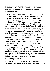consent. I am in Christ: I have now but to say, "Saviour, I bless Thee for this wondrous grace. I consent; I yield myself to Thy gracious keeping; I do abide in Thee."

It is astonishing how such a faith will work out all that is further implied in abiding in Christ. There is in the Christian life great need of watchfulness and of prayer, of self-denial and of striving, of obedience and of diligence. But "all things are possible to him that believeth." "This is the victory that overcometh, even our faith." It is the faith that continually closes its eyes to the weakness of the creature, and finds its joy in the sufficiency of an Almighty Saviour, that makes the soul strong and glad. It gives itself up to be led by the Holy Spirit into an ever deeper appreciation of that wonderful Saviour whom God hath given us--the Infinite Immanuel. It follows the leading of the Spirit from page to page of the blessed Word, with the one desire to take each revelation of what Jesus is and what He promises as its nourishment and its life. In accordance with the promise, "If that which ye have heard from the beginning abide in you, ye shall also abide in the Father and the Son," it lives by every word that proceedeth out of the mouth of God. And so it makes the soul strong with the strength of God, to be and to do all that is needed for abiding in Christ.

Believer, you would abide in Christ: only believe. Believe always; believe now. Bow even now before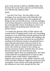your Lord, and say to Him in childlike faith, that because He is your Vine, and you are His branch, you will this day abide in Him.

#### NOTE

" `I am the True Vine.' He who offers us the privilege of an actual union with Himself is the great I AM, the almighty God, who upholds all things by the word of His power. And this almighty God reveals Himself as our perfect Saviour, even to the unimaginable extent of seeking to renew our fallen natures by grafting them into His own Divine nature.

"To realize the glorious Deity of Him whose call sounds forth to longing hearts with such exceeding sweetness, is no small step towards gaining the full privilege to which we are invited. But longing is by itself of no use; still less can there be any profit in reading of the blessed results to be gained from a close and personal union with our Lord, if we believe that union to be practically beyond our reach. His words are meant to be a living, an eternal, precious reality. And this they can never become unless we are sure that we may reasonably expect their accomplishment. But what could make the accomplishment of such an idea possible--what could make it reasonable to suppose that we poor, weak, selfish creatures, full of sin and full of failures, might be saved out of the corruption of our nature and made partakers of the holiness of our Lord--except the fact, the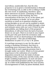marvellous, unalterable fact, that He who proposes to us so great a transformation is Himself the everlasting God, as able as He is willing to fulfil His own word. In meditating, therefore, upon these utterances of Christ, containing as they do the very essence of His teaching, the very concentration of His love, let us, at the outset, put away all tendency to doubt. Let us not allow ourselves so much as to question whether such erring disciples as we are can be enabled to attain the holiness to which we are called through a close and intimate union with our Lord. If there be any impossibility, any falling short of the proposed blessedness, it will arise from the lack of earnest desire on our part. There is no lack in any respect on His part who puts forth the invitation; with GOD there can be no shortcoming in the fulfilment of His promise."--The Life of Fellowship; Meditations on John 15:1,11 by A. M. James.

It is perhaps necessary to say, for the sake of young or doubting Christians, that there is something more necessary than the effort to exercise faith in each separate promise that is brought under our notice. What is of even greater importance is the cultivation of a trustful disposition towards God, the habit of always thinking of Him, of His ways and His works, with bright confiding hopefulness. In such soil alone can the individual promises strike root and grow up. In a little work published by the Tract Society, Encouragements to Faith, by James Kimball, there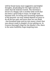will be found many most suggestive and helpful thoughts, all pleading for the right God has to claim that He shall be trusted. The Christian's Secret of a Happy Life is another little work that has been a great help to many. Its bright and buoyant tone, its loving and unceasing repetition of the keynote--we may indeed depend on Jesus to do all He has said, and more than we can think --has breathed hope and joy into many a heart that was almost ready to despair of ever getting on. In Frances Havergal's Kept for the Master's Use, there is the same healthful, hope-inspiring tone.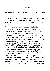# **CHAPTER 6**

### **GOD HIMSELF HAS UNITED YOU TO HIM**

"OF GOD ARE YE IN CHRIST JESUS, who was made unto us wisdom from God, both righteousness and sanctification, and redemption."--I COR.1:30 (R.V. marg.).

"My Father is the husbandman."--JOHN 15:1

"Ye ARE in Christ Jesus." The believers at Corinth were still feeble and carnal, only babes in Christ. And yet Paul wants them, at the outset of his teaching, to know distinctly that they are in Christ Jesus. The whole Christian life depends on the clear consciousness of our position in Christ. Most essential to the abiding in Christ is the daily renewal of our faith's assurance, "I am in Christ Jesus." All fruitful preaching to believers must take this as its starting point: "Ye are in Christ Jesus."

But the apostle has an additional thought, of almost greater importance: "OF GOD are ye in Christ Jesus." He would have us not only remember our union to Christ, but specially that it is not our own doing, but the work of God Himself. As the Holy Spirit teaches us to realize this, we shall see what a source of assurance and strength it must become to us. If it is of God alone that I am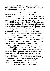in Christ, then God Himself, the Infinite One, becomes my security for all I can need or wish in seeking to abide in Christ.

Let me try to understand what it means, this wonderful "OF GOD in Christ." In becoming partakers of the union with Christ, there is a work God does and a work we have to do. God does His work by moving us to do our work. The work of God is hidden and silent; what we do is something distinct and tangible. Conversion and faith, prayer and obedience, are conscious acts of which we can give a clear account; while the spiritual quickening and strengthening that come from above are secret and beyond the reach of human sight. And so it comes that when the believer tries to say, "I am in Christ Jesus," he looks more to the work he did, than to that wondrous secret work of God by which he was united to Christ. Nor can it well be otherwise at the commencement of the Christian course. "I know that I have believed," is a valid testimony. But it is of great consequence that the mind should be led to see that at the back of our turning, and believing, and accepting of Christ, there was God's almighty power doing its work- inspiring our will, taking possession of us, and carrying out its own purpose of love in planting us into Christ Jesus. As the believer enters into this, the divine side of the work of salvation, he will learn to praise and to worship with new exultation, and to rejoice more than ever in the divineness of that salvation he has been made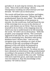partaker of. At each step he reviews, the song will come, "This is the Lord's doing"--Divine Omnipotence working out what Eternal Love had devised. "OF GOD I am in Christ Jesus."

The words will lead him even further and higher, even to the depths of eternity. "Whom He hath predestinated, them He also called." The calling in time is the manifestation of the purpose in eternity. Ere the world was, God had fixed the eye of His sovereign love on you in the election of grace, and chosen you in Christ. That you know yourself to be in Christ, is the stepping-stone by which you rise to understand in its full meaning the word, "OF GOD I am in Christ Jesus." With the prophet, your language will be, "The Lord hath appeared of old unto me: yea, I have loved thee with an everlasting love, therefore with lovingkindness have I drawn thee." And you will recognise your own salvation as a part of that "mystery of His will, according to the good pleasure of His will which He purposed in Himself," and join with the whole body of believers in Christ as these say, "In whom we also have obtained an inheritance, being predestinated according to the purpose of Him who worketh all things after the counsel of His own will." Nothing will more exalt free grace, and make man bow very low before it, than this knowledge of the mystery "OF GOD in Christ."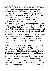It is easy to see what a mighty influence it must exert on the believer who seeks to abide in Christ. What a sure standing-ground it gives him, as he rests his right to Christ and all His fulness on nothing less than the Father's own purpose and work! We have thought of Christ as the Vine, and the believer as the branch; let us not forget that other precious word, "My Father is the husbandman." The Saviour said, "Every plant which my heavenly Father hath not planted, shall be rooted up"; but every branch grafted by Him in the True Vine, shall never be plucked out of His hand. As it was the Father to whom Christ owed all He was, and in whom He had all His strength and His life as the Vine, so to the Father the believer owes his place and his security in Christ. The same love and delight with which the Father watched over the beloved Son Himself, watch over every member of His body, every one who is in Christ Jesus.

What confident trust this faith inspires--not only as to the being kept in safety to the end, but specially as to the being able to fulfil in every point the object for which I have been united to Christ. The branch is as much in the charge and keeping of the husbandman as the vine; his honour as much concerned in the wellbeing and growth of the branch as of the vine. The God who chose Christ to be Vine fitted Him thoroughly for the work He had as Vine to perform. The God who has chosen me and planted me in Christ, has thereby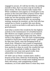engaged to secure, if I will but let Him, by yielding myself to Him, that I in every way be worthy of Jesus Christ. Oh that I did but fully realize this! What confidence and urgency it would give to my prayer to the God and Father of Jesus Christ! How it would quicken the sense of dependence, and make me see that praying without ceasing is indeed the one need of my life--an unceasing waiting, moment by moment, on the God who has united me to Christ, to perfect His own divine work, to work in me both to will and to do of His good pleasure.

And what a motive this would be for the highest activity in the maintenance of a fruitful branchlife! Motives are mighty powers; it is of infinite importance to have them high and clear. Here surely is the highest: "You are God's workmanship, created in Christ Jesus unto good works": grafted by Him into Christ, unto the bringing forth of much fruit. Whatever God creates is exquisitely suited to its end. He created the sun to give light: how perfectly it does its work! He created the eye to see: how beautifully it fulfils its object! He created the new man unto good works: how admirably it is fitted for its purpose.

OF GOD I am in Christ: created anew, made a branch of the Vine, fitted for fruit-bearing. Would to God that believers would cease looking most at their old nature, and complaining of their weakness, as if God called them to what they were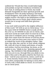unfitted for! Would that they would believingly and joyfully accept the wondrous revelation of how God, in uniting them to Christ, has made Himself chargeable for their spiritual growth and fruitfulness! How all sickly hesitancy and sloth would disappear, and under the influence of this mighty motive--the faith in the faithfulness of Him of whom they are in Christ--their whole nature would rise to accept and fulfil their glorious destiny!

O my soul! yield yourself to the mighty influence of this word: "OF GOD ye are in Christ Jesus." It is the same GOD OF WHOM Christ is made all that He is for us, OF WHOM we also are in Christ, and will most surely be made what we must be to Him. Take time to meditate and to worship, until the light that comes from the throne of God has shone into you, and you have seen your union to Christ as indeed the work of His almighty Father. Take time, day after day, and let, in your whole religious life, with all it has of claims and duties, of needs and wishes, God be everything. See Jesus, as He speaks to you, "Abide in me," pointing upward and saying, "My FATHER IS THE HUSBANDMAN. Of Him you are in me, through Him you abide in me, and to Him and to His glory shall be the fruit you bear." And let your answer be, Amen, Lord! So be it. From eternity Christ and I were ordained for each other; inseparably we belong to each other: it is God's will; I shall abide in Christ. It is of God I am in Christ Jesus.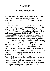#### **CHAPTER 7**

### **AS YOUR WISDOM**

"Of God are ye in Christ Jesus, who was made unto us WISDOM from God, both righteousness and sanctification, and redemption."--I COR. 1:30 (R.V. marg.).

JESUS CHRIST is not only Priest to purchase, and King to secure, but also Prophet to reveal to us the salvation which God hath prepared for them that love Him. Just as at the creation the light was first called into existence, that in it all God's other works might have their life and beauty, so in our text wisdom is mentioned first as the treasury in which are to be found the three precious gifts that follow. The life is the light of man; it is in revealing to us, and making us behold the glory of God in His own face, that Christ makes us partakers of eternal life. It was by the tree of knowledge that sin came; it is through the knowledge that Christ gives that salvation comes. He is made of God unto us wisdom. In Him are hid all the treasures of wisdom and knowledge.

And of God you are in Him, and have but to abide in Him, to be made partaker of these treasures of wisdom. In Him you are, and in Him the wisdom is; dwelling in Him, you dwell in the very fountain of all light; abiding in Him, you have Christ the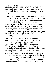wisdom of God leading your whole spiritual life, and ready to communicate, in the form of knowledge, just as much as is needful for you to know. Christ is made unto us wisdom: you are in Christ.

It is this connection between what Christ has been made of God to us, and how we have it only as also being in Him, that we must learn to understand better. We shall thus see that the blessings prepared for us in Christ cannot be obtained as special gifts in answer to prayer apart from the abiding in Him. The answer to each prayer must come in the closer union and the deeper abiding in Him; in Him, the unspeakable gift, all other gifts are treasured up, the gift of wisdom and knowledge too.

How often have you longed for wisdom and spiritual understanding that you might know God better, whom to know is life eternal! Abide in Jesus: your life in Him will lead you to that fellowship with God in which the only true knowledge of God is to be had. His love, His power, His infinite glory will, as you abide in Jesus, be so revealed as it hath not entered into the heart of man to conceive. You may not be able to grasp it with the understanding, or to express it in words; but the knowledge which is deeper than thoughts or words will be given--the knowing of God which comes of being known of Him. "We preach Christ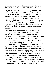crucified unto them which are called, Christ the power of God, and the wisdom of God."

Or you would fain count all things but loss for the excellency of the knowledge of Jesus Christ your Lord. Abide in Jesus, and be found in Him. You shall know Him in the power of His resurrection and the fellowship of His sufferings. Following Him, you shall not walk in darkness, but have the light of life. It is only when God shines into the heart, and Christ Jesus dwells there, that the light of the knowledge of God in the face of Christ can be seen.

Or would you understand his blessed work, as He wrought it on earth, or works it from heaven by His Spirit? Would you know how Christ can become our righteousness, and our sanctification, and redemption? It is just as bringing, and revealing, and communicating these that He is made unto us wisdom from God. There are a thousand questions that at times come up, and the attempt to answer them becomes a weariness and a burden. It is because you have forgotten you are in Christ, whom God has made to be your wisdom. Let it be your first care to abide in Him in undivided fervent devotion of heart; when the heart and the life are right, rooted in Christ, knowledge will come in such measure as Christ's own wisdom sees meet. And without such abiding in Christ the knowledge does not really profit, but is often most hurtful. The soul satisfies itself with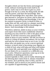thoughts which are but the forms and images of truth, without receiving the truth itself in its power. God's way is ever first to give us, even though it be but as a seed, the thing itself, the life and the power, and then the knowledge. Man seeks the knowledge first, and often, alas! never gets beyond it. God gives us Christ, and in Him hid the treasures of wisdom and knowledge. O let us be content to possess Christ, to dwell in Him, to make Him our life, and only in a deeper searching into Him, to search and find the knowledge we desire. Such knowledge is life indeed.

Therefore, believer, abide in Jesus as your wisdom, and expect from Him most confidently whatever teaching you may need for a life to the glory of the Father. In all that concerns your spiritual life, abide in Jesus as your wisdom. The life you have in Christ is a thing of infinite sacredness, far too high and holy for you to know how to act it out. It is He alone who can guide you, as by a secret spiritual instinct, to know what is becoming your dignity as a child of God, what will help and what will hinder your inner life, and specially your abiding in Him. Do not think of it as a mystery or a difficulty you must solve. Whatever questions come up as to the possibility of abiding perfectly and uninterruptedly in Him, and of really obtaining all the blessing that comes from it, always remember: He knows, all is perfectly clear to Him, and He is my wisdom. Just as much as you need to know and are capable of apprehending, will be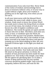communicated, if you only trust Him. Never think of the riches of wisdom and knowledge hid in Jesus as treasures without a key, or of your way as a path without a light. Jesus your wisdom is guiding you in the right way, even when you do not see it.

In all your intercourse with the blessed Word, remember the same truth: abide in Jesus, your wisdom. Study much to know the written Word; but study more to know the living Word, in whom you are of God. Jesus, the wisdom of God, is only known by a life of implicit confidence and obedience. The words He speaks are spirit and life to those who live in Him. Therefore, each time you read, or hear, or meditate upon the Word, be careful to take up your true position. Realize first your oneness with Him who is the wisdom of God; know yourself to be under His direct and special training; go to the Word abiding in Him, the very fountain of divine light--in His light you shall see light.

In all your daily life, its ways and its work, abide in Jesus as your wisdom. Your body and your daily life share in the great salvation: in Christ, the wisdom of God, provision has been made for their guidance too. Your body is His temple, your daily life the sphere for glorifying Him: it is to Him a matter of deep interest that all your earthly concerns should be guided aright. Only trust His sympathy, believe His love, and wait for His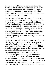guidance--it will be given. Abiding in Him, the mind will be calmed and freed from passion, the judgment cleared and strengthened, the light of heaven will shine on earthly things, and your prayer for wisdom, like Solomon's, will be fulfilled above what you ask or think.

And so, especially in any work you do for God, abide in Jesus as your wisdom. "We are created in Christ Jesus unto good works, which God hath before ordained that we should walk in them"; let all fear or doubt lest we should not know exactly what these works are, be put far away. In Christ we are created for them: He will show us what they are, and how to do them. Cultivate the habit of rejoicing in the assurance that the divine wisdom is guiding you, even where you do not yet see the way.

All that you can wish to know is perfectly clear to Him. As Man, as Mediator, He has access to the counsels of Deity, to the secrets of Providence, in your interest, and on your behalf. If you will but trust Him fully, and abide in Him entirely, you can be confident of having unerring guidance.

Yes, abide in Jesus as your wisdom. Seek to maintain the spirit of waiting and dependence, that always seeks to learn, and will not move but as the heavenly light leads on. Withdraw yourself from all needless distraction, close your ears to the voices of the world, and be as a docile learner, ever listening for the heavenly wisdom the Master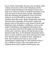has to teach. Surrender all your own wisdom; seek a deep conviction of the utter blindness of the natural understanding in the things of God; and both as to what you have to believe and have to do, wait for Jesus to teach and to guide. Remember that the teaching and guidance come not from without: it is by His life in us that the divine wisdom does His work. Retire frequently with Him into the inner chamber of the heart, where the gentle voice of the Spirit is only heard if all be still. Hold fast with unshaken confidence, even in the midst of darkness and apparent desertion, His own assurance that He is the light and the leader of His own. And live, above all, day by day in the blessed truth that, as He Himself, the living Christ Jesus, is your wisdom, your first and last care must ever be this alone--to abide in Him. Abiding in Him, His wisdom will come to you as the spontaneous outflowing of a life rooted in Him. I am, I abide in Christ, who was made unto us wisdom from God; wisdom will be given me.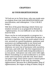# **CHAPTER 8**

### **AS YOUR RIGHTEOUSNESS**

"Of God are ye in Christ Jesus, who was made unto us wisdom from God, both RIGHTEOUSNESS and sanctification, and redemption."-I Cor.1:30 (R.V. marg.).

THE first of the great blessings which Christ our wisdom reveals to us as prepared in Himself, is --righteousness. It is not difficult to see why this must be first.

There can be no real prosperity or progress in a nation, a home, or a soul, unless there be peace. As not even a machine can do its work unless it be in rest, secured on a good foundation, quietness and assurance are indispensable to our moral and spiritual well-being. Sin had disturbed all our relations; we were out of harmony with ourselves, with men, and with God. The first requirement of a salvation that should really bring blessedness to us was peace. And peace can only come with right. Where everything is as God would have it, in God's order and in harmony with His will, there alone can peace reign. Jesus Christ came to restore peace on earth, and peace in the soul, by restoring righteousness. Because He is Melchizedek, King of righteousness, He reigns as King of Salem, King of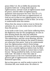peace (Heb.7:2). He so fulfils the promise the prophets held out: "A king shall reign in righteousness: and the work of righteousness shall be peace, and the effect of righteousness, quietness and assurance for ever" (Isa.32:1,17). Christ is made of God unto us righteousness; of God we are in Him as our righteousness; we are made the righteousness of God in Him. Let us try to understand what this means.

When first the sinner is led to trust in Christ for salvation, he, as a rule, looks more to His work than His person.

As he looks at the Cross, and Christ suffering there, the Righteous One for the unrighteous, he sees in that atoning death the only but sufficient foundation for his faith in God's pardoning mercy. The substitution, and the curse-bearing, and the atonement of Christ dying in the stead of sinners, are what give him peace. And as he understands how the righteousness which Christ brings becomes his very own, and how, in the strength of that, he is counted righteous before God, he feels that he has what he needs to restore him to God's favour: "Being justified by faith, we have peace with God." He seeks to wear this robe of righteousness in the ever renewed faith in the glorious gift of righteousness which has been bestowed upon him.

But as time goes on, and he seeks to grow in the Christian life, new needs arise. He wants to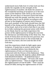understand more fully how it is that God can thus justify the ungodly on the strength of the righteousness of another. He finds the answer in the wonderful teaching of Scripture as to the true union of the believer with Christ as the second Adam. He sees that it is because Christ had made Himself one with His people, and they were one with Him; that it was in perfect accordance with all law in the kingdom of nature and of heaven, that each member of the body should have the full benefit of the doing and the suffering as of the life of the head. And so he is led to feel that it can only be in fully realizing his personal union with Christ as the Head, that he can fully experience the power of His righteousness to bring the soul into the full favour and fellowship of the Holy One. The work of Christ does not become less precious, but the Person of Christ more so; the work leads up into the very heart, the love and the life of the God-man.

And this experience sheds its light again upon Scripture. It leads him to notice, what he had scarce remarked before, how distinctly the righteousness of God, as it becomes ours, is connected with the Person of the Redeemer. "This is His name whereby HE shall be called, JEHOVAH OUR RIGHTEOUSNESS." "IN JEHOVAH have I righteousness and strength." "Of God is HE made unto us righteousness." "That we might be made the righteousness of God IN HIM." "That I may be found IN HIM, having the righteousness of God."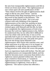He sees how inseparable righteousness and life in Christ are from each other: "The righteousness of one comes upon all unto justification of life." "They which receive the gift of righteousness shall reign in life by one, Jesus Christ." And he understands what deep meaning there is in the key-word of the Epistle to the Romans: "The righteous shall live by faith." He is not now content with only thinking of the imputed righteousness as his robe; but, putting on Jesus Christ, and seeking to be wrapped up in, to be clothed upon with Himself and His life, he feels how completely the righteousness of God is his, because the Lord our righteousness is his. Before he understood this, he too often felt it difficult to wear his white robe all the day: it was as if he specially had to put it on when he came into God's presence to confess his sins, and seek new grace. But now the living Christ Himself is his righteousness--that Christ who watches over, and keeps and loves us as His own; it is no longer an impossibility to walk all the day enrobed in the loving presence with which He covers His people.

Such an experience leads still further. The life and the righteousness are inseparably linked, and the believer becomes more conscious than before of a righteous nature planted within him. The new man created in Christ Jesus, is "created in righteousness and true holiness." "He that doeth righteousness is righteous, even as He is righteous." The union to Jesus has effected a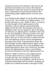change not only in the relation to God, but in the personal state before God. And as the intimate fellowship to which the union has opened up the way is maintained, the growing renewal of the whole being makes righteousness to be his very nature.

To a Christian who begins to see the deep meaning of the truth, "HE is made to us righteousness," it is hardly necessary to say, "Abide in Him." As long as he only thought of the righteousness of the substitute, and our being counted judicially righteous for His sake, the absolute necessity of abiding in Him was not apparent. But as the glory of "Jehovah our righteousness" unfolds to the view, he sees that abiding in Him personally is the only way to stand, at all times, complete and accepted before God, as it is the only way to realize how the new and righteous nature can be strengthened from Jesus our Head. To the penitent sinner the chief thought was the righteousness which comes through Jesus dying for sin; to the intelligent and advancing believer, Jesus, the Living One, through whom the righteousness comes, is everything, because having Him he has the righteousness too.

Believer, abide in Christ as your righteousness. You bear about with you a nature altogether corrupt and vile, ever seeking to rise up and darken your sense of acceptance, and of access to unbroken fellowship with the Father. Nothing can enable you to dwell and walk in the light of God,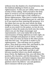without even the shadow of a cloud between, but the habitual abiding in Christ as your righteousness. To this you are called. Seek to walk worthy of that calling. Yield yourself to the Holy Spirit to reveal to you the wonderful grace that permits you to draw nigh to God, clothed in a divine righteousness. Take time to realize that the King's own robe has indeed been put on, and that in it you need not fear entering His presence. It is the token that you are the man whom the King delights to honour. Take time to remember that as much as you need it in the palace, no less do you require it when He sends you forth into the world, where you are the King's messenger and representative. Live your daily life in the full consciousness of being righteous in God's sight, an object of delight and pleasure in Christ. Connect every view you have of Christ in His other graces with this first one: "Of God He is made to you righteousness." This will keep you in perfect peace. Thus shall you enter into, and dwell in, the rest of God. So shall your inmost being be transformed into being righteous and doing righteousness. In your heart and life it will become manifest where you dwell; abiding in Jesus Christ, the Righteous One, you will share His position, His character, and His blessedness: "Thou lovest righteousness, and hatest iniquity: therefore God, thy God, hath anointed thee with the oil of gladness above thy fellows." Joy and gladness above measure will be your portion.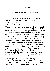## **CHAPTER 9**

#### **AS YOUR SANCTIFICATION**

"Of God are ye in Christ Jesus, who has made unto us wisdom from God, both righteousness and SANCTIFICATION, and redemption." I COR.1:30(R.V. marg.).

"PAUL, unto the Church of God which is at Corinth to them that are sanctified in Christ Jesus, called to be saints";--thus the chapter opens in which we are taught that Christ is our sanctification. In the Old Testament, believers were called the righteous; in the New Testament they are called saints, the holy ones, sanctified in Christ Jesus. Holy is higher than righteous.[1] Holy in God has reference to His inmost being; righteous, to His dealings with His creatures. In man, righteousness is but a teppingstone to holiness. It is in this he can approach most near to the perfection of God (comp. Matt.5:48; I Pet.1:16). In the Old Testament righteousness was found, while holiness was only typified; in Jesus Christ, the Holy One, and in His people, His saints or holy ones, it is first realized.

As in Scripture, and in our text, so in personal experience righteousness precedes holiness. When first the believer finds Christ as his righteousness, he has such joy in the new-made discovery that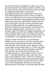the study of holiness hardly has a place. But as he grows, the desire for holiness makes itself felt, and he seeks to know what provision his God has made for supplying that need. A superficial acquaintance with God's plan leads to the view that while justification is God's work, by faith in Christ, sanctification is our work, to be performed under the influence of the gratitude we feel for the deliverance we have experienced, and by the aid of the Holy Spirit. But the earnest Christian soon finds how little gratitude can supply the power. When he thinks that more prayer will bring it, he finds that, indispensable as prayer is, it is not enough. Often the believer struggles hopelessly for years, until he listens to the teaching of the Spirit, as He glorifies Christ again, and reveals Christ, our anctification, to be appropriated by faith alone.

Christ is made of God unto us sanctification. Holiness is the very nature of God, and that alone is holy which God takes possession of and fills with Himself. God's answer to the question, How could sinful man become holy? is, "Christ, the Holy One of God." In Him, whom the Father sanctified and sent into the world, God's holiness was revealed incarnate, and brought within reach of man. "I sanctify myself for them, that they also may be sanctified in truth." There is no other way of our becoming holy, but by becoming partakers of the holiness of Christ. [2] And there is no other way of this taking place than by our personal spiritual union with Him, so that through His Holy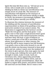Spirit His holy life flows into us. "Of God are ye in Christ, who is made unto us sanctification." Abiding by faith in Christ our sanctification is the simple secret of a holy life. The measure of sanctification will depend on the measure of abiding in Him; as the soul learns wholly to abide in Christ, the promise is increasingly fulfilled: "The very God of peace sanctify you wholly."

To illustrate this relation between the measure of the abiding and the measure of sanctification experienced,let us think of the grafting a tree, that instructive symbol of our union to Jesus. The illustration is suggested by the Saviour's words, "Make the tree good, and his fruit good." I can graft a tree so that only a single branch bears good fruit, while many of the natural branches remain, and bear their old fruit--a type of believer in whom a small part of the life is sanctified, but in whom, from ignorance or other reasons, the carnal life still in many respects has full dominion. I can graft a tree so that every branch is cut off, and the whole tree becomes renewed to bear good fruit; and yet, unless I watch over the tendency of the stems to give sprouts, they may again rise and grow strong, and, robbing the new graft of the strength it needs, make it weak. Such are Christians who, when apparently powerfully converted, forsake all to follow Christ, and yet after a time, through unwatchfulness, allow old habits to regain their power, and whose Christian life and fruit are but feeble. But if I want a tree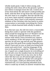wholly made good, I take it when young, and, cutting the stem clean off on the ground, I graft it just where it emerges from the soil. I watch over every bud which the old nature could possibly put forth, until the flow of sap from the old roots into the new stem is so complete, that the old life has, as it were, been entirely conquered and covered by the new. Here I have a tree entirely renewed- emblem of the Christian who has learnt in entire consecration to surrender everything for Christ, and in a whole-hearted faith wholly to abide in Him.

If, in this last case, the old tree were a reasonable being that could co-operate with the gardener, what would his language be to it? Would it not be this: "Yield now yourself entirely to this new nature with which I have invested you; repress every tendency of the old nature to give buds or sprouts; let all your sap and all your life-powers rise up into this graft from yonder beautiful tree, which I have put on you; so shall you bring forth sweet and much fruit." And the language of the tree to the gardener would be: "When you graft me, O spare not a single branch; let everything of the old self, even the smallest bud, be destroyed, that I may no longer live in my own, but in that other life that was cut off and brought and put upon me, that I might be wholly new and good." And, once again, could you afterwards ask the renewed tree, as it was bearing abundant fruit, what it could say of itself, its answer would be this: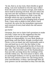"In me, that is, in my roots, there dwells no good thing. I am ever inclined to evil; the sap I collect from the soil is in its nature corrupt, and ready to show itself in bearing evil fruit. But just when the sap rises into the sunshine to ripen into fruit, the wise gardener has clothed me with a new life, through which my sap is purified, and all my powers are renewed to the bringing forth of good fruit. I have only to abide in that which I have received. He cares for the immediate repression and removal of every bud which the old nature still would

put forth."

Christian, fear not to claim God's promises to make you holy. Listen not to the suggestion that the corruption of your old nature would render holiness an impossibility. In your flesh dwells no good thing, and that flesh, though crucified with Christ, is not yet dead, but will continually seek to rise and lead you to evil. But the Father is the Husbandman. He has grafted the life of Christ on your life. That holy life is mightier than your evil life; under the watchful care of the Husbandman, that new life can keep down the workings of the evil life within you. The evil nature is there, with its unchanged tendency to rise up and show itself. But the new nature is there too--the living Christ, your sanctification, is there--and through Him all your powers can be sanctified as they rise into life,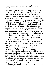and be made to bear fruit to the glory of the Father.

And now, if you would live a holy life, abide in Christ your sanctification. Look upon Him as the Holy One of God, made man that He might communicate to us the holiness of God. Listen when Scripture teaches that there is within you a new nature, a new man, created in Christ Jesus in righteousness and true holiness. Remember that this holy nature which is in you is singularly fitted for living a holy life, and performing all holy duties, as much so as the old nature is for doing evil. Understand that this holy nature within you has its root and life in Christ in heaven, and can only grow and become strong as the intercourse between it and its source is uninterrupted. And above all, believe most confidently that Jesus Christ Himself delights in maintaining that new nature within you, and imparting to it His own strength and wisdom for its work. Let that faith lead you daily to the surrender of all selfconfidence, and the confession of the utter corruption of all there is in you by nature. Let it fill you with a quiet and assured confidence that you are indeed able to do what the Father expects of you as His child, under the covenant of His grace, because you have Christ strengthening you. Let it teach you to lay yourself and your services on the altar as spiritual sacrifices, holy and acceptable in His sight, a sweet-smelling savour. Look not upon a life of holiness as a strain and an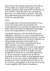effort, but as the natural outgrowth of the life of Christ within you. And let ever again a quiet, hopeful, gladsome faith hold itself assured that all you need for a holy life will most assuredly be given you out of the holiness of Jesus. Thus will you understand and prove what it is to abide in Christ our sanctification.

#### NOTE

The thought that in the personal holiness of our Lord a new holy nature was formed to be communicated to us, and that we make use of it by faith, is the central idea of Marshall's invaluable work, The Gospel Mystery of Sanctcation:

"One great mystery is, that the holy frame and disposition whereby our souls are furnished and enabled for immediate practice of the law, must be obtained by receiving it out of Christ's fulness, as a thing already prepared and brought to an existence for us in Christ, and treasured up in Him; and that, as we are justified by a righteousness wrought out in Christ, and imputed to us, so we are sanctified by such an holy frame and qualification as are first wrought out and completed in Christ for us, and then imparted to us. As our natural corruption was produced originally in the first Adam, and propagated from him to us, so our new nature and holiness is first produced in Christ, and derived from Him to us, or, as it were, propagated. So that we are not at all to work together with Christ in making or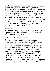producing that holy frame in us, but only to take it to ourselves, and use it in our holy practice, as made ready to our hands. Thus we have fellowship with Christ, in receiving that holy frame of spirit that was originally in Him; for fellowship is where several persons have the same things in common. This mystery is so great, that notwithstanding all the light of the Gospel, we commonly think that we must get an holy frame by producing it anew in ourselves, and by pursuing it and working it out of our own heart" (see chap. 3). [3]

Footnotes:

1. "Holiness may be called spiritual perection, as righteousnes is legal completeness." --Horatius Bonar in God's Way of Holiness.

2. See note at end of chapter.

3. I have felt so strongly that the teaching of Marshall is just what the Church needs to bring out clearly what the Scripture path of holiness is, that I have prepared an abridgment (all in the author's own words) of his work. By leaving out what was not essential to his argument, and shortening when he appeared diffuse, I hoped to bring his book within reach of many who might never read the larger work. It is published by Nisbet & Co. under the title, The Highway of Holiness. I cannot too earnestly urge every student of theology, and of Scripture, and of the art of holy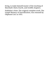living, to make himself master of the teaching of Marshall's third, fourth, and twelfth chapters.

Publisher's Note: The original complete work, The Gospel Mystery of Sanctification, was reissued by Oliphants Ltd. in 1955.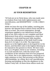## **CHAPTER 10**

### **AS YOUR REDEMPTION**

"Of God are ye in Christ Jesus, who was made unto us wisdom from God, both righteousness and sanctification, and REDEMPTION."--I COR.1:30(R.V. marg.).

HERE we have the top of the ladder, reaching into heaven--the blessed end to which Christ and life in Him is to lead. The word redemption, though sometimes applied to our deliverance from the guilt of sin, here refers to our complete and final deliverance from all its consequences, when the Redeemer's work shall become fully manifest, even to the redemption of the body itself (comp. Rom.8:21-23; Eph.1.14; 4:30). The expression points us to the highest glory to be hoped for in the future, and therefore also to the highest blessing to be enjoyed in the present in Christ. We have seen how, as a Prophet, Christ is our wisdom, revealing to us God and His love, with the nature and conditions of the salvation that love has prepared. As a Priest, He is our righteousness, restoring us to right relations to God, and securing us His favour and friendship. As a King, He is our sanctification, forming and guiding us into the obedience to the Father's holy will. As these three offices work out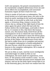God's one purpose, the grand consummation will be reached,the complete deliverance from sin and all its effects be accomplished, and ransomed humanity regain all that it had ever lost.

Christ is made of God unto us redemption. The word invites us to look upon Jesus, not only as He lived on earth, teaching us by word and example, as He died, to reconcile us with God, as He lives again, a victorious King, rising to receive His crown, but as, sitting at the right hand of God, He takes again the glory which He had with the Father, before the world began, and holds it there for us. It consists in this, that there His human nature, yea, His human body, freed from all the consequences of sin to which He once had been exposed, is now admitted to share the divine glory. As Son of Man, He dwells on the throne and in the bosom of the Father: the deliverance from what He had to suffer from sin is complete and eternal. The complete redemption is found embodied in His own Person: what He as man is and has in heaven is the complete redemption. HE is made of God to us redemption.

We are in Him as such. And the more intelligently and believingly we abide in Him as our redemption, the more shall we experience, even here, of "the powers of the world to come." As our communion with Him becomes more intimate and intense, and we let the Holy Spirit reveal Him to us in His heavenly glory, the more we realize how the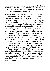life in us is the life of One who sits upon the throne of heaven. We feel the power of an endless life working in us. We taste the eternal life. We have the foretaste of the eternal glory.

The blessings flowing from abiding in Christ as our redemption are great. The soul is delivered from all fear of death. There was a time when even the Saviour feared death. But now no longer. He has triumphed over death; even His body has entered into the glory. The believer who abides in Christ as his full redemption, realizes even now his spiritual victory over death. It becomes to him the servant that removes the last rags of the old carnal vesture, ere he be clothed upon with the new body of glory. It carries the body to the grave, to lie there as the seed whence the new body will arise the worthy companion of the glorified spirit. The resurrection of the body is no longer a barren doctrine, but a living expectation, and even an incipient experience, because the Spirit of Him that raised Jesus from the dead, dwells in the body as the pledge that even our mortal bodies shall be quickened (Rom.8:11-23). This faith exercises its sanctifying influence in the willing surrender of the sinful members of the body to be mortified and completely subjected to the dominion of the Spirit, as preparation for the time when the frail body shall be changed and fashioned like to His glorious body.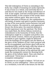This full redemption of Christ as extending to the body, has a depth of meaning not easily expressed. It was of man as a whole, soul and body that it is said that he was made in the image and likeness of God. In the angels, God had created spirits without material bodies; in the creation of the world, there was matter without spirit. Man was to be the highest specimen of divine art: the combination in one being, of matter and spirit in perfect harmony, as type of the most perfect union between God and His own creation. Sin entered in, and appeared to thwart the divine plan: the material obtained a fearful supremacy over the spiritual. The Word was made flesh, the divine fulness received an embodiment in the humanity of Christ, that the redemption might be a complete and perfect one; that the whole creation, which now groaneth and travaileth in pain together, might be delivered from the bondage of corruption into the liberty of the glory of the children of God. God's purpose will not be accomplished, and Christ's glory will not be manifested fully, until the body, with that whole of nature of which it is part and head, has been transfigured by the power of the spiritual life, and made the transparent vesture for showing forth the glory of the Infinite Spirit. Then only shall we understand: "Christ Jesus is made unto us (complete) redemption."

Meantime we are taught to believe: "Of God are ye in Christ, as your redemption." This is not meant as a revelation, to be left to the future; for the full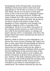development of the Christian life, our present abiding in Christ must seek to enter into and appropriate it. We do this as we learn to triumph over death. We do it as we learn to look upon Christ as the Lord of our body, claiming its entire consecration, securing even here, if faith will claim it (Mark 16:17-18), victory over the terrible dominion sin hath had in the body. We do this as we learn to look on all nature as part of the Kingdom of Christ, destined, even though it be through a baptism of fire, to partake in His redemption. We do it as we allow the powers of the coming world to possess us, and to lift us up into a life in the heavenly places, to enlarge our hearts and our views, to anticipate, even here, the things which have never entered into the heart of man to conceive.

Believer, abide in Christ as your redemption. Let this be the crown of your Christian life. Seek it not first or only, apart from the knowledge of Christ in His other relations. But seek it truly as that to which they are meant to lead you up. Abide in Christ as your redemption. Nothing will fit you for this but faithfulness in the previous steps of the Christian life. Abide in Him as your wisdom, the perfect revelation of all that God is and has for you. Follow, in the daily ordering of the inner and the outer life, with meek docility His teaching, and you shall be counted worthy to have secrets revealed to you which to most disciples are a sealed book. The wisdom will lead you into the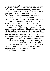mysteries of complete redemption. Abide in Him as your righteousness, and dwell clothed upon with Him in that inner sanctuary of the Father's favour and presence to which His righteousness gives you access. As you rejoice in your reconciliation, you shall understand how it includes all things, and how they too wait the full redemption; "for it pleased the Father by Him to reconcile all things unto Himself; by Him, I say, whether they be things on earth or things in heaven." And abide in Him as your sanctification; the experience of His power to make you holy, spirit and soul and body, will quicken your faith in a holiness that shall not cease its work until the bells of the horses and every pot in Jerusalem shall be holiness to the Lord. Abide in Him as your redemption, and live, even here, as the heir of the future glory. And as you seek to experience in yourself to the full, the power of His saving grace, your heart shall be enlarged to realize the position man has been destined to occupy in the universe, as having all things made subject to him, and you shall for your part be fitted to live worthy of that high and heavenly calling.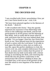# **CHAPTER 11**

### **THE CRUCIFIED ONE**

"I am crucified with Christ: nevertheless I live; yet not I, but Christ liveth in me."--GAL.2:20.

"We have been planted together in the likeness of his death. "--Rom.6:5

"I AM crucified with Christ." Thus the apostle expresses his assurance of his fellowship with Christ in His sufferings and death, and his full participation in all the power and the blessing of that death. And so really did he mean what he said, and know that he was now indeed dead, that he adds: "It is no longer I that live, but Christ that liveth in me."How blessed must be the experience of such a union with the Lord Jesus! To be able to look upon His death as mine, just as really as it was His--upon His perfect obedience to God, His victory over sin, and complete deliverance from its power, as mine; and to realize that the power of that death does by faith work daily with a divine energy in mortifying the flesh, and renewing the whole life into the perfect conformity to the resurrection life of Jesus! Abiding in Jesus, the Crucified One, is the secret of the growth of that new life which is ever begotten of the death of nature.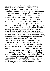Let us try to understand this. The suggestive expression, "Planted into the likeness of His death," will teach us what the abiding in the Crucified One means. When a graft is united with the stock on which it is to grow, we know that it must be kept fixed, it must abide in the place where the stock has been cut, been wounded, to make an opening to receive the graft. No graft without wounding--the laying bare and opening up of the inner life of the tree to receive the stranger branch. It is only through such wounding that access can be obtained to the fellowship of the sap and the growth and the life of the stronger stem. Even so with Jesus and the sinner. Only when we are planted into the likeness of His death shall we also be in the likeness of His resurrection, partakers of the life and the power there are in Him. In the death of the Cross Christ was wounded, and in His opened wounds a place prepared where we might be grafted in. And just as one might say to a graft, and does practically say as it is fixed in its place, "Abide here in the wound of the stem, that is now to bear you"; so to the believing soul the message comes, "Abide in the wounds of Jesus; there is the place of union, and life, and growth. There you shall see how His heart was opened to receive you; how His flesh was rent that the way might be opened for your being made one with Him, and having access to all the blessings flowing from His divine nature."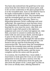You have also noticed how the graft has to be torn away from the tree where it by nature grew, and to be cut into conformity to the place prepared for it in the wounded stem. Even so the believer has to be made conformable to Christ's death--to be crucified and to die with Him. The wounded stem and the wounded graft are cut to fit into each other, into each other's likeness. There is a fellowship between Christ's sufferings and your sufferings. His experiences must become yours. The disposition He manifested in choosing and bearing the cross must be yours. Like Him, you will have to give full assent to the righteous judgment and curse of a holy God against sin. Like Him, you have to consent to yield your life, as laden with sin and curse,to death, and through it to pass to the new life. Like Him, you shall experience that it is only through the self-sacrifice of Gethsemane and Calvary that the path is to be found to the joy and the fruit-bearing of the resurrection life. The more clear the resemblance between the wounded stem and the wounded graft, the more exactly their wounds fit into each other, the surer and the easier, and the more complete will be the union and the growth.

It is in Jesus, the Crucified One, I must abide. I must learn to look upon the Cross as not only an atonement to God, but also a victory over the devil--not only a deliverance from the guilt, but also from the power of sin. I must gaze on Him on the Cross as wholly mine, offering Himself to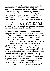receive me into the closest union and fellowship, and to make me partaker of the full power of His death to sin, and the new life of victory to which it is but the gateway. I must yield myself to Him in an undivided surrender, with much prayer and strong desire, imploring to be admitted into the ever closer fellowship and conformity of His death, of the Spirit in which He died that death.

Let me try and understand why the Cross is thus the place of union. On the Cross the Son of God enters into the fullest union with man--enters into the fullest experience of what it says to have become a son of man, a member of a race under the curse. It is in death that the Prince of life conquers the power of death; it is in death alone that He can make me partaker of that victory. The life He imparts is a life from the dead; each new experience of the power of that life depends upon the fellowship of the death. The death and the life are inseparable. All the grace which Jesus the Saving One gives is given only in the path of fellowship with Jesus the Crucified One. Christ came and took my place; I must put myself in His place, and abide there. And there is but one place which is both His and mine--that place is the Cross. His in virtue of His free choice; mine by reason of the curse of sin. He came there to seek me; there alone I can find Him. When He found me there, it was the place of cursing; this He experienced, for "cursed is every one that hangeth on a tree." He made it a place of blessing; this I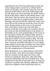experienced, for Christ has delivered us from the curse, being made a curse for us. When Christ comes in my place, He remains what He was, the beloved of the Father; but in the fellowship with me He shares my curse and dies my death. When I stand in His place, which is still always mine, I am still what I was by nature, the accursed one, who deserves to die; but as united to Him, I share His blessing, and receive His life. When He came to be one with me He could not avoid the Cross, for the curse always points to the Cross as its end and fruit. And when I seek to be one with Him, I cannot avoid the Cross either, for nowhere but on the Cross are life and deliverance to be found. As inevitably as my curse pointed Him to the Cross as the only place where He could be fully united to me, His blessing points me to the Cross too as the only place where I can be united to Him. He took my cross for His own; I must take His Cross as my own; I must be crucified with Him. It is as I abide daily, deeply in Jesus the Crucified One, that I shall taste the sweetness of His love, the power of His life, the completeness of His salvation.

Beloved believer! it is a deep mystery, this of the Cross of Christ. I fear there are many Christians who are content to look upon the Cross, with Christ on it dying for their sins, who have little heart for fellowship with the Crucified One. They hardly know that He invites them to it. Or they are content to consider the ordinary afflictions of life, which the children of the world often have as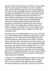much as they, as their share of Christ's Cross. They have no conception of what it is to be crucified with Christ, that bearing the cross means likeness to Christ in the principles which animated Him in His path of obedience. The entire surrender of all self-will, the complete denial to the flesh of its every desire and pleasure, the perfect separation from the world in all its ways of thinking and acting, the losing and hating of one's life, the giving up of self and its interests for the sake of others--this is the disposition which marks him who has taken up Christ's Cross, who seeks to say, "I am crucified with Christ; I abide in Christ, the Crucified One."

Would you in very deed please your Lord, and live in as close fellowship with Him as His grace could maintain you in? O pray that His Spirit lead you into this blessed truth: this secret of the Lord for them that fear Him. We know how Peter knew and confessed Christ as the Son of the living God while the Cross was still an offence (Matt.16:16,17,21,23). The faith that believes in the blood that pardons, and the life that renews, can only reach its perfect growth as it abides beneath the Cross, and in living fellowship with Him seeks for perfect conformity with Jesus the Crucified.

O Jesus, our crucified Redeemer, teach us not only to believe on Thee, but to abide in Thee, to take Thy Cross not only as the ground of our pardon, but also as the law of our life. O teach us to love it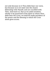not only because on it Thou didst bear our curse, but because on it we enter into the closest fellowship with Thyself, and are crucified with Thee. And teach us, that as we yield ourselves wholly to be possessed of the Spirit in which Thou didst bear the Cross, we shall be made partakers of the power and the blessing to which the Cross alone gives access.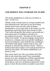### **CHAPTER 12**

#### **GOD HIMSELF WILL STABLISH YOU IN HIM**

"He which stablisheth us with you in Christ, is God."-2 COR.1:21

THESE words of Paul teach us a much needed and most blessed truth--that just as our first being united with Christ was the work of divine omnipotence, so we may look to the Father, too, for being kept and being fixed more firmly in Him. "The Lord will perfect that which concerneth me"- this expression of confidence should ever accompany the prayer, "Forsake not the work of Thine own hands." In all his longings and prayers to attain to a deeper and more perfect abiding in Christ, the believer must hold fast his confidence: "He which hath begun a good work in you, will perform it until the day of Jesus Christ." There is nothing that will so help to root and ground him in Christ as this faith: "He which stablisheth us in Christ is God."

How many there are who can witness that this faith is just what they need! They continually mourn over the variableness of their spiritual life. Sometimes there are hours and days of deep earnestness, and even of blessed experience of the grace of God. But how little is needed to mar their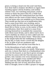peace, to bring a cloud over the soul! And then, how their faith is shaken! All efforts to regain their standing appear utterly fruitless; and neither solemn vows, nor watching and prayer, avail to restore to them the peace they for a while had tasted. Could they but understand how just their own efforts are the cause of their failure, because it is God alone who can establish us in Christ Jesus. They would see that just as in justification they had to cease from their own working, and to accept in faith the promise that God would give them life in Christ, so now, in the matter of their sanctification, their first need is to cease from striving themselves to establish the connection with Christ more firmly, and to allow God to do it. "God is faithful, by whom ye were called unto the fellowship of His Son Jesus Christ." What they need is the simple faith that the stablishing in Christ, day by day, is God's work--a work that He delights to do, in spite of all our weakness and unfaithfulness, if we will but trust Him for it.

To the blessedness of such a faith, and the experience it brings, many can testify. What peace and rest, to know that there is a Husbandman who cares for the branch, to see that it grows stronger, and that its union with the Vine becomes more perfect, who watches over every hindrance and danger, who supplies every needed aid! What peace and rest, fully and finally to give up our abiding into the care of God, and never have a wish or thought, never to offer a prayer or engage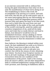in an exercise connected with it, without first having the glad remembrance that what we do is only the manifestation of what God is doing in us! The establishing in Christ is His work: He accomplishes it by stirring us to watch, and wait, and work. But this He can do with power only as we cease interrupting Him by our self-working--as we accept in faith the dependent posture which honours Him and opens the heart to let Him work. How such a faith frees the soul from care and responsibility! In the midst of the rush and bustle of the world's stirring life, amid the subtle and ceaseless temptations of sin, amid all the daily cares and trials that so easily distract and lead to failure, how blessed it would be to be an established Christian--always abiding in Christ! How blessed even to have the faith that one can surely become it--that the attainment is within our reach!

Dear believer, the blessing is indeed within your reach. He that stablisheth you with us in Christ is God. What I want you to take in is this--that believing this promise will not only give you comfort, but will be the means of your obtaining your desire. You know how Scripture teaches us that in all God's leadings of His people faith has everywhere been the one condition of the manifestation of His power. Faith is the ceasing from all nature's efforts, and all other dependence; faith is confessed helplessness casting itself upon God's promise, and claiming its fulfilment; faith is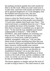the putting ourselves quietly into God's hands for Him to do His work. What you and I need now is to take time, until this truth stands out before us in all its spiritual brightness: It is God Almighty, God the Faithful and Gracious One, who has undertaken to stablish me in Christ Jesus.

Listen to what the Word teaches you:--"The Lord shall establish thee an holy people unto Himself"; "O Lord God, stablish their heart unto Thee"; "Thy God loved Israel, to establish them for ever"; "Thou wilt establish the heart of the humble"; "Now to Him that is of power to establish you, be glory for ever"; "To the end He may establish your hearts unblameable in holiness" ; "THE LORD IS FAITHFUL, who shall stablish you and keep you from all evil"; "The God of all grace, who hath called us in Christ Jesus, make you perfect, stablish, strengthen, settle you." Can you take these words to mean anything less than that you too--however fitful your spiritual life has hitherto been, however unfavourable your natural character or your circumstances may appear--can be established in Christ Jesus--can become an established Christian? Let us but take time to listen, in simple childlike teachableness, to these words as the truth of God, and the confidence will come: As surely--as I am in Christ, I shall also, day by day, be established in Him.

The lesson appears so simple; and yet the most of us take so long to learn it. The chief reason is, that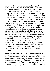the grace the promise offers is so large, so Godlike, so beyond all our thoughts, that we do not take it really to mean what it says. The believer who has once come to see and accept what it brings, can bear witness to the wonderful change there comes over the spiritual life. Hitherto he had taken charge of his own welfare; now he has a God to take charge of it. He now knows himself to be in the school of God, a Teacher who plans the whole course of study for each of His pupils with infinite wisdom, and delights to have them come daily for the lessons He has to give. All he asks is to feel himself constantly in God's hands, and to follow His guidance, neither lagging behind nor going before. Remembering that it is God who worketh both to will and to do, he sees his only safety to be in yielding himself to God's working. He lays aside all anxiety about his inner life and its growth, because the Father is the Husbandman under whose wise and watchful care each plant is well secured. He knows that there is the prospect of a most blessed life of strength and fruitfulness to every one who will take God alone and wholly as his hope.

Believer, you cannot but admit that such a life of trust must be a most blessed one. You say, perhaps, that there are times when you do, with your whole heart, consent to this way of living, and do wholly abandon the care of your inner life to your Father. But somehow it does not last. You forget again; and instead of beginning each morning with the joyous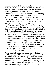transference of all the needs and cares of your spiritual life to the Father's charge, you again feel anxious, and burdened, and helpless. Is it not, perhaps, my brother, because you have not committed to the Father's care this matter of daily remembering to renew your entire surrender? Memory is one of the highest powers in our nature. By it day is linked to day, the unity of life through all our years is kept up, and we know that we are still ourselves. In the spiritual life, recollection is of infinite value. For the sanctifying of our memory, in the service of our spiritual life, God has provided most beautifully. The Holy Spirit is the remembrancer, the Spirit of recollection. Jesus said, "He shall bring all things to your remembrance." "He which stablisheth us with you in Christ is God, who hath also sealed us, and given the earnest of the Spirit in our hearts." It is just for the stablishing that the Holy Remembrancer has been given. God's blessed promises, and your unceasing acts of faith and surrender accepting of them--He will enable you to remember these each day. The Holy Spirit is--blessed be God--the memory of the new man.

Apply this to the promise of the text: "He that stablisheth us in Christ is God." As you now, at this moment, abandon all anxiety about your growth and progress to the God who has undertaken to stablish you in the Vine, and feel what a joy it is to know that God alone has charge, ask and trust Him by the Holy Spirit ever to remind you of this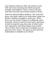your blessed relation to Him. He will do it; and with each new morning your faith may grow stronger and brighter: I have a God to see that each day I become more firmly united to Christ.

And now, beloved fellow-believer, "the God of all grace, who hath called us in Christ Jesus, make you perfect, stablish, strengthen, settle you." What more can you desire? Expect it confidently, ask it fervently. Count on God to do His work. And learn in faith to sing the song, the notes of which each new experience will make deeper and sweeter: "Now to Him, that is of power to establish you, be glory for ever. Amen." Yes, glory to God, who has undertaken to establish us in Christ!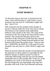# **CHAPTER 13**

### **EVERY MOMENT**

"In that day sing ye unto her, A vineyard of red wine. I the Lord do keep it; I will water it every moment: lest any hurt it, I will keep it night and day."--ISA.27:2,3.

THE vineyard was the symbol of the people of Israel, in whose midst the True Vine was to stand. The branch is the symbol of the individual believer, who stands in the Vine. The song of the vineyard is also the song of the Vine and its every branch. The command still goes forth to the watchers of the vineyard--would that they obeyed it, and sang till every feeble-hearted believer had learned and joined the joyful strain--"Sing ye unto her: I, JEHOVAH, Do KEEP IT; I will water it every moment: lest any hurt it, I WILL KEEP it night and day."

What an answer from the mouth of God Himself to the question so often asked: Is it possible for the believer always to abide in Jesus? Is a life of unbroken fellowship with the Son of God indeed attainable here in this earthly life? Truly not, if the abiding is our work, to be done in our strength. But the things that are impossible with men are possible with God. If the Lord Himself will keep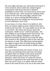the soul night and day, yea, will watch and water it every moment, then surely the uninterrupted communion with Jesus becomes a blessed possibility to those who can trust God to mean and to do what He says. Then surely the abiding of the branch of the vine day and night, summer and winter, in a never-ceasing life-fellowship, is nothing less than the simple but certain promise of your abiding in your Lord.

In one sense, it is true, there is no believer who does not always abide in Jesus; without this there could not be true life. "If a man abide not in me, he is cast forth." But when the Saviour gives the command, "Abide in me," with the promise, "He that abideth in me bringeth forth much fruit," He speaks of that willing, intelligent, and wholehearted surrender by which we accept His offer, and consent to the abiding in Him as the only life we choose or seek. The objections raised against our right to expect that we shall always be able thus voluntarily and consciously to abide in Jesus are chiefly two.

The one is derived from the nature of man. It is said that our limited powers prevent our being occupied with two things at the same moment. God's providence places many Christians in business, where for hours at a time the closest attention is required to the work they have to do. How can such a man, it is asked, with his whole mind in the work he has to do, be at the same time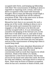occupied with Christ, and keeping up fellowship with Him? The consciousness of abiding in Jesus is regarded as requiring such a strain, and such a direct occupation of the mind with heavenly thoughts, that to enjoy the blessing would imply a withdrawing of oneself from all the ordinary avocations of life. This is the same error as drove the first monks into the wilderness.

Blessed be God, there is no necessity for such a going out of the world. Abiding in Jesus is not a work that needs each moment the mind to be engaged, or the affections to be directly and actively occupied with it. It is an entrusting of oneself to the keeping of the Eternal Love, in the faith that it will abide near us, and with its holy presence watch over us and ward off the evil, even when we have to be most intently occupied with other things. And so the heart has rest and peace and joy in the consciousness of being kept when it cannot keep itself.

In ordinary life, we have abundant illustration of the influence of a supreme affection reigning in and guarding the soul, while the mind concentrates itself on work that requires its whole attention. Think of the father of a family, separated for a time from his home, that he may secure for his loved ones what they need. He loves his wife and children, and longs much to return to them. There may be hours of intense occupation when he has not a moment to think of them, and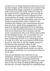yet his love is as deep and real as when he can call up their images; all the while his love and the hope of making them happy urge him on, and fill him with a secret joy in his work. Think of a king: in the midst of work, and pleasure, and trial, he all the while acts under the secret influence of the consciousness of royalty, even while he does not think of it. A loving wife and mother never for one moment loses the sense of her relation to the husband and children: the consciousness and the love are there, amid all her engagements. And shall it be thought impossible for the Everlasting Love so to take and keep possession of our spirits, that we too shall never for a moment lose the secret consciousness: We are in Christ, kept in Him by His almighty power. Oh, it is possible; we can be sure it is. Our abiding in Jesus is even more than a fellowship of love--it is a fellowship of life. In work or in rest, the consciousness of life never leaves us. And even so can the mighty power of the Eternal Life maintain within us the consciousness of its presence. Or rather, Christ, who is our life, Himself dwells within us, and by His presence maintains our consciousness that we are in Him.

The second objection has reference to our sinfulness. Christians are so accustomed to look upon sinning daily as something absolutely inevitable, that they regard it as a matter of course that no one can keep up abiding fellowship with the Saviour: we must sometimes be unfaithful and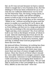fail. As if it was not just because we have a nature which is naught but a very fountain of sin, that the abiding in Christ has been ordained for us as our only but our sufficient deliverance! As if it were not the Heavenly Vine, the living, loving Christ, in whom we have to abide, and whose almighty power to hold us fast is to be the measure of our expectations! As if He would give us the command, "Abide in me," without securing the grace and the power to enable us to perform it! As if, above all, we had not the Father as the Husbandman to keep us from falling, and that not in a large and general sense, but according to His own precious promise: "Night and day, every moment!" Oh, if we will but look to our God as the Keeper of Israel, of whom it is said, "Jehovah shall keep thee from all evil; He shall keep thy soul," we shall learn to believe that conscious abiding in Christ every moment, night and day, is indeed what God has prepared for them that love Him.

My beloved fellow-Christians, let nothing less than this be your aim. I know well that you may not find it easy of attainment; that there may come more than one hour of weary struggle and bitter failure. Were the Church of Christ what it should be--were older believers to younger converts what they should be, witnesses to God's faithfulness, like Caleb and Joshua, encouraging their brethren to go up and possess the land with their, "We are well able to overcome; if the Lord delight in us, then HE WILL BRING us into this land"--were the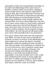atmosphere which the young believer breathes as he enters the fellowship of the saints that of a healthy, trustful, joyful consecration, abiding in Christ would come as the natural outgrowth of being in Him. But in the sickly state in which such a great part of the body is, souls that are pressing after this blessing are sorely hindered by the depressing influence of the thought and the life around them. It is not to discourage that I say this, but to warn, and to urge to a more entire casting of ourselves upon the word of God Himself. There may come more than our hour in which you are ready to yield to despair; but be of good courage. Only believe. He who has put the blessing within your reach will assuredly lead to its possession.

The way in which souls enter into the possession may differ. To some it may come as the gift of a moment. In times of revival, in the fellowship with other believers in whom the Spirit is working effectually, under the leading of some servant of God who can guide, and sometimes in solitude too, it is as if all at once a new revelation comes upon the soul. It sees, as in the light of heaven, the strong Vine holding and bearing the feeble branches so securely, that doubt becomes impossible. It can only wonder how it ever could have understood the words to mean aught else than this: To abide unceasingly in Christ is the portion of every believer. It sees it; and to believe, and rejoice, and love, come as of itself.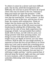To others it comes by a slower and more difficult path. Day by day, amid discouragement and difficulty, the soul has to press forward. Be of good cheer; this way too leads to the rest. Seek but to keep your heart set upon the promise: "I THE LORD DO KEEP IT, night and day." Take from His own lips the watchword: "Every moment." In that you have the law of His love, and the law of your hope. Be content with nothing less. Think no longer that the duties and the cares, that the sorrows and the sins of this life must succeed in hindering the abiding life of fellowship. Take rather for the rule of your daily experience the language of faith: I am persuaded that neither death with its fears, nor life with its cares, nor things present with their pressing claims, nor things to come with their dark shadows, nor height of joy, nor depth of sorrow, nor any other creature, shall be able, for one single moment, to separate us from the love of God which is in Christ Jesus our Lord, and in which He is teaching me to abide. If things look dark and faith would fail, sing again the song of the vineyard: "I the Lord do keep it; I will water it every moment: lest any hurt it, I will keep it night and day." And be assured that, if Jehovah keep the branch night and day, and water it every moment, a life of continuous and unbroken fellowship with Christ is indeed our privilege.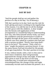## **CHAPTER 14**

#### **DAY BY DAY**

"And the people shall go out and gather the portion of a day in his day."-Ex.16:4(marg.).

THE day's portion in its day: Such was the rule for God's giving and man's working in the ingathering of the manna. It is still the law in all the dealings of God's grace with His children. A clear insight into the beauty and application of this arrangement is a wonderful help in understanding how one, who feels himself utterly weak, can have the confidence and the perseverance to hold on brightly through all the years of his earthly course. A doctor was once asked by a patient who had met with a serious accident: "Doctor, how long shall I have to lie here?" The answer, "Only a day at a time," taught the patient a precious lesson. It was the same lesson God had recorded for His people of all ages long before: The day's portion in its day.

It was, without doubt, with a view to this and to meet man's weakness, that God graciously appointed the change of day and night. If time had been given to man in the form of one long unbroken day, it would have exhausted and overwhelmed him; the change of day and night continually recruits and recreates his powers. As a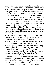child, who easily makes himself master of a book, when each day only the lesson for the day is given him, would be utterly hopeless if the whole book were given him at once; so it would be with man, if there were no divisions in time. Broken small and divided into fragments, he can bear them; only the care and the work of each day have to be undertaken--the day's portion in its day. The rest of the night fits him for making a fresh start with each new morning; the mistakes of the past can be avoided, its lessons improved. And he has only each day to be faithful for the one short day, and long years and a long life take care of themselves, without the sense of their length or their weight ever being a burden.

Most sweet is the encouragement to be derived from this truth in the life of grace. Many a soul is disquieted with the thought as to how it will be able to gather and to keep the manna needed for all its years of travel through such a barren wilderness. It has never learnt what unspeakable comfort there is in the word: The day's portion for its day. That word takes away all care for the morrow most completely. Only to-day is yours; tomorrow is the Father's. The question: What security have you that during all the years in which you have to contend with the coldness, or temptations, or trials of the world, you will always abide in Jesus? is one you need, yea, you may not ask. Manna, as your food and strength, is given only by the day; faithfully to fill the present is your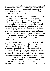only security for the future. Accept, and enjoy, and fulfil with your whole heart the part you have this day to perform. His presence and grace enjoyed to-day will remove all doubt whether you can entrust the morrow to Him too.

How great the value which this truth teaches us to attach to each single day! We are so easily led to look at life as a great whole, and to neglect the little to-day, to forget that the single days do indeed make up the whole, and that the value of each single day depends on its influence on the whole. One day lost is a link broken in the chain, which it often takes more than another day to mend. One day lost influences the next,and makes its keeping more difficult. Yea, one day lost may be the loss of what months or years of careful labour had secured. The experience of many a believer could confirm this.

Believer! would you abide in Jesus, let it be day by day. You have already heard the message: Moment by moment; the lesson of day by day has something more to teach. Of the moments there are many where there is no direct exercise of the mind on your part; the abiding is in the deeper recesses of the heart, kept by the Father, to whom you entrusted yourself. But just this is the work that with each new day has to be renewed for the day--the distinct renewal of surrender and trust for the life of moment by moment. God has gathered up the moments and bound them up into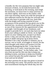a bundle, for the very purpose that we might take measure of them. As we look forward in the morning, or look back in the evening, and weigh the moments, we learn how to value and how to use them rightly. And even as the Father, with each new morning, meets you with the promise of just sufficient manna for the day for yourself and those who have to partake with you, meet Him with the bright and loving renewal of your acceptance of the position He has given you in His beloved Son. Accustom yourself to look upon this as one of the reasons for the appointment of day and night. God thought of our weakness, and sought to provide for it. Let each day have its value from your calling to abide in Christ. As its light opens on your waking eyes, accept it on these terms: A day, just one day only, but still a day, given to abide and grow up in Jesus Christ. Whether it be a day of health or sickness, joy or sorrow, rest or work, of struggle or victory, let the chief thought with which you receive it in the morning thanksgiving be this: "A day that the Father gave; in it I may, I must become more closely united to Jesus." As the Father asks, "Can you trust me just for this one day to keep you abiding in Jesus, and Jesus to keep you fruitful?" you cannot but give the joyful response: "I will trust and not be afraid."

The day's portion for its day was given to Israel in the morning very early. The portion was for use and nourishment during the whole day, but the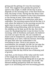giving and the getting of it was the morning's work. This suggests how greatly the power to spend a day aright, to abide all the day in Jesus, depends on the morning hour. If the first-fruits be holy, the lump is holy. During the day there come hours of intense occupation in the rush of business or the throng of men, when only the Father's keeping can maintain the connection with Jesus unbroken. The morning manna fed all the day; it is only when the believer in the morning secures his quiet time in secret to renew distinctly and effectually loving fellowship with his Saviour, that the abiding can be kept up all the day. But what cause for thanksgiving that it may be done! In the morning, with its freshness and quiet, the believer can look out upon the day. He can consider its duties and its temptations, and pass them through beforehand, as it were, with his Saviour, throwing all upon Him who has undertaken to be everything to him. Christ is his manna, his nourishment, his strength, his life: he can take the day's portion for the day, Christ as his for all the needs the day may bring, and go on in the assurance that the day will be one of blessing and of growth.

And then, as the lesson of the value and the work of the single day is being taken to heart, the learner is all unconsciously being led on to get the secret of "day by day continually" (Ex.29:38). The blessed abiding grasped by faith for each day apart is an unceasing and ever-increasing growth.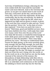Each day of faithfulness brings a blessing for the next; makes both the trust and the surrender easier and more blessed. And so the Christian life grows: as we give our whole heart to the work of each day, it becomes all the day, and from that every day. And so each day separately, all the day continually, day by day successively, we abide in Jesus. And the days make up the life: what once appeared too high and too great to attain, is given to the soul that was content to take and use "every day his portion" (Ezra 3:4), "as the duty of every day required." Even here on earth the voice is heard: "Well done, good and faithful servant, thou hast been faithful over few, I will make thee ruler over many: enter thou into the joy of thy Lord." Our daily life becomes a wonderful interchange of God's daily grace and our daily praise: "Daily He loadeth us with His benefits"; "that I may daily perform my vows." We learn to understand God's reason for daily giving, as He most certainly gives, only enough, but also fully enough, for each day. And we get into His way, the way of daily asking and expecting only enough, but most certainly fully enough, for the day. We begin to number our days not from the sun's rising over the world, or by the work we do or the food we eat, but the daily renewal of the miracle of the manna--the blessedness of daily fellowship with Him who is the Life and the Light of the world. The heavenly life is as unbroken and continuous as the earthly; the abiding in Christ each day has for that day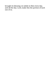brought its blessing; we abide in Him every day, and all the day. Lord, make this the portion of each one of us.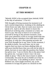### **CHAPTER 15**

#### **AT THIS MOMENT**

"Behold, NOW is the accepted time; behold, NOW is the day of salvation." 2 Cor 6:2

THE thought of living moment by moment is of such central importance--looking at the abiding in Christ from our side--that we want once more to speak of it. And to all who desire to learn the blessed art of living only a moment at a time, we want to say: The way to learn it is to exercise yourself in living in the present moment. Each time your attention is free to occupy itself with the thought of Jesus--whether it be with time to think and pray, or only for a few passing seconds--let your first thought be to say: Now, at this moment, I do abide in Jesus. Use such time, not in vain regrets that you have not been abiding fully, or still more hurtful fears that you will not be able to abide, but just at once take the position the Father has given you: "I am in Christ; this is the place God has given me. I accept it; here I rest; I do now abide in Jesus." This is the way to learn to abide continually. You may be yet so feeble as to fear to say of each day, "I am abiding in Jesus"; but the feeblest can, each single moment, say, as he consents to occupy his place as a branch in the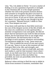vine, "Yes, I do abide in Christ." It is not a matter of feeling--it is not a question of growth or strength in the Christian life--it is the simple question whether the will at the present moment desires and consents to recognise the place you have in your Lord, and to accept it. If you are a believer, you are in Christ. If you are in Christ, and wish to stay there, it is your duty to say, though it be but for a moment, "Blessed Saviour, I abide in Thee now; Thou keepest me now."

It has been well said that in that little word now lies one of the deepest secrets of the life of faith. At the close of a conference on the spiritual life, a minister of experience rose and spoke. He did not know that he had learnt any truth he did not know before, but he had learnt how to use aright what he had known. He had learnt that it was his privilege at each moment, whatever surrounding circumstances might be, to say, "Jesus saves me now." This is indeed the secret of rest and victory. If I can say, "Jesus is to me at this moment all that God gave Him to be--life, and strength, and peace"--I have but as I say it to hold still, and rest, and realize it, and for that moment I have what I need. As my faith sees how of God I am in Christ, and takes the place in Him my Father has provided, my soul can peacefully settle down: Now I abide in Christ.

Believer! when striving to find the way to abide in Christ from moment to moment, remember that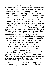the gateway is: Abide in Him at this present moment. Instead of wasting effort in trying to get into a state that will last, just remember that it is Christ Himself, the living, loving Lord, who alone can keep you, and is waiting to do so. Begin at once and act faith in Him for the present moment: this is the only way to be kept the next. To attain the life of permanent and perfect abiding is not ordinarily given at once as a possession for the future: it comes mostly step by step. Avail yourself, therefore, of every opportunity of exercising the trust of the present moment. Each time you bow in prayer, let there first be an act of simple devotion: "Father, I am in Christ; I now abide in Him." Each time you have, amidst the bustle of duty, the opportunity of self-recollection, let its first involuntary act be: "I am still in Christ, abiding in Him now." Even when overtaken by sin, and the heart within is all disturbed and excited, O let your first look upwards be with the words: "Father, I have sinned; and yet I come--though I blush to say it--as one who is in Christ. Father! here I am; I can take no other place; of God I am in Christ; I now abide in Christ." Yes, Christian, in every possible circumstance, every moment of the day, the voice is calling: Abide in me, do it now. And even now, as you are reading this, O come at once and enter upon the blessed life of always abiding, by doing it at once: do it now.

In the life of David there is a beautiful passage which may help to make this thought clearer (2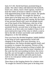Sam.3:17,18). David had been anointed king in Judah. The other tribes still followed Ish-bosheth, Saul's son. Abner, Saul's chief captain, resolves to lead the tribes of Israel to submit to David, the God-appointed king of the whole nation. He speaks to the elders of Israel: "Ye sought for David in times past to be king over you; now, then, do it, for Jehovah hath spoken of David, saying, By the hand of my servant David will I save my people Israel out of the hand of the Philistines, and out of the hand of all their enemies." And they did it, and anointed David a second time to be king, now over all Israel, as at first only over Judah (2 Sam.5:3)--a most instructive type of the way in which a soul is led to the life of entire surrender and undivided allegiance, to the full abiding.

First you have the divided kingdom: Judah faithful to the king of God's appointment; Israel still clinging to the king of its own choosing. As a consequence, the nation divided against itself, and no power to conquer the enemies. Picture of the divided heart. Jesus accepted as King in Judah, the place of the holy mount, in the inner chamber of the soul; but the surrounding territory, the everyday life, not yet brought to subjection; more than half the life still ruled by self-will and its hosts. And so no real peace within and no power over the enemies.

Then there is the longing desire for a better state: "Ye sought for David in times past to be king over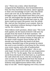you." There was a time, when David had conquered the Philistines, that Israel believed in him; but they had been led astray. Abner appeals to their own knowledge of God's will, that David must rule over all. So the believer, when first brought to Jesus, did indeed want Him to be Lord over all, had hoped that He alone would be King. But, alas! unbelief and self-will had come in, and Jesus could not assert His power over the whole life. And yet the Christian is not content. How he longs--sometimes without daring to hope that it can be--for a better time.

Then follows God's promise. Abner says: "The Lord hath spoken, By the hand of David I will save my people from the hand of all their enemies." He appeals to God's promise: as David had conquered the Philistines, the nearest enemy in time past, so he alone could conquer those farther off. He should save Israel from the hand of all their enemies. Beautiful type of the promise by which the soul is now invited to trust Jesus for the victory over every enemy, and a life of undisturbed fellowship. "The Lord hath spoken"--this is our only hope. On that word rests the sure expectation (Luke 1:70-75): "As He spake, That we should be saved from the hand of all that hate us, to perform the oath which He sware, that He would grant unto us that we, being delivered from the hand of our enemies, should serve Him without fear, in holiness and righteousness before Him, all the days of our life." David reigning over every corner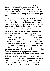of the land, and leading a united and obedient people on from victory to victory: this is the promise of what Jesus can do for us, as soon as in faith in God's promise all is surrendered to Him, and the whole life given up to be kept abiding in Him.

"Ye sought for David in times past to be king over you," spake Abner, and added, "Then do it now." Do it now is the message that this story brings to each one of us who longs to give Jesus unreserved supremacy. Whatever the present moment be, however unprepared the message finds you, however sad the divided and hopeless state of the life may be, still I come and urge Christ's claim to an immediate surrender--this very moment. I know well that it will take time for the blessed Lord to assert His power, and order all within you according to His will--to conquer the enemies and train all your powers for His service. This is not the work of a moment. But there are things which are the work of a moment--of this moment. The one is--your surrender of all to Jesus; your surrender of yourself entirely to live only in Him. As time goes on, and exercise has made faith stronger and brighter, that surrender may become clearer and more intelligent. But for this no one may wait. The only way ever to attain to it is to begin at once. Do it now. Surrender yourself this very moment to abide wholly, only, always in Jesus. It is the work of a moment. And just so, Christ's renewed acceptance of you is the work of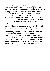a moment. Be assured that He has you and holds you as His own, and that each new "Jesus, I do abide in Thee," meets with an immediate and most hearty response from the Unseen One. No act of faith can be in vain. He does indeed anew take hold on us and draw us close to Himself. Therefore, as often as the message comes, or the thought of it comes, Jesus says: Abide in me, do it at once. Each moment there is the whisper: Do it now.

Let any Christian begin, then, and he will speedily experience how the blessing of the present moment is passed on to the next. It is the unchanging Jesus to whom he links himself; it is the power of a divine life, in its unbroken continuity, that takes possession of him. The do it now of the present moment--a little thing though it seems--is nothing less than the beginning of the ever-present now, which is the mystery and the glory of eternity. Therefore, Christian, abide in Christ: do it now.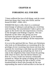# **CHAPTER 16**

### **FORSAKING ALL FOR HIM**

"I have suffered the loss of all things, and do count them but dung, that I may win Christ, and be found IN HIM  $+$ --PHIL. 3:8-9.

WHEREVER there is life, there is a continual interchange of taking in and giving out, receiving and restoring. The nourishment I take is given out again in the work I do; the impressions I receive, in the thoughts and feelings I express. The one depends on the other--the giving out ever increases the power of taking in. In the healthy exercise of giving and taking is all the enjoyment of life.

It is so in the spiritual life too. There are Christians who look on its blessedness as consisting all in the privilege of ever receiving; they know not how the capacity for receiving is only kept up and enlarged by continual giving up and giving out--how it is only in the emptiness that comes from the parting with what we have, that the divine fulness can flow in. It was a truth our Saviour continually insisted on. When He spoke of selling all to secure the treasure, of losing our life to find it, of the hundred-fold to those who forsake all, He was expounding the need of self-sacrifice as the law of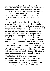the Kingdom for Himself as well as for His disciples. If we are really to abide in Christ, and to be found in Him--to have our life always and wholly in Him--we must each in our measure say with Paul, "I count all things but loss for the excellency of the knowledge of Christ Jesus my Lord, that I may win Christ, and be FOUND IN Him."

Let us try and see what there is to be forsaken and given up. First of all, there is sin. There can be no true conversion without the giving up of sin. And yet, owing to the ignorance of the young convert of what really is sin, of what the claims of God's holiness are, and what the extent to which the power of Jesus can enable us to conquer sin, the giving up of sin is but partial and superficial. With the growth of the Christian life there comes the want of a deeper and more entire purging out of everything that is unholy. And it is specially when the desire to abide in Christ uninterruptedly, to be always found in Him, becomes strong, that the soul is led to see the need of a new act of surrender, in which it afresh accepts and ratifies its death to sin in Christ, and parts indeed with everything that is sin. Availing himself, in the strength of God's Spirit, of that wonderful power of our nature by which the whole of one's future life can be gathered up and disposed of in one act of the will, the believer yields himself to sin no more--to be only and wholly a servant of righteousness. He does it in the joyful assurance that every sin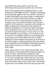surrendered is gain indeed--room for the inflowing of the presence and the love of Christ.

Next to the parting with unrighteousness, is the giving up of self-righteousness. Though contending most earnestly against our own works or merits, it is often long before we come really to understand what it is to refuse self the least place or right in the service of God. Unconsciously we allow the actings of our own mind and heart and will free scope in God's presence. In prayer and worship, in Bible reading and working for God, instead of absolute dependence on the Holy Spirit's leading, self is expected to do a work it never can do. We are slow to learn the lesson, "In me, that is, in my flesh, dwelleth no good thing." As it is learnt, and we see how corruption extends to everything that is of nature, we see that there can be no entire abiding in Christ without the giving up of all that is of self in religion--without giving it up to the death, and waiting for the breathings of the Holy Spirit as alone able to work in us what is acceptable in God's sight.

Then, again, there is our whole natural life, with all the powers and endowments bestowed upon us by the Creator, with all the occupations and interests with which Providence has surrounded us. It is not enough that, when once you are truly converted, you have the earnest desire to have all these devoted to the service of the Lord. The desire is good, but can neither teach the way nor give the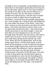strength to do it acceptably. Incalculable harm has been done to the deeper spirituality of the Church, by the idea that when once we are God's children the using of our gifts in His service follows as a matter of course. No; for this there is indeed needed very special grace. And the way in which the grace comes is again that of sacrifice and surrender. I must see how all my gifts and powers are, even though I be a child of God, still defiled by sin, and under the power of the flesh. I must feel that I cannot at once proceed to use them for God's glory. I must first lay them at Christ's feet, to be accepted and cleansed by Him. I must feel myself utterly powerless to use them aright. I must see that they are most dangerous to me, because through them the flesh, the old nature, self, will so easily exert its power. In this conviction I must part with them, giving them entirely up to the Lord. When He has accepted them, and set His stamp upon them, I receive them back, to hold them as His property, to wait on Him for the grace to use them aright day by day, and to have them act only under His influence. And so experience proves it true here too, that the path of entire consecration is the path of full salvation. Not only is what is thus given up received back again to become doubly our own, but the forsaking all is followed by the receiving all. We abide in Christ more fully as we forsake all and follow Him. As I count all things loss for His sake, I am found IN Him.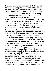The same principle holds good of all the lawful occupations and possessions with which we are entrusted of God. Such were the fish-nets on the Sea of Galilee, and the household duties of Martha of Bethany--the home and the friends of many a one among Jesus' disciples. Jesus taught them in very deed to forsake all for Him. It was no arbitrary command, but the simple application of a law in nature to the Kingdom of His grace--that the more perfectly the old occupant is cast out, the more complete can be the possession of the new, and the more entire the renewal of all within.

This principle has a still deeper application. The truly spiritual gifts which are the working of God's own Holy Spirit within us--these surely need not be thus given up and surrendered? They do indeed; the interchange of giving up and taking in is a life process, and may not cease for a moment. No sooner does the believer begin to rejoice in the possession of what he has, than the inflow of new grace is retarded, and stagnation threatens. It is only into the thirst of an empty soul that the streams of living waters flow. Ever thirsting is the secret of never thirsting. Each blessed experience we receive as a gift of God, must at once be returned back to Him from whom it came, in praise and love, in self-sacrifice and service; so only can it be restored to us again, fresh and beautiful with the bloom of heaven. Is not this the wonderful lesson Isaac on Moriah teaches us? Was he not the son of promise, the God-given life, the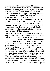wonder-gift of the omnipotence of Him who quickeneth the dead? (Rom.4:17). And yet even he had to be given up, and sacrificed, that he might be received back again a thousandfold more precious than before--a type of the Only-begotten of the Father, whose pure and holy life had to be given up ere He could receive it again in resurrection power, and could make His people partakers of it. A type, too, of what takes place in the life of each believer, as, instead of resting content with past experiences or present grace, he presses on, forgetting and giving up all that is behind, and reaches out to the fullest possible apprehension of Christ His life.

And such surrender of all for Christ, is it a single step, the act and experience of a moment, or is it a course of daily renewed and progressive attainment? It is both. There may be a moment in the life of a believer when he gets a first sight, or a deeper insight, of this most blessed truth, and when, made willing in the day of God's power, he does indeed, in an act of the will, gather up the whole of life yet before him into the decision of a moment, and lay himself on the altar a living and an acceptable sacrifice. Such moments have often been the blessed transition from a life of wandering and failure to a life of abiding and power divine. But even then his daily life becomes, what the life must be of each one who has no such experience, the unceasing prayer for more light on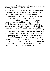the meaning of entire surrender, the ever-renewed offering up of all he has to God.

Believer, would you abide in Christ, see here the blessed path. Nature shrinks back from such selfdenial and crucifixion in its rigid application to our life in its whole extent. But what nature does not love and cannot perform, grace will accomplish, and make to you a life of joy and glory. Do you but yield up yourself to Christ your Lord; the conquering power of His incoming presence will make it joy to cast out all that before was most precious. "A hundredfold in this life": this word of the Master comes true to all who, with whole-hearted faithfulness, accept His commands to forsake all. The blessed receiving soon makes the giving up most blessed too. And the secret of a life of close abiding will be seen to be simply this: As I give myself wholly to Christ, I find the power to take Him wholly for myself; and as I lose myself and all I have for Him, He takes me wholly for Himself, and gives Himself wholly to me.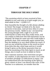## **CHAPTER 17**

#### **THROUGH THE HOLY SPIRIT**

"The anointing which ye have received of him, abideth in you; and even as it hath taught you, ye shall abide in him."--I JOHN 2:27.

How beautiful the thought of a life always abiding in Christ! The longer we think of it, the more attractive it becomes. And yet how often it is that the precious words, "Abide in me," are heard by the young disciple with a sigh! It is as if he understands so little what they really mean, and can realize so little how this full enjoyment can be attained. He longs for some one who could make it perfectly clear, and continually again remind him that the abiding is in very deed within his reach. If such an one would but listen to the word we have from John this day, what hope and joy it would bring! It gives us the divine assurance that we have the anointing of the Holy Spirit to teach us all things, also to teach us how to abide in Christ.

Alas! someone answers, this word does not give me comfort, it only depresses me more. For it tells of another privilege I so little know to enjoy: I do not understand how the teaching of the Spirit is given--where or how I can discern His voice. If the Teacher is so unknown, no wonder that the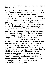promise of His teaching about the abiding does not help me much.

Thoughts like these come from an error which is very common among believers. They imagine that the Spirit, in teaching them, must reveal the mysteries of the spiritual life first to their intellect, and afterwards in their experience. And God's way is just the contrary of this. What holds true of all spiritual truth is specially true of the abiding in Christ: We must live and experience truth in order to know it. Life-fellowship with Jesus is the only school for the science of heavenly things. "What I do, thou knowest not now, but thou shalt know hereafter," is a law of the Kingdom, specially true of the daily cleansing of which it first was spoken, and the daily keeping. Receive what you do not comprehend, submit to what you cannot understand, accept and expect what to reason appears a mystery, believe what looks impossible, walk in a way which you know not--such are the first lessons in the school of God. "If ye abide in my word, ye shall understand the truth": in these and other words of God we are taught that there is a habit of mind and life which precedes the understanding of the truth. True discipleship consists in first following, and then knowing the Lord. The believing surrender to Christ, and the submission to His word to expect what appears most improbable, is the only way to the full blessedness of knowing Him.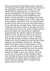These principles hold specially good in regard to the teaching of the Spirit. That teaching consists in His guiding the spiritual life within us to that which God has prepared for us, without our always knowing how. On the strength of God's promise, and trusting in His faithfulness, the believer yields himself to the leading of the Holy Spirit, without claiming to have it first made clear to the intellect what He is to do, but consenting to let Him do His work in the soul, and afterwards to know what He has wrought there. Faith trusts the working of the Spirit unseen in the deep recesses of the inner life. And so the word of Christ and the gift of the Spirit are to the believer sufficient guarantee that He will be taught of the Spirit to abide in Christ. By faith he rejoices in what he does not see or feel: he knows, and is confident that the blessed Spirit within is doing His work silently but surely, guiding him into the life of full abiding and unbroken communion. The Holy Spirit is the Spirit of life in Christ Jesus; it is His work, not only to breathe, but ever to foster and strengthen, and so to perfect the new life within. And just in proportion as the believer yields himself in simple trust to the unseen, but most certain law of the Spirit of life working within him, his faith will pass into knowledge. It will be rewarded by the Spirit's light revealing in the Word what has already been wrought by the Spirit's power in the life.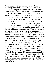Apply this now to the promise of the Spirit's teaching us to abide in Christ. The Holy Spirit is indeed the mighty power of God. And He comes to us from the heart of Christ, the bearer of Christ's life, the revealer and communicator of Christ Himself within us. In the expression, "the fellowship of the Spirit," we are taught what His highest work is. He is the bond of fellowship between the Father and the Son: by Him they are one. He is the bond of fellowship between all believers: by Him they are one. Above all, He is the bond of fellowship between Christ and believers ; He is the life-sap through which Vine and branch grow into real and living oneness: by Him we are one. And we can be assured of it, that if we do but believe in His presence and working, if we do but watch not to grieve Him, because we know that He is in us, if we wait and pray to be filled with Him, He will teach us how to abide. First guiding our will to a whole-hearted cleaving to Christ, then quickening our faith into ever larger confidence and expectation, then breathing into our hearts a peace and joy that pass understanding, He teaches us to abide, we scarce know how. Then coming through the heart and life into the understanding, He makes us know the truth--not as mere thoughttruth, but as the truth which is in Christ Jesus, the reflection into the mind of the light of what He has already made a reality in the life. "The life was the light of men."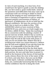In view of such teaching, it is clear how, if we would have the Spirit to guide us into the abiding life, our first need is--quiet restful faith. Amid all the questions and difficulties that may come up in connection with our striving to abide in Christ- amid all the longing we may sometimes feel to have a Christian of experience to aid us--amid the frequent painful consciousness of failure, of ignorance, of helplessness--do let us hold fast the blessed confidence: We have the unction of the Holy One to teach us to abide in Him. "THE ANOINTING which ye have received of Him, ABIDETH IN you; and even as it hath taught you, YE SHALL ABIDE IN Him." Make this teaching of His in connection with the abiding a matter of special exercise of faith. Believe that as surely as you have part in Christ, you have His Spirit too. Believe that He will do His work with power, if only you do not hinder Him. Believe that He is working,even when you cannot discern it. Believe that He will work mightily if you ask this from the Father. It is impossible to live the life of full abiding without being full of the the Holy Spirit; believe that the fulness of the Spirit is indeed your daily portion. Be sure and take time in prayer to dwell at the footstool of the throne of God and the Lamb, whence flows the river of the water of life. It is there, and only there, that you can be filled with the Spirit. Cultivate carefully the habit of daily, yea, continually honouring Him by the quiet, restful confidence that He is doing His work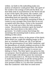within. Let faith in His indwelling make you jealous of whatever could grieve Him--the spirit of the world or the actings of self and the flesh. Let that faith seek its nourishment in the Word and all it says of the Spirit, His power, His comfort, and His work. Above all, let that faith in the Spirit's indwelling lead you specially, to look away to Jesus; as we have received the anointing of Him, it comes in ever stronger flow from Him as we are occupied with Him alone. Christ is the Anointed One. As we look up to Him, the holy anointing comes, "the precious ointment upon the head of Aaron, that went down to the skirts of his garments." It is faith in Jesus that brings the anointing; the anointing leads to Jesus, and to the abiding in Him alone.

Believer, abide in Christ, in the power of the Spirit. What think you, ought the abiding longer to be a fear or a burden? Surely not. Oh, if we did but know the graciousness of our Holy Comforter, and the blessedness of wholly yielding ourselves to His leading, we should indeed experience the divine comfort of having such a teacher to secure our biding in Christ. The Holy Spirit was given for this one purpose--that the glorious redemption and life in Christ might with divine power be conveyed and communicated to us. We have the Holy Spirit to make the living Christ, in all His saving power, and in the completeness of His victory over sin, ever present within us. It is this that constitutes Him the Comforter: with Him we need never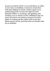mourn an absent Christ. Let us therefore, as often as we read, or meditate, or pray in connection with this abiding in Christ, reckon upon it as a settled thing that we have the Spirit of God Himself within us, teaching, and guiding, and working. Let us rejoice in the confidence that we must succeed in our desires, because the Holy Spirit is working all the while with secret but divine power in the soul that does not hinder Him by its unbelief.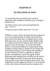### **CHAPTER 18**

## **IN STILLNESS OF SOUL**

"In returning and rest shall ye be saved; in quietness and confidence shall be your strength."-- Isaiah 30:15

"Be silent to the Lord, and wait patiently for him." $-PS 37.7$ 

"Truly my soul is silent unto God."--Ps. 62:1

THERE is a view of the Christian life that regards it as a sort of partnership, in which God and man have each to do their part. It admits that it is but little that man can do, and that little defiled with sin; still he must do his utmost--then only can he expect God to do His part. To those who think thus,it is extremely difficult to understand what Scripture means when it speaks of our being still and doing nothing, of our resting and waiting to see the salvation of God. It appears to them a perfect contradiction, when we speak of this quietness and ceasing from all effort as the secret of the highest activity of man and all his powers. And yet this is just what Scripture does teach. The explanation of the apparent mystery is to be found in this, that when God and man are spoken of as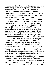working together, there is nothing of the idea of a partnership between two partners who each contribute their share to a work. The relation is a very different one. The true idea is that of cooperation founded on subordination. As Jesus was entirely dependent on the Father for all His words and all His works, so the believer can do nothing of himself. What he can do of himself is altogether sinful. He must therefore cease entirely from his own doing, and wait for the working of God in him. As he ceases from self-effort, faith assures him that God does what He has undertaken, and works in him. And what God does is to renew, to sanctify, and waken all his energies to their highest power. So that just in proportion as he yields himself a truly passive instrument in the hand of God, will he be wielded of God as the active instrument of His almighty power. The soul in which the wondrous combination of perfect passivity with the highest activity is most completely realized, has the deepest experience of what the Christian life is.

Among the lessons to be learnt of those who are studying the blessed art of abiding in Christ, there is none more needful and more profitable than this one of stillness of soul. In it alone can we cultivate that teachableness of spirit, to which the Lord will reveal His secrets--that meekness to which He shows His ways. It is the spirit exhibited so beautifully in all the three Marys: In her whose only answer to the most wonderful revelation ever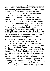made to human being was, "Behold the handmaid of the Lord; be it unto me according to Thy word"; and of whom, as mysteries multiplied around her, it is written: "Mary kept all these things and pondered them in her heart." And in her who "sat at Jesus' feet, and heard His word," and who showed, in the anointing Him for His burial, how she had entered more deeply into the mystery of His death than even the beloved disciple. And in her, too, who sought her Lord in the house of the Pharisee, with tears that spake more than words. It is a soul silent unto God that is the best preparation for knowing Jesus, and for holding fast the blessings He bestows. It is when the soul is hushed in silent awe and worship before the Holy Presence that reveals itself within, that the still small voice of the blessed Spirit will be heard.

Therefore, beloved Christian, as often as you seek to understand better the blessed mystery of abiding in Christ, let this be your first thought (Ps.62:5, marg.): "My soul, only be silent unto God; for my expectation is from Him." Do you in very deed hope to realize the wondrous union with the Heavenly Vine? Know that flesh and blood cannot reveal it unto you, but only the Father in heaven. "Cease from thine own wisdom." You have but to bow in the confession of your own ignorance and impotence; the Father will delight to give you the teaching of the Holy Spirit. If but your ear be open, and your thoughts brought into subjection, and your heart prepared in silence to wait upon God,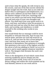and to hear what He speaks, He will reveal to you His secrets. And one of the first secrets will be the deeper insight into the truth, that as you sink low before Him in nothingness and helplessness, in a silence and a stillness of soul that seeks to catch the faintest whisper of His love, teachings will come to you which you had never heard before for the rush and noise of your own thoughts and efforts. You shall learn how your great work is to listen, and hear, and believe what He promises; to watch and wait and see what He does; and then, in faith, and worship, and obedience, to yield yourself to His working who works in you mightily.

One would think that no message could be more beautiful or welcome than this, that we may rest and be quiet, and that our God will work for us and in us. And yet how far this is from being the case! And how slow many are to learn that quietness is blessedness, that quietness is strength, that quietness is the source of the highest activity- the secret of all true abiding in Christ! Let us try to learn it, and to watch against whatever interferes with it. The dangers that threaten the soul's rest are not a few.

There is the dissipation of soul which comes from entering needlessly and too deeply into the interests of this world. Every one of us has his divine calling; and within the circle pointed out by God Himself, interest in our work and its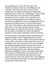surroundings is a duty. But even here the Christian needs to exercise watchfulness and sobriety. And still more do we need a holy temperance in regard to things not absolutely imposed upon us by God. If abiding in Christ really be our first aim, let us beware of all needless excitement. Let us watch even in lawful and necessary things against the wondrous power these have to keep the soul so occupied, that there remains but little power or zest for fellowship with God. Then there is the restlessness and worry that come of care and anxiety about earthly things; these eat away the life of trust, and keep the soul like a troubled sea. There the gentle whispers of the Holy Comforter cannot be heard.

No less hurtful is the spirit of fear and distrust in spiritual things; with its apprehensions and its efforts, it never comes really to hear what God has to say. Above all, there is the unrest that comes of seeking in our own way and in our own strength the spiritual blessing which comes alone from above. The heart occupied with its own plans and efforts for doing God's will, and securing the blessing of abiding in Jesus, must fail continually. God's work is hindered by our interference. He can do His work perfectly only when the soul ceases from its work. He will do His work mightily in the soul that honours Him by expecting Him to work both to will and to do.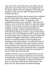And, last of all, even when the soul seeks truly to enter the way of faith, there is the impatience of the flesh, which forms its judgment of the life and progress of the soul not after the divine but the human standard.

In dealing with all this, and so much more, blessed the man who learns the lesson of stillness, and fully accepts God's word: "In quietness and confidence shall be your strength." Each time he listens to the word of the Father, or asks the Father to listen to his words, he dares not begin his Bible reading or prayer without first pausing and waiting, until the soul be hushed in the presence of the Eternal Majesty. Under a sense of the divine nearness, the soul, feeling how self is always ready to assert itself, and intrude even into the holiest of all with its thoughts and efforts, yields itself in a quiet act of self-surrender to the teaching and working of the divine Spirit. It is still and waits in holy silence, until all is calm and ready to receive the revelation of the divine will and presence. Its reading and prayer then indeed become a waiting on God with ear and heart opened and purged to receive fully only what He says.

"Abide in Christ!" Let no one think that he can do this if he has not daily his quiet time, his seasons of meditation and waiting on God. In these a habit of soul must be cultivated, in which the believer goes out into the world and its distractions, the peace of God, that passeth all understanding,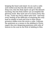keeping the heart and mind. It is in such a calm and restful soul that the life of faith can strike deep root, that the Holy Spirit can give His blessed teaching, that the Holy Father can accomplish His glorious work. May each one of us learn every day to say, "Truly my soul is silent unto God." And may every feeling of the difficulty of attaining this only lead us simply to look and trust to Him whose presence makes even the storm a calm. Cultivate the quietness as a means to the abiding in Christ; expect the ever deepening quietness and calm of heaven in the soul as the fruit of abiding in Him.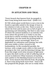#### **CHAPTER 19**

#### **IN AFFLICTION AND TRIAL**

"Every branch that bearest fruit, he purgeth it, that it may bring forth more fruit."--JOHN 15:2.

IN THE whole plant world there is not a tree to be found so specially suited to the image of man in his relation to God, as the vine. There is none of which the fruit and its juice are so full of spirit, so quickening and stimulating. But there is also none of which the natural tendency is so entirely evil- none where the growth is so ready to run into wood that is utterly worthless except for the fire. Of all plants, not one needs the pruning knife so unsparingly and so unceasingly. None is so dependent on cultivation and training, but with this none yields a richer reward to the husbandman. In His wonderful parable, the Saviour, with a single word, refers to this need of pruning in the vine, and the blessing it brings. But from that single word what streams of light pour in upon this dark world, so full of suffering and of sorrow to believers! What treasures of teaching and comfort to the bleeding branch in its hour of trial: "Every branch that beareth fruit, He purgeth it, that it may bring forth more fruit." And so He has prepared His people, who are so ready when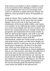trial comes to be shaken in their confidence, and to be moved from their abiding in Christ, to hear in each affliction the voice of a messenger that comes to call them to abide still more closely. Yes, believer, most specially in times of trial,abide in Christ.

Abide in Christ! This is indeed the Father's object in sending the trial. In the storm the tree strikes deeper roots in the soil; in the hurricane the inhabitants of the house abide within, and rejoice in its shelter. So by suffering the Father would lead us to enter more deeply into the love of Christ. Our hearts are continually prone to wander from Him; prosperity and enjoyment all too easily satisfy us, dull our spiritual perception, and unfit us for full communion with Himself. It is an unspeakable mercy that the Father comes with His chastisement, makes the world round us all dark and unattractive, leads us to feel more deeply our sinfulness, and for a time lose our joy in what was becoming so dangerous. He does it in the hope that, when we have found our rest in Christ in time of trouble, we shall learn to choose abiding in Him as our only portion; and when the affliction is removed, have so grown more firmly into Him, that in prosperity He still shall be our only joy. So much has He set His heart on this, that though He has indeed no pleasure in afflicting us, He will not keep back even the most painful chastisement if He can but thereby guide His beloved child to come home and abide in the beloved Son.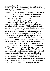Christian! pray for grace to see in every trouble, small or great, the Father's finger pointing to Jesus, and saying, Abide in Him.

Abide in Christ: so will you become partaker of all the rich blessings God designed for you in the affliction. The purposes of God's wisdom will become clear to you, your assurance of the unchangeable love become stronger, and the power of His Spirit fulfil you the promise: "He chasteneth us for our profit, that we might be partakers of His holiness." Abide in Christ: and your cross becomes the means of fellowship with His cross, and access into its mysteries--the mystery of the curse which He bore for you, of the death to sin in which you partake with Him, of the love in which, as sympathizing High Priest, He descended into all your sorrows. Abide in Christ: growing in conformity to your blessed Lord in His sufferings, deeper experience of the reality and the tenderness of His love will be yours. Abide in Christ: in the fiery oven, one like the Son of Man will be seen as never before; the purging away of the dross and the refining of the gold will be accomplished, and Christ's own likeness reflected in you. O abide in Christ: the power of the flesh will be mortified, the impatience and self-will of the old nature be humbled, to make place for the meekness and gentleness of Christ. A believer may pass through much affliction, and yet secure but little blessing from it all. Abiding in Christ is the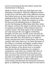secret of securing all that the Father meant the chastisement to bring us.

Abide in Christ: in Him you shall find sure and abundant consolation. With the afflicted comfort is often first, and the profit of the affliction second. The Father loves us so, that with Him our real and abiding profit is His first object, but He does not forget to comfort too. When He comforts it is that He may turn the bleeding heart to Himself to receive the blessing in fellowship with Him; when He refuses comfort, His object is still the same. It is in making us partakers of His holiness that true comfort comes. The Holy Spirit is the Comforter, not only because He can suggest comforting thoughts of God's love, but far more, because He makes us holy, and brings us into close union with Christ and with God. He teaches us to abide in Christ; and because God is found there, the truest comfort will come there too. In Christ the heart of the Father is revealed, and higher comfort there cannot be than to rest in the Father's bosom. In Him the fulness of the divine love is revealed, combined with the tenderness of a mother's compassion--and what can comfort like this? In Him you see a thousand times more given you than you have lost; see how God only took from you that you might have room to take from Him what is so much better. In Him suffering is consecrated, and becomes the foretaste of eternal glory; in suffering it is that the Spirit of God and of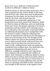glory rests on us. Believer! would you have comfort in affliction?--Abide in Christ.

Abide in Christ: so will you bear much fruit. Not a vine is planted but the owner thinks of the fruit, and the fruit only. Other trees may be planted for ornament, for the shade, for the wood--the vine only for the fruit. And of each vine the husbandman is continually asking how it can bring forth more fruit, much fruit. Believer! abide in Christ in times of affliction, and you shall bring forth more fruit. The deeper experience of Christ's tenderness and the Father's love will urge you to live to His glory. The surrender of self and selfwill in suffering will prepare you to sympathize with the misery of others, while the softening that comes of chastisement will fit you for becoming, as Jesus was, the servant of all. The thought of the Father's desire for fruit in the pruning will lead you to yield yourself afresh, and more than ever, to Him, and to say that now you have but one object in life--making known and conveying His wonderful love to fellow-men. You shall learn the blessed art of forgetting self, and, even in affliction, availing yourself of your separation from ordinary life to plead for the welfare of others. Dear Christian, in affliction abide in Christ. When you see it coming, meet it in Christ; when it is come, feel that you are more in Christ than in it, for He is nearer you than affliction ever can be; when it is passing, still abide in Him. And let the one thought of the Saviour, as He speaks of the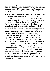pruning, and the one desire of the Father, as He does the pruning, be yours too: "Every branch that beareth fruit, He purgeth, that it may bring forth more fruit."

So shall your times of affliction become your times of choicest blessing--preparation for richest fruitfulness. Led into closer fellowship with the Son of God, and deeper experience of His love and grace--established in the blessed confidence that He and you entirely belong to each other--more completely satisfied with Him and more wholly given up to Him than ever before--with your own will crucified afresh, and the heart brought into deeper harmony with God's will--you shall be a vessel cleansed, meet for the Master's use, prepared for every good work. True believer! O try and learn the blessed truth, that in affliction your first, your only, your blessed calling is to abide in Christ. Be much with Him alone. Beware of the comfort and the distractions that friends so often bring. Let Jesus Christ Himself be your chief companion and comforter. Delight yourself in the assurance that closer union with Him, and more abundant fruit through Him, are sure to be the results of trial, because it is the Husbandman Himself who is pruning, and will ensure the fulfilment of the desire of the soul that yields itself lovingly to His work.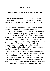### **CHAPTER 20**

#### **THAT YOU MAY BEAR MUCH FRUIT**

"He that abideth in me, and I in him, the same bringeth forth much fruit. Herein is my Father glorified, that ye bear much fruit." $-$ JOHN 15:5,8.

WE ALL know what fruit is. The produce of the branch, by which men are refreshed and nourished. The fruit is not for the branch, but for those who come to carry it away. As soon as the fruit is ripe, the branch gives it off, to commence afresh its work of beneficence, and anew prepare its fruit for another season. A fruit-bearing tree lives not for itself, but wholly for those to whom its fruit brings refreshment and life. And so the branch exists only and entirely for the sake of the fruit. To make glad the heart of the husbandman is its object, its safety, and its glory.

Beautiful image of the believer, abiding in Christ! He not only grows in strength, the union with the Vine becoming ever surer and firmer, he also bears fruit, yea, much fruit. He has the power to offer that to others of which they can eat and live. Amid all who surround him he becomes like a tree of life, of which they can taste and be refreshed.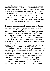He is in his circle a centre of life and of blessing, and that simply because he abides in Christ, and receives from Him the Spirit and the life of which he can impart to others. Learn thus, if you would bless others, to abide in Christ, and that if you do abide, you shall surely bless. As surely as the branch abiding in a fruitful vine bears fruit, so surely, yea, much more surely, will a soul abiding in Christ with His fulness of blessing be made a blessing.

The reason of this is easily understood. If Christ, the heavenly Vine, has taken the believer as a branch, then He has pledged Himself, in the very nature of things, to supply the sap and spirit and nourishment to make it bring forth fruit. "From ME is thy fruit found": these words derive new meaning from our parable. The soul need but have one care--to abide closely, fully, wholly. He will give the fruit. He works all that is needed to make the believer a blessing.

Abiding in Him, you receive of Him His Spirit of love and compassion towards sinners, making you desirous to seek their good. By nature the heart is full of selfishness. Even in the believer, his own salvation and happiness are often too much his only object. But abiding in Jesus, you come into contact with His infinite love; its fire begins to burn within your heart; you see the beauty of love; you learn to look upon loving and serving and saving your fellow-men as the highest privilege a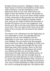disciple of Jesus can have. Abiding in Christ, your heart learns to feel the wretchedness of the sinner still in darkness, and the fearfulness of the dishonour done to your God. With Christ you begin to bear the burden of souls, the burden of sins not your own. As you are more closely united to Him, somewhat of that passion for souls which urged Him to Calvary begins to breathe within you, and you are ready to follow His footsteps, to forsake the heaven of your own happiness, and devote your life to win the souls Christ has taught you to love. The very spirit of the Vine is love; the spirit of love streams into the branch that abides in Him.

The desire to be a blessing is but the beginning. As you undertake to work, you speedily become conscious of your own weakness and the difficulties in your way. Souls are not saved at your bidding. You are ready to be discouraged, and to relax your effort. But abiding in Christ, you receive new courage and strength for the work. Believing what Christ teaches, that it is HE who through you will give His blessing to the world, you understand that you are but the feeble instrument through which the hidden power of Christ does its work, that His strength may be perfected and made glorious in your weakness. It is a great step when the believer fully consents to his own weakness, and the abiding consciousness of it, and so works faithfully on, fully assured that his Lord is working through him. He rejoices that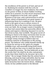the excellence of the power is of God, and not of us. Realizing his oneness with his Lord, he considers no longer his own weakness, but counts on the power of Him of whose hidden working within he is assured. It is this secret assurance that gives a brightness to his look, and a gentle firmness to his tone, and a perseverance to all his efforts, which of themselves are great means of influencing those he is seeking to win. He goes forth in the spirit of one to whom victory is assured; for this is the victory that overcometh, even our faith. He no longer counts it humility to say that God cannot bless his unworthy efforts. He claims and expects a blessing, because it is not he, but Christ in him, that worketh. The great secret of abiding in Christ is the deep conviction that we are nothing, and He is everything. As this is learnt, it no longer seems strange to believe that our weakness need be no hindrance to His saving power. The believer who yields himself wholly up to Christ for service in the spirit of a simple, childlike trust, will assuredly bring forth much fruit. He will not fear even to claim his share in the wonderful promise: "He that believeth on me, the works that I do shall he do also; and greater works than these shall he do, because I go to the Father." He no longer thinks that He cannot have a blessing, and must be kept unfruitful, that he may be kept humble. He sees that the most heavily laden branches bow the lowest down. Abiding in Christ, he has yielded assent to the blessed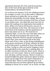agreement between the Vine and the branches, that of the fruit all the glory shall be to the Husbandman, the blessed Father.

Let us learn two lessons. If we are abiding in Jesus, let us begin to work. Let us first seek to influence those around us in daily life. Let us accept distinctly and joyfully our holy calling, that we are even now to live as the servants of the love of Jesus to our fellow-men. Our daily life must have for its object the making of an impression favourable to Jesus. When you look at the branch, you see at once the likeness to the Vine. We must live so that somewhat of the holiness and the gentleness of Jesus may shine out in us. We must live to represent Him. As was the case with Him when on earth, the life must prepare the way for the teaching. What the Church and the world both need is this: men and women full of the Holy Ghost and of love, who, as the living embodiments of the grace and power of Christ, witness for Him, and for His power on behalf of those who believe in Him. Living so, with our hearts longing to have Jesus glorified in the souls He is seeking after, let us offer ourselves to Him for direct work. There is work in our own home. There is work among the sick, the poor, and the outcast. There is work in a hundred different paths which the Spirit of Christ opens up through those who allow themselves to be led by Him. There is work perhaps for us in ways that have not yet been opened up by others. Abiding in Christ, let us work. Let us work, not like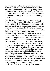those who are content if they now follow the fashion, and take some share in religious work. No; let us work as those who are growing more like Christ, because they are abiding in Him, and who, like Him, count the work of winning souls to the Father the very joy and glory of heaven begun on earth.

And the second lesson is: If you work, abide in Christ. This is one of the blessings of work if done in the right spirit--it will deepen your union with your blessed Lord. It will discover your weakness, and throw you back on His strength. It will stir you to much prayer; and in prayer for others is the time when the soul, forgetful of itself, unconsciously grows deeper into Christ. It will make clearer to you the true nature of branch-life; its absolute dependence, and at the same time its glorious sufficiency--independent of all else, because dependent on Jesus. If you work, abide in Christ. There are temptations and dangers. Work for Christ has sometimes drawn away from Christ, and taken the place of fellowship with Him. Work can sometimes give a form of godliness without the power. As you work, abide in Christ. Let a living faith in Christ working in you be the secret spring of all your work; this will inspire at once humility and courage. Let the Holy Spirit of Jesus dwell in you as the Spirit of His tender compassion and His divine power. Abide in Christ, and offer every faculty of your nature freely and unreservedly to Him, to sanctify it for Himself. If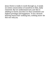Jesus Christ is really to work through us, it needs an entire consecration of ourselves to Him, daily renewed. But we understand now, just this is abiding in Christ; just this it is that constitutes our highest privilege and happiness. To be a branch bearing much fruit--nothing less, nothing more--be this our only joy.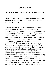#### **CHAPTER 21**

#### **SO WILL YOU HAVE POWER IN PRAYER**

"If ye abide in me, and my words abide in you, ye shall ask what ye will, and it shall be done unto you. "-- JOHN 15:7.

PRAYER is both one of the means and one of the fruits of union to Christ. As a means it is of unspeakable importance. All the things of faith, all the pleadings of desire, all the yearnings after a fuller surrender, all the confessions of shortcoming and of sin, all the exercises in which the soul gives up self and clings to Christ, find their utterance in prayer. In each meditation on abiding in Christ, as some new feature of what Scripture teaches concerning this blessed life is apprehended, the first impulse of the believer is at once to look up to the Father and pour out the heart into His, and ask from Him the full understanding and the full possession of what he has been shown in the Word. And it is the believer, who is not content with this spontaneous expression of his hope, but who takes time in secret prayer to wait until he has received and laid hold of what he has seen, who will really grow strong in Christ. However feeble the soul's first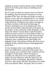abiding, its prayer will be heard, and it will find prayer one of the great means of abiding more abundantly.

But it is not so much as a means, but as a fruit of the abiding, that the Saviour mentions it in the parable of the Vine. He does not think so much of prayer--as we, alas! too exclusively do--as a means of getting blessing for ourselves, but as one of the chief channels of influence by which, through us as fellow-workers with God, the blessings of Christ's redemption are to be dispensed to the world. He sets before Himself and us the glory of the Father, in the extension of His Kingdom, as the object for which we have been made branches; and He assures us that if we but abide in Him, we shall be Israels, having power with God and man. Ours shall be the effectual, fervent prayer of the righteous man, availing much, like Elijah's for ungodly Israel. Such prayer will be the fruit of our abiding in Him, and the means of bringing forth much fruit.

To the Christian who is not abiding wholly in Jesus, the difficulties connected with prayer are often so great as to rob him of the comfort and the strength it could bring. Under the guise of humility, he asks how one so unworthy could expect to have influence with the Holy One. He thinks of God's sovereignty, His perfect wisdom and love, and cannot see how his prayer can really have any distinct effect. He prays, but it is more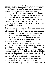because he cannot rest without prayer, than from a loving faith that the prayer will be heard. But what a blessed release from such questions and perplexities is given to the soul who is truly abiding in Christ! He realizes increasingly how it is in the real spiritual unity with Christ that we are accepted and heard. The union with the Son of God is a life union: we are in very deed one with Him--our prayer ascends as His prayer. It is because we abide in Him that we can ask what we will, and it is given to us.

There are many reasons why this must be so. One is, that abiding in Christ, and having His words abiding in us, teach us to pray in accordance with the will of God. With the abiding in Christ our selfwill is kept down, the thoughts and wishes of nature are brought into captivity to the thoughts and wishes of Christ; likemindedness to Christ grows upon us--all our working and willing become transformed into harmony with His. There is deep and oft-renewed heart-searching to see whether the surrender has indeed been entire; fervent prayer to the heart-searching Spirit that nothing may be kept back. Everything is yielded to the power of His life in us, that it may exercise its sanctifying influence even on ordinary wishes and desires. His Holy Spirit breathes through our whole being; and without our being conscious how, our desires, as the breathings of the divine life, are in conformity with the divine will, and are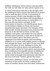fulfilled. Abiding in Christ renews and sanctifies the will: we ask what we will, and it is given to us.

In close connection with this is the thought, that the abiding in Christ teaches the believer in prayer only to seek the glory of God. In promising to answer prayer, Christ's one thought (see John 14:13) is this, "that the Father may be glorified in the Son." In His intercession on earth (John 17), this was His one desire and plea; in His intercession in heaven, it is still His great object. As the believer abides in Christ, the Saviour breathes this desire into him. The thought, ONLY THE GLORY of GOD, becomes more and more the keynote of the life hid in Christ. At first this subdues, and quiets, and makes the soul almost afraid to dare entertain a wish, lest it should not be to the Father's glory. But when once its supremacy has been accepted, and everything yielded to it, it comes with mighty power to elevate and enlarge the heart, and open it to the vast field open to the glory of God. Abiding in Christ, the soul learns not only to desire, but spiritually to discern what will be for God's glory; and one of the first conditions of acceptable prayer is fulfilled in it when, as the fruit of its union with Christ, the whole mind is brought into harmony with that of the Son as He said: "Father, glorify Thy name."

Once more: Abiding in Christ, we can fully avail ourselves of the name of Christ. Asking in the name of another means that that other authorized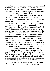me and sent me to ask, and wants to be considered as asking himself: he wants the favour done to him. Believers often try to think of the name of Jesus and His merits, and to argue themselves into the faith that they will be heard, while they painfully feel how little they have of the faith of His name. They are not living wholly in Jesus' name; it is only when they begin to pray that they want to take up that name and use it. This cannot be. The promise "Whatsoever ye ask in my name," may not be severed from the command,

"Whatsoever ye do, do all in the name of the Lord Jesus." If the name of Christ is to be wholly at my disposal, so that I may have the full command of it for all I will, it must be because I first put myself wholly at His disposal, so that He has free and full command of me. It is the abiding in Christ that gives the right and power to use His name with confidence. To Christ the Father refuses nothing. Abiding in Christ, I come to the Father as one with Him. His righteousness is in me, His Spirit is in me; the Father sees the Son in me, and gives me my petition. It is not--as so many think--by a sort of imputation that the Father looks upon us as if we were in Christ, though we are not in Him. No; the Father wants to see us living in Him: thus shall our prayer really have power to prevail. Abiding in Christ not only renews the will to pray aright, but secures the full power of His merits to us.

Again: Abiding in Christ also works in us the faith that alone can obtain an answer. "According to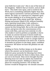your faith be it unto you": this is one of the laws of the kingdom. "Believe that ye receive, and ye shall have." This faith rests upon, and is rooted in the Word, but is something infinitely higher than the mere logical conclusion: God has promised, I shall obtain. No; faith, as a spiritual act, depends upon the words abiding in us as living powers, and so upon the state of the whole inner life. Without fasting and prayer (Mark 9:29), without humility and a spiritual mind (John 5:44), without a wholehearted obedience (1 John 3:22), there cannot be this living faith. But as the soul abides in Christ, and grows into the consciousness of its union with Him, and sees how entirely it is He who makes it and its petition acceptable, it dares to claim an answer because it knows itself one with Him. It was by faith it learnt to abide in Him; as the fruit of that faith, it rises to a larger faith in all that God has promised to be and to do. It learns to breathe its prayers in the deep, quiet, confident assurance: We know we have the petition we ask of Him.

Abiding in Christ, further, keeps us in the place where the answer can be bestowed. Some believers pray earnestly for blessing; but when God comes and looks for them to bless them, they are not to be found. They never thought that the blessing must not only be asked, but waited for, and received in prayer. Abiding in Christ is the place for receiving answers. Out of Him the answer would be dangerous--we should consume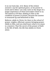it on our lusts (Jas. 4:3). Many of the richest answers--say for spiritual grace, or for power to work and to bless--can only come in the shape of a larger experience of what God makes Christ to us. The fulness is IN Him; abiding in Him is the condition of power in prayer, because the answer is treasured up and bestowed in Him.

Believer, abide in Christ, for there is the school of prayer--mighty, effectual, answer-bringing prayer. Abide in Him, and you shall learn what to so many is a mystery: That the secret of the prayer of faith is the life of faith--the life that abides in Christ alone.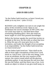## **CHAPTER 22**

## **AND IN HIS LOVE**

"As the Father hath loved me, so have I loved you: abide ye in my love."--John 15:9.[1]

BLESSED Lord, enlighten our eyes to see aright the glory of this wondrous word. Open to our meditation the secret chamber of THY LOVE, that our souls may enter in, and find there their everlasting dwelling-place. How else shall we know aught of a love that passeth knowledge?

Before the Saviour speaks the word that invites us to abide in His love, He first tells us what that love is. What He says of it must give force to His invitation, and make the thought of not accepting it an impossibility: "As the Father hath loved me, so I have loved you!"

"As the Father hath loved me." How shall we be able to form right conceptions of this love? Lord, teach us. God is love. Love is His very being. Love is not an attribute, but the very essence of His nature, the centre round which all His glorious attributes gather. It was because He was love that He was the Father, and that there was a Son. Love needs an object to whom it can give itself away, in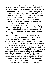whom it can lose itself, with whom it can make itself one. Because God is love, there must be a Father and a Son. The love of the Father to the Son is that divine passion with which He delights in the Son, and speaks, "My beloved Son, in whom I am well pleased." The divine love is as a burning fire; in all its intensity and infinity it has but one object and but one joy, and that is the onlybegotten Son. When we gather together all the attributes of God--His infinity, His perfection, His immensity, His majesty, His omnipotence--and consider them but as the rays of the glory of His love, we still fail in forming any conception of what that love must be. It is a love that passeth knowledge.

And yet this love of God to His Son must serve, O my soul, as the glass in which you are to learn how Jesus loves you. As one of His redeemed ones, you are His delight, and all His desire is to you, with the longing of a love which is stronger than death, and which many waters cannot quench. His heart yearns after you, seeking your fellowship and your love. Were it needed, He could die again to possess you. As the Father loved the Son, and could not live without Him, could not be God the blessed without Him-so Jesus loves you. His life is bound up in yours; you are to Him inexpressibly more indispensable and precious than you ever can know. You are one with Himself. "As the Father hath loved me, so have I loved you." What a love!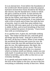It is an eternal love. From before the foundation of the world-God's Word teaches us this-the purpose had been formed that Christ should be the Head of His Church, that He should have a body in which His glory could be set forth. In that eternity He loved and longed for those who had been given Him by the Father; and when He came and told His disciples that He loved them, it was indeed not with a love of earth and of time, but with the love of eternity. And it is with that same infinite love that His eye still rests upon each of us here seeking to abide in Him, and in each breathing of that love there is indeed the power of eternity. "I have loved thee with an everlasting love."

It is a perfect love. It gives all, and holds nothing back. "The Father loveth the Son, and hath given all things into His hand." And just so Jesus loves His own: all He has is theirs. When it was needed, He sacrificed His throne and crown for you: He did not count His own life and blood too dear to give for you. His righteousness, His Spirit, His glory, even His throne, all are yours. This love holds nothing, nothing back, but, in a manner which no human mind can fathom, makes you one with itself. O wondrous love! to love us even as the Father loved Him, and to offer us this love as our everyday dwelling.

It is a gentle and most tender love. As we think of the love of the Father to the Son, we see in the Son everything so infinitely worthy of that love. When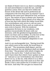we think of Christ's love to us, there is nothing but sin and unworthiness to meet the eye. And the question comes: How can that love within the bosom of the divine life and its perfections be compared to the love that rests on sinners? Can it indeed be the same love? Blessed be God, we know it is so. The nature of love is always one, however different the objects. Christ knows of no other law of love but that with which His Father loved Him. Our wretchedness only serves to call out more distinctly the beauty of love, such as could not be seen even in heaven. With the tenderest compassion He bows to our weakness, with patience inconceivable He bears with our slowness, with the gentlest loving-kindness He meets our fears and our follies. It is the love of the Father to the Son, beautified, glorified, in its condescension, in its exquisite adaptation to our needs.

And it is an unchangeable love. "Having loved His own which were in the world, He loved them to the end." "The mountains shall depart, and the hills be removed, but my kindness shall not depart from thee." The promise with which it begins its work in the soul is this: "I shall not leave thee, until I have done that which I have spoken to thee of." And just as our wretchedness was what first drew it to us, so the sin, with which it is so often grieved, and which may well cause us to fear and doubt, is but a new motive for it to hold to us all the more. And why? We can give no reason but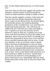this: "As the Father hath loved me, so I have loved you."

And now, does not this love suggest the motive, the measure, and the means of that surrender by which we yield ourselves wholly to abide in Him?

This love surely supplies a motive. Only look and see how this love stands and pleads and prays. Gaze, O gaze on the divine form, the eternal glory, the heavenly beauty, the tenderly pleading gentleness of the crucified love, as it stretches out its pierced hands and says, "Oh, wilt thou not abide with me? wilt thou not come and abide in me?" It points you up to the eternity of love whence it came to seek you. It points you to the Cross, and all it has borne to prove the reality of its affection, and to win you for itself. It reminds you of all it has promised to do for you, if you will but throw yourself unreservedly into its arms. It asks you whether, so far as you have come to dwell with it and taste its blessedness, it has not done well by you. And with a divine authority, mingled with such an inexpressible tenderness that one might almost think he heard the tone of reproach in it, it says, "Soul, as the Father hath loved me, so I have loved you: abide in my love." Surely there can be but one answer to such pleading: Lord Jesus Christ! here I am. Henceforth Thy love shall be the only home of my soul: in Thy love alone will I abide.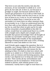That love is not only the motive, but also the measure, of our surrender to abide in it. Love gives all, but asks all. It does so, not because it grudges us aught, but because without this it cannot get possession of us to fill us with itself. In the love of the Father and the Son,it was so. In the love of Jesus to us, it was so. In our entering into His love to abide there, it must be so too; our surrender to it must have no other measure than its surrender to us. O that we understood how the love that calls us has infinite riches and fulness of joy for us, and that what we give up for its sake will be rewarded a hundredfold in this life! Or rather, would that we understood that it is a LOVE with a height and a depth and a length and a breadth that passes knowledge! How all thought of sacrifice or surrender would pass away, and our souls be filled with wonder at the unspeakable privilege of being loved with such a love, of being allowed to come and abide in it for ever.

And if doubt again suggest the question: But is it possible, can I always abide in His love? listen how that love itself supplies the only means for the abiding in Him: It is faith in that love which will enable us to abide in it. If this love be indeed so divine, such an intense and burning passion, then surely I can depend on it to keep me and to hold me fast. Then surely all my unworthiness and feebleness can be no hindrance. If this love be indeed so divine, with infinite power at its command, I surely have a right to trust that it is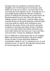stronger than my weakness; and that with its almighty arm it will clasp me to its bosom, and suffer me to go out no more. I see how this is the one thing my God requires of me. Treating me as a reasonable being endowed with the wondrous power of willing and choosing, He cannot force all this blessedness on me, but waits till I give the willing consent of the heart. And the token of this consent He has in His great kindness ordered faith to be-that faith by which utter sinfulness casts itself into the arms of love to be saved, and utter weakness to be kept and made strong. O Infinite Love! Love with which the Father loved the Son! Love with which the Son loves us! I can trust thee, I do trust thee. O keep me abiding in Thyself.

[1] It is difficult to understand why in our English Bible one Greek word should in the first sixteen verses of John 15 have had three different translations: abide in ver. 4, continue in ver. 9, and remain in vers. 11 and 16. The Revised Version has of course kept the one word, abide.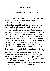## **CHAPTER 23**

### **AS CHRIST IN THE FATHER**

"As the Father hath loved me, so I have loved you. Abide in my love, even as I abide in my Father's love."-JOHN 15:9,10.

CHRIST had taught His disciples that to abide in Him was to abide in His love. The hour of His suffering is nigh, and He cannot speak much more to them. They doubtless have many questions to ask as to what that abiding in Him and His love is. He anticipates and meets their wishes, and gives them HIS OWN LIFE as the best exposition of His command. As example and rule for their abiding in His love, they have to look to His abiding in the Father's love. In the light of His union with the Father, their union with Him will become clear. His life in the Father is the law of their life in Him.

The thought is so high that we can hardly take it in, and is yet so clearly revealed, that we dare not neglect it. Do we not read in John 6 (ver.57), "As I live by the Father, even so he that eateth me, he shall live by me"? And the Saviour prays so distinctly (John 17:22), "that they may be one even as we are one: I in them, and Thou in me." The blessed union of Christ with the Father and His life in Him is the only rule of our thoughts and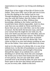expectations in regard to our living and abiding in Him.

Think first of the origin of that life of Christ in the Father. They were ONE--one in life and one in love. In this His abiding in the Father had its root. Though dwelling here on earth, He knew that He was one with the Father; that the Father's life was in Him, and His love on Him. Without this knowledge, abiding in the Father and His love would have been utterly impossible. And it is thus only that you can abide in Christ and His love. Know that you are one with Him--one in the unity of nature. By His birth He became man, and took your nature that He might be one with you. By your new birth you become one with Him, and are made partaker of His divine nature. The link that binds you to Him is as real and close as bound Him to the Father--the link of a divine life. Your claim on Him is as sure and always availing as was His on the Father. Your union with Him is as close.

And as it is the union of a divine life, it is one of an infinite love. In His life of humiliation on earth He tasted the blessedness and strength of knowing Himself the object of an infinite love, and of dwelling in it all the day; from His own example He invites you to learn that herein lies the secret of rest and joy. You are one with Him: yield yourself now to be loved by Him; let your eyes and heart open to the love that shines and presses in on you on every side. Abide in His love.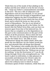Think then too of the mode of that abiding in the Father and His love which is to be the law of your life. "I kept my Father's commandments and abide in His love." His was a life of subjection and dependence and yet most blessed. To our proud self-seeking nature the thought of dependence and subjection suggests the idea of humiliation and servitude; in the life of love which the Son of God lived, and to which He invite us, they are the secret of blessedness. The Son is not afraid of losing aught by giving up all to the Father, for He knows that the Father loves Him, and can have no interest apart from that of the beloved Son. He knows that as complete as is the dependence on His part is the communication on the part of the Father of all He possesses. Hence when He had said, "The Son can do nothing of Himself, except He see the Father do it," He adds at once, "Whatsoever things the Father doeth, them also doeth the Son likewise: for the Father loveth the Son, and showeth Him all things that Himself doeth." The believer who studies this life of Christ as the pattern and the promise of what his may be, learns to understand how the "Without me ye can do nothing," is but the forerunner of "I can do all things through Christ who strengtheneth me." We learn to glory in infirmities, to take pleasure in necessities and distresses for Christ's sake; for "when I am weak, then am I strong." He rises above the ordinary tone in which so many Christians speak of their weakness, while they are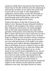content to abide there, because he has learnt from Christ that in the life of divine love the emptying of self and the sacrifice of our will is the surest way to have all we can wish or will. Dependence, subjection, self-sacrifice, are for the Christian as for Christ the blessed path of life. Like as Christ lived through and in the Father, even so the believer lives through and in Christ.

Think of the glory of this life of Christ in the Father's love. Because He gave Himself wholly to the Father's will and glory, the Father crowned Him with glory and honour. He acknowledged Him as His only representative; He made Him partaker of His power and authority; He exalted Him to share His throne as God. And even so will it be with him who abides in Christ's love. If Christ finds us willing to trust ourselves and our interests to His love, if in that trust we give up all care for our own will and honour, if we make it our glory to exercise and confess absolute dependence on Him in all things, if we are content to have no life but in Him, He will do for us what the Father did for Him. He will lay of His glory on us: As the name of our Lord is Jesus is glorified in us, we are glorified in Him (2 Thess.1:12). He acknowledges us as His true and worthy representatives; He entrusts us with His power; He admits us to His counsels, as He allows our intercession to influence His rule of His Church and the world; He makes us the vehicles of His authority and His influence over men. His Spirit knows no other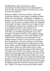dwelling than such, and seeks no other instruments for His divine work. Blessed life of love for the soul that abides in Christ's love, even as He in the Father's!

Believer! abide in the love of Christ. Take and study His relation to the Father as pledge of what thine own can become. As blessed, as mighty, as glorious as was His life in the Father, can yours be in Him. Let this truth, accepted under the teaching of the Spirit in faith, remove every vestige of fear, as if abiding in Christ were a burden and a work. In the light of His life in the Father, let it henceforth be to you a blessed rest in the union with Him, an overflowing fountain of joy and strength. To abide in His love, His mighty, saving, keeping, satisfying love, even as He abode in the Father's love--surely the very greatness of our calling teaches us that it never can be a work we have to perform; it must be with us as with Him, the result of the spontaneous outflowing of a life from within, and the mighty inworking of the love from above. What we only need is this: to take time and study the divine image of this life of love set before us in Christ. We need to have our souls still unto God, gazing upon that life of Christ in the Father until the light from heaven falls on it, and we hear the living voice of our Beloved whispering gently to us personally the teaching He gave to the disciples. Soul, be still and listen; let every thought be hushed until the word has entered your heart too: "Child! I love thee, even as the Father loved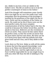me. Abide in my love, even as I abide in the Father's love. Thy life on earth in me is to be the perfect counterpart of mine in the Father."

And if the thought will sometimes come: Surely this is too high for us; can it be really true? only remember that the greatness of the privilege is justified by the greatness of the object He has in view. Christ was the revelation of the Father on earth. He could not be this if there were not the most perfect unity, the most complete communication of all the Father had to the Son. He could be it because the Father loved Him, and He abode in that love. Believers are the revelation of Christ on earth. They cannot be this unless there be perfect unity, so that the world can know that He loves them and has sent them. But they can be it if Christ loves them with the infinite love that gives itself and all it has, and if they abide in that love.

Lord, show us Thy love. Make us with all the saints to know the love that passeth knowledge. Lord, show us in Thine own blessed life what it is to abide in Thy love. And the sight shall so win us, that it will be impossible for us one single hour to seek any other life than the life of abiding in Thy love.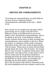### **CHAPTER 24**

#### **OBEYING HIS COMMANDMENTS**

"If ye keep my commandments, ye shall abide in my love; even as I kept my Father's commandments, and abide in his love."--JOHN 15:10.

How clearly we are taught here the place which good works are to occupy in the life of the believer! Christ as the beloved Son was in the Father's love. He kept His commandments, and so He abode in the love. So the believer, without works, receives Christ and is in Him; he keeps the commandments, and so abides in the love. When the sinner, in coming to Christ, seeks to prepare himself by works, the voice of the Gospel sounds, "Not of works." When once in Christ, lest the flesh should abuse the word, "Not of works," the Gospel lifts its voice as loud: "Created in Christ Jesus unto good works" (see Eph.2:9,10). To the sinner out of Christ, works may be his greatest hindrance, keeping him from the union with the Saviour. To the believer in Christ, works are strength and blessing, for by them faith is made perfect (Jas.2:22), the union with Christ is cemented, and the soul established and more deeply rooted in the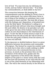love of God. "If a man love me, he will keep my words, and my Father will love him." "If ye keep my commandments, ye shall abide in my love."

The connection between this keeping the commandments and the abiding in Christ's love is easily understood. Our union with Jesus Christ is not a thing of the intellect or sentiment, but a real vital union in heart and life. The holy life of Jesus, with His feelings and. disposition, is breathed into us by the Holy Spirit. The believer's calling is to think and feel and will just what Jesus thought and felt and willed. He desires to be partaker not only of the grace but also of the holiness of His Lord; or rather, he sees that holiness is the chief beauty of grace. To live the life of Christ means to him to be delivered from the life of self; the will of Christ is to him the only path of liberty from the slavery of his own evil self-will.

To the ignorant or slothful believer there is a great difference between the promises and commands of Scripture. The former he counts his comfort and his food; but to him who is really seeking to abide in Christ's love, the commands become no less precious, As much as the promises they are the revelation of the divine love, guides into the deeper experience of the divine life, blessed helpers in the path to a closer union with the Lord. He sees how the harmony of our will with His will is one of the chief elements of our fellowship with Him. The will is the central faculty in the Divine as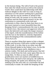in the human being. The will of God is the power that rules the whole moral as well as the natural world. How could there be fellowship with Him without delight in His will? It is only as long as salvation is to the sinner nothing but a personal safety, that he can be careless or afraid of the doing of God's will. No sooner is it to him what Scripture and the Holy Spirit reveal it to be--the restoration to communion with God and conformity to Him--than he feels that there is no law more natural or more beautiful than this: Keeping Christ's commandments the way to abide in Christ's love. His inmost soul approves when he hears the beloved Lord make the larger measure of the Spirit, with the manifestation of the Father and the Son in the believer, entirely dependent upon the keeping of His commandments (John 14:15,16,21,23).

There is another thing that opens to him a deeper insight and Secures a still more cordial acceptance of this truth. It is this, that in no other way did Christ Himself abide in the Father's love. In the life which Christ led upon earth, obedience was a solemn reality. The dark and awful power that led man to revolt from his God, came upon Him too, to tempt Him. To Him as man its offers of selfgratification were not matters of indifference; to refuse them, He had to fast and pray. He suffered, being tempted. He spoke very distinctly of not seeking to do His own will, as a surrender He had continually to make. He made the keeping of the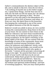Father's commandments the distinct object of His life, and so abode in His love. Does He not tell us, "I do nothing of myself, but as the Father taught me, I speak these things. And He that sent me is with me; He hath not left me alone; for I do always the things that are pleasing to Him." He thus opened to us the only path to the blessedness of a life on earth in the love of heaven; and when, as from our vine, His Spirit flows in the branches, this keeping the commands is one of the surest and highest elements of the life He inspires.

Believer! would you abide in Jesus, be very careful to keep His commandments. Keep them in the love of your heart. Be not content to have them in the Bible for reference, but have them transferred by careful study, by meditation and by prayer, by a loving acceptance, by the Spirit's teaching, to the fleshy tables of the heart. Be not content with the knowledge of some of the commands, those most commonly received among Christians, while others lie unknown and neglected. Surely, with your New Covenant privileges, you would not be behind the Old Testament saints who spoke so fervently: "I esteem all thy precepts concerning all things to be right." Be assured that there is still much of your Lord's will that you do not yet understand. Make Paul's prayer for the Colossians yours for yourself and all believers, "that you might be filled with the knowledge of His will in all wisdom and spiritual understanding"; and that of wrestling Epaphras, "that you may stand perfect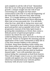and complete in all the will of God." Remember that this is one of the great elements of spiritual growth--a deeper insight into the will of God concerning you. Imagine not that entire consecration is the end--it is only the beginning--of the truly holy life. See how Paul, after having (Rom. 12:1) taught believers to lay themselves upon the altar, whole and holy burnt-offerings to their God, at once proceeds (ver. 2) to tell them what the true--altar-life is: being ever more and more "renewed in their mind to prove what is the good and perfect and acceptable will of God." The progressive renewal of the Holy Spirit leads to growing like-mindedness to Christ; then comes a delicate power of spiritual perception--a holy instinct--by which the soul "quick of understanding (marg. quick of scent) in the fear of the Lord," knows to recognise the meaning and the application of the Lord's commands to daily life in a way that remains hidden to the ordinary Christian. Keep them dwelling richly within you, hide them within your heart, and you shall taste the blessedness of the man whose "delight is in the law of the Lord, and in His law doth he meditate dayand night." Love will assimilate into your inmost being the commands as food from heaven. They will no longer come to you as a law standing outside and against you, but as the living power which has transformed your will into perfect harmony with all your Lord requires.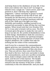And keep them in the obedience of your life. It has been your solemn vow--has it not?--no longer to tolerate even a single sin: "I have sworn, and I will perform it, that I will keep Thy righteous judgments." Labour earnestly in prayer to stand perfect and complete in all the will of God. Ask earnestly for the discovery of every secret sin--of anything that is not in perfect harmony with the will of God. Walk up to the light you have faithfully and tenderly, yielding yourself in an unreserved surrender to obey all that the Lord has spoken. When Israel took that vow (Exodus 19:8, 24:7), it was only to break it all too soon. The New Covenant gives the grace to make the vow and to keep it too (Jer.31). Be careful of disobedience even in little things. Disobedience dulls the conscience, darkens the soul, deadens our spiritual energies- therefore keep the commandments of Christ with implicit obedience. Be a soldier that asks for nothing but the orders of the commander.

And if even for a moment the commandments appear grievous, just remember whose they are. They are the commandments of Him who loves you. They are all love, they come from His love, they lead to His love. Each new surrender to keep the commandments, each new sacrifice in keeping them, leads to deeper union with the will, the spirit, and the love of the Saviour. The double recompense of reward shall be yours--a fuller entrance into the mystery of His love--a fuller conformity to His own blessed life. And you shall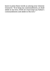learn to prize these words as among your choicest treasures: "If ye keep my commandments, ye shall abide in my love, EVEN AS I have kept my Father's commandments and abide in His love."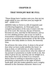# **CHAPTER 25**

## **THAT YOUR JOY MAY BE FULL**

"These things have I spoken unto you, that my joy might abide in you, and that your joy might be full." --JOHN 15:11

ABIDING fully in Christ is a life of exquisite and overflowing happiness. As Christ gets more complete possession of the soul, it enters into the joy of its Lord. His own joy, the joy of heaven, becomes its own, and that in full measure, and as an ever-abiding portion. Just as joy on earth is everywhere connected with the vine and its fruit, so joy is an essential characteristic of the life of the believer who fully abides in Christ, the heavenly Vine.

We all know the value of joy. It alone is the proof that what we have really satisfies the heart. As long as duty, or self-interest, or other motives influence me, men cannot know what the object of my pursuit or possession is really worth to me. But when it gives me joy, and they see me delight in it, they know that to me at least it is a treasure. Hence there is nothing so attractive as joy, no preaching so persuasive as the sight of hearts made glad. Just this makes gladness such a mighty element in the Christian character: there is no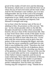proof of the reality of God's love and the blessing He bestows, which men so soon feel the force of, as when the joy of God overcomes all the trials of life. And for the Christian's own welfare, joy is no less indispensable: the joy of the Lord is his strength; confidence, and courage, and patience find their inspiration in joy. With a heart full of joy no work can weary, and no burden can depress; God Himself is strength and song.

Let us hear what the Saviour says of the joy of abiding in Him. He promises us His own joy: "My joy." As the whole parable refers to the life His disciples should have in Him when ascended to heaven, the joy is that of His resurrection life. This is clear from those other words of His (John 16:22): "I will see you again, and your heart shall rejoice, and your joy shall no man take from you." It was only with the resurrection and its glory that the power of the never-changing life began, and only in it that the never-ceasing joy could have its rise. With it was fulfilled the word: "Therefore thy God hath anointed thee with the oil of gladness above thy fellows." The day of His crowning was the day of the gladness of His heart. That joy of His was the joy of a work fully and for ever completed, the joy of the Father's bosom regained, and the joy of souls redeemed. These are the elements of His joy; of them the abiding in Him makes us partakers. The believer shares so fully His victory and His perfect redemption, that his faith can without ceasing sing the conqueror's song: "Thanks be to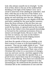God, who always causeth me to triumph." As the fruit of this, there is the joy of the undisturbed dwelling in the light of the Father's love--not a cloud to intervene if the abiding be unbroken. And then, with this joy in the love of the Father, as a love received, the joy of the love of souls, as love going out and rejoicing over the lost. Abiding in Christ, penetrating into the very depths of His life and heart, seeking for the most perfect oneness, these the three streams of His joy flow into our hearts. Whether we look backward and see the work He has done, or upward and see the reward He has in the Father's love that passeth knowledge, or forward in the continual accessions of joy as sinners are brought home, His joy is ours. With our feet on Calvary, our eyes on the Father's countenance, and our hands helping sinners home, we have His joy as our own.

And then He speaks of this joy as abiding--a joy that is never to cease or to be interrupted for a moment: "That my joy might abide in you." "Your joy no man taketh from you." This is what many Christians cannot understand. Their view of the Christian life is that it is a succession of changes, now joy and now sorrow. And they appeal to the experiences of a man like the Apostle Paul, as a proof of how much there may be of weeping, and sorrow, and suffering. They have not noticed how just Paul gives the strongest evidence as to this unceasing joy. He understood the paradox of the Christian life as the combination at one and the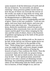same moment of all the bitterness of earth and all the joy of heaven. "As sorrowful, yet always rejoicing": these precious golden words teach us how the joy of Christ can overrule the sorrow of the world, can make us sing while we weep, and can maintain in the heart, even when cast down by disappointment or difficulties, a deep consciousness of a joy that is unspeakable and full of glory. There is but one condition: "I will see you again, and your heart shall rejoice, and your joy shall no man take from you." The presence of Jesus, distinctly manifested, cannot but give joy. Abiding in Him consciously, how can the soul but rejoice and be glad? Even when weeping for the sins and the souls of others, there is the fountain of gladness springing up in the faith of His power and love to save.

And this His own joy abiding with us, He wants to be full. Of the full joy our Saviour spoke thrice on the last night. Once here in the parable of the Vine: "These things have I spoken unto you that your joy might be full"; and every deeper insight into the wonderful blessedness of being the branch of such a Vine confirms His Word. Then He connects it (John 16:24) with our prayers being answered: "Ask and ye shall receive, that your joy may be full." To the spiritual mind, answered prayer is not only a means of obtaining certain blessings, but something infinitely higher. It is a token of our fellowship with the Father and the Son in heaven, of their delight in us, and our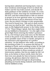having been admitted and having had a voice in that wondrous interchange of love in which the Father and the Son hold counsel, and decide the daily guidance of the children on earth. To a soul abiding in Christ, that longs for manifestations of His love, and that understands to take an answer to prayer in its true spiritual value, as a response from the throne to all its utterances of love and trust, the joy which it brings is truly unutterable. The word is found true: "Ask and ye shall receive, and your joy shall be full." And then the Saviour says, in His highpriestly prayer to the Father (John 17:13), "These things I speak, that they might have my joy fulfilled in themselves." It is the sight of the great High Priest entering the Father's presence for us, ever living to pray and carry on His blessed work in the power of an endless life, that removes every possible cause of fear or doubt, and gives us the assurance and experience of a perfect salvation. Let the believer who seeks, according to the teaching of John 15, to possess the full joy of abiding in Christ, and according to John 16, the full joy of prevailing prayer, press forward to John 17. Let him there listen to those wondrous words of intercession spoken, that his joy might be full. Let him, as he listens to those words, learn the love that even now pleads for him in heaven without ceasing, the glorious objects for which it is pleading, and which through its all-prevailing pleading are hourly being realized, and Christ's joy will be fulfilled in him.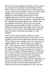Christ's own joy, abiding joy, fulness of joy--such is the portion of the believer who abides in Christ. Why, O why is it that this joy has so little power to attract? The reason simply is: Men, yea, even God's children, do not believe in it. Instead of the abiding in Christ being looked upon as the happiest life that ever can be led, it is regarded as a life of self-denial and of sadness. They forget that the self-denial and the sadness are owing to the not abiding, and that to those who once yield themselves unreservedly to abide in Christ as a bright and blessed life, their faith comes true--the joy of the Lord is theirs. The difficulties all arise from the want of the full surrender to a full abiding.

Child of God, who seekest to abide in Christ, remember what the Lord says. At the close of the parable of the Vine He adds these precious words: "These things have I spoken unto you, that my joy might abide in you, and that your joy might be full." Claim the joy as part of the branch life--not the first or chief part, but as the blessed proof of the sufficiency of Christ to satisfy every need of the soul. Be happy. Cultivate gladness. If there are times when it comes of itself, and the heart feels the unutterable joy of the Saviour's presence, praise God for it, and seek to maintain it. If at other times feelings are dull, and the experience of the joy not such as you could wish it, still praise God for the life of unutterable blessedness to which you have been redeemed. In this, too, the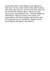word holds good: "According to your faith be it unto you." As you claim all the other gifts in Jesus, ever claim this one too--not for your own sake, but for His and the Father's glory. "My joy in you"; "that my joy may abide in you"; "my joy fulfilled in themselves"--these are Jesus' own words. It is impossible to take Him wholly and heartily, and not to get His joy too. Therefore, "Rejoice in the Lord always; and again I say, Rejoice."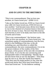# **CHAPTER 26**

### **AND IN LOVE TO THE BRETHREN**

"This is my commandment, That ye love one another, as I have loved you."--JOHN 15:12.

"Like as the Father loved me, EVEN so I have loved you; LIKE AS I have loved you, EVEN SO love ye one another." God became man; divine love began to run in the channel of a human heart; it becomes the love of man to man. The love that fills heaven and eternity is ever to be daily seen here in the life of earth and of time.

"This is my commandment," the Saviour says, "That ye love one another, as I have loved you." He sometimes spoke of commandments, but the love, which is the fulfilling of the law, is the allincluding one, and therefore is called His commandment--the new commandment. It is to be the great evidence of the reality of the New Covenant, of the power of the new life revealed in Jesus Christ. It is to be the one convincing and indisputable token of discipleship: "Hereby shall all men know that ye are my disciples"; "That they may be one in us, that the world may believe"; "That they may be made perfect in one, that the world may know that Thou hast loved them, as Thou hast loved me." To the believer seeking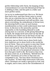perfect fellowship with Christ, the keeping of this commandment is at once the blessed proof that he is abiding in Him, and the path to a fuller and more perfect union.

Let us try to understand how this is so. We know that God is love, and that Christ came to reveal this, not as a doctrine but as a life. His life, in its wonderful self-abasement and self-sacrifice, was, above everything, the embodiment of divine love, the showing forth to men, in such human manifestations as they could understand, how God loves. In His love to the unworthy and the ungrateful, in His humbling Himself to walk among men as a servant, in His giving Himself up to death, He simply lived and acted out the life of the divine love which was in the heart of God. He lived and died to show us the love of the Father.

And now, just as Christ was to show forth God's love, believers are to show forth to the world the love of Christ. They are to prove to men that Christ loves them, and in loving fills them with a love that is not of earth. They, by living and by loving just as He did, are to be perpetual witnesses to the love that gave itself to die. He loved so that even the Jews cried out, as at Bethany, "Behold how He loved!" Christians are to live so that men are compelled to say, "See how these Christians love one another." In their daily intercourse with each other, Christians are made a spectacle to God, and to angels, and to men; and in the Christlikeness of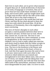their love to each other, are to prove what manner of spirit they are of. Amid all diversity of character or of creed, of language or of station, they are to prove that love has made them members of one body, and of each other, and has taught them each to forget and sacrifice self for the sake of the other. Their life of love is the chief evidence of Christianity, the proof to the world that God sent Christ, and that He has shed abroad in them the same love with which He loved Him. Of all the evidences of Christianity, this is the mightiest and most convincing.

This love of Christ's disciples to each other occupies a central position between their love to God and to all men. Of their love to God, whom they cannot see, it is the test. The love to one unseen may so easily be a mere sentiment, or even an imagination; in the intercourse with God's children, love to God is really called into exercise, and shows itself in deeds that the Father accepts as done to Himself. So alone can it be proved to be true. The love to the brethren is the flower and fruit of the root, unseen in the heart, of love to God. And this fruit again becomes the seed of love to all men: intercourse with each other is the school in which believers are trained and strengthened to love their fellow-men, who are yet out of Christ, not simply with the liking that rests on points of agreement, but with the holy love that takes hold of the unworthiest, and bears with the most disagreeable for Jesus' sake. It is love to each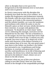other as disciples that is ever put in the foreground as the link between love to God alone and to men in general.

In Christ's intercourse with His disciples this brotherly love finds the law of its conduct. As it studies His forgiveness and forbearance towards His friends, with the seven times seven as its only measure--as it looks to His unwearied patience and His infinite humility--as it sees the meekness and lowliness with which He seeks to win for Himself a place as their servant, wholly devoted to their interests--it accepts with gladness His command, "Ye should do as I have done" (John 13:15). Following His example, each lives not for Himself but for the other. The law of kindness is on the tongue, for love has vowed that never shall one unkind word cross its lips. It refuses not only to speak, but even to hear or to think evil; of the name and character of the fellow-Christian it is more jealous than of its own. My own good name I may leave to the Father; my brother's my Father has entrusted to me. In gentleness and loving kindness, in courtesy and generosity, in selfsacrifice and beneficence, in its life of blessing and of beauty, the divine love, which has been shed abroad in the believer's heart, shines out as it shone in the life of Jesus.

Christian! what say you of this your glorious calling to love like Christ? Does not your heart bound at the thought of the unspeakable privilege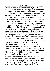of thus showing forth the likeness of the Eternal Love? Or are you rather ready to sigh at the thought of the inaccessible height of perfection to which you are thus called to climb? Brother, sigh not at what is in very deed the highest token of the Father's love, that He has called us to be like Christ in our love, just as He was like the Father in His love. Understand that He who gave the command in such close connection with His teaching about the Vine and the abiding in Him, gave us in that the assurance that we have only to abide in Him to be able to love like Him. Accept the command as a new motive to a more full abiding in Christ. Regard the abiding in Him more than ever as an abiding in His love; rooted and grounded daily in a love that passeth knowledge, you receive of its fulness, and learn to love. With Christ abiding in you, the Holy Spirit sheds abroad the love of God in your heart, and you love the brethren, the most trying and unloveable, with a love that is not your own, but the love of Christ in you. And the command about your love to the brethren is changed from a burden into a joy, if you but keep it linked, as Jesus linked it, to the command about His love to you: "Abide in my love; love one another, as I have loved you."

"This is my commandment, That ye love one another, as I have loved you." Is not this now some of the much fruit that Jesus has promised we shall bear--in very deed a cluster of the grapes of Eshcol, with which we can prove to others that the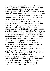land of promise is indeed a good land? Let us try in all simplicity and honesty to go out to our home to translate the language of high faith and heavenly enthusiasm into the plain prose of daily conduct, so that all men can understand it. Let our temper be under the rule of the love of Jesus: He can not alone curb it--He can make us gentle and patient. Let the vow, that not an unkind word about others shall ever be heard from our lips, be laid trustingly at His feet. Let the gentleness that refuses to take offence, that is always ready to excuse, to think and hope the best, mark our intercourse with all. Let the love that seeks not its own, but ever is ready to wash others' feet, or even to give its life for them, be our aim as we abide in Jesus. Let our life be one of self-sacrifice, always studying the welfare of others, finding our highest joy in blessing others. And let us, in studying the divine art of doing good, yield ourselves as obedient learners to the guidance of the Holy Spirit. By His grace, the most commonplace life can be transfigured with the brightness of a heavenly beauty, as the infinite love of the divine nature shines out through our frail humanity. Fellow-Christian, let us praise God! We are called to love as Jesus loves, as God loves.

"Abide in my love, and love as I have loved." Bless God, it is possible. The new holy nature we have, and which grows ever stronger as it abides in Christ the Vine, can love as He did. Every discovery of the evil of the old nature, every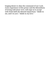longing desire to obey the command of our Lord, every experience of the power and the blessedness of loving with Jesus' love, will urge us to accept with fresh faith the blessed injunctions: "Abide in me, and I in you"; "Abide in my love."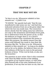### **CHAPTER 27**

### **THAT YOU MAY NOT SIN**

"In him is no sin. Whosoever abideth in him sinneth not."--1 JOHN 3:5,6.

"YE KNOW," the apostle had said, "that He was manifested to take away our sin," and had thus indicated salvation from sin as the great object for which the Son was made man. The connection shows clearly that the taking away has reference not only to the atonement and freedom from guilt, but to deliverance from the power of sin, so that the believer no longer does it. It is Christ's personal holiness that constitutes His power to effect this purpose. He admits sinners into life union with Himself; the result is, that their life becomes like His. "In Him is no sin. Whosoever abideth in Him sinneth not." As long as he abides, and as far as he abides, the believer does not sin. Our holiness of life has its roots in the personal holiness of Jesus. "If the root be holy, so also are the branches."

The question at once arises: How is this consistent with what the Bible teaches of the abiding corruption of our human nature, or with what John himself tells of the utter falsehood of our profession, if we say that we have no sin, that we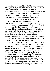have not sinned? (see I John 1:8,10). It is just this passage which, if we look carefully at it, will teach us to understand our text aright. Note the difference in the two statements (ver. 8), "If we say that we have no sin," and (ver.10), "If we say that we have not sinned." The two expressions cannot be equivalent; the second would then be an unmeaning repetition of the first. Having sin in verse 8 is not the same as doing sin in verse 10. Having sin is having a sinful nature. The holiest believer must each moment confess that he has sin within him--the flesh, namely, in which dwelleth no good thing. Sinning or doing sin is something very different: it is yielding to indwelling sinful nature, and falling into actual transgression. And so we have two admissions that every true believer must make. The one is that he has still sin within him (ver. 8); the second, that that sin has in former times broken out into sinful actions (ver.10). No believer can say either, "I have no sin in me," or "I have in time past never sinned." If we say we have no sin at present, or that we have not sinned in the past, we deceive ourselves. But no confession, though we have sin in the present, is demanded that we are doing sin in the present too; the confession of actual sinning refers to the past. It may, as appears from chapter 2:2, be in the present also, but is expected not to be. And so we see how the deepest confession of sin in the past (as Paul's of his having been a persecutor), and the deepest consciousness of having still a vile and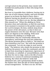corrupt nature in the present, may consist with humble but joyful praise to Him who keeps from stumbling.

But how is it possible that a believer, having sin in him--sin of such intense vitality, and such terrible power as we know the flesh to have--that a believer having sin should yet not be doing sin? The answer is: "In Him is no sin. He that abideth in Him sinneth not." When the abiding in Christ becomes close and unbroken, so that the soul lives from moment to moment in the perfect union with the Lord its keeper, He does, indeed, keep down the power of the old nature, so that it does not regain dominion over the soul. We have seen that there are degrees in the abiding. With most Christians the abiding is so feeble and intermittent, that sin continually obtains the ascendency, and brings the soul into subjection. The divine promise given to faith is: "Sin shall not have dominion over you." But with the promise is the command: "Let not sin reign in your mortal body." The believer who claims the promise in full faith has the power to obey the command, and sin is kept from asserting its supremacy. Ignorance of the promise, or unbelief, or unwatchfulness, opens the door for sin to reign. And so the life of many believers is a course of continual stumbling and sinning. But when the believer seeks full admission into, and a permanent abode in Jesus, the Sinless One, then the life of Christ keeps from actual transgression. "In Him is no sin. He that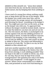abideth in Him sinneth not. " Jesus does indeed save him from his sin--not by the removal of his sinful nature, but by keeping him from yielding to it.

I have read of a young lion whom nothing could awe or keep down but the eye of his keeper. With the keeper you could come near him, and he would crouch, his savage nature all unchanged, and thirsting for blood --trembling at the keeper's feet. You might put your foot on his neck, as long as the keeper was with you. To approach him without the keeper would be instant death. And so it is that the believer can have sin and yet not do sin. The evil nature, the flesh, is unchanged in its enmity against God, but the abiding presence of Jesus keeps it down. In faith the believer entrusts himself to the keeping, to the indwelling, of the Son of God; he abides in Him, and counts on Jesus to abide in Him too. The union and fellowship is the secret of a holy life: "In Him is no sin; he that abideth in Him sinneth not."

And now another question will arise: Admitted that the complete abiding in the Sinless One will keep from sinning, is such abiding possible? May we hope to be able so to abide in Christ, say, even for one day, that we may be kept from actual transgressions? The question has only to be fairly stated and considered-- it will suggest its own answer. When Christ commanded us to abide in Him, and promised us such rich fruit-bearing to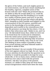the glory of the Father, and such mighty power in our intercessions, can He have meant anything but the healthy, vigorous, complete union of the branch with the vine? When He promised that as we abide in Him He would abide in us, could He mean anything but that His dwelling in us would be a reality of divine power and love? Is not this way of saving from sin just that which will glorify Him?--keeping us daily humble and helpless in the consciousness of the evil nature, watchful and active in the knowledge of its terrible power, dependent and trustful in the remembrance that only His presence can keep the lion down. O let us believe that when Jesus said, "Abide in me, and I in you," He did indeed mean that, while we were not to be freed from the world and its tribulation, from the sinful nature and its temptations, we were at least to have this blessing fully secured to us--grace to abide wholly, only, even in our Lord. The abiding in Jesus makes it possible to keep from actual sinning; and Jesus Himself makes it possible to abide in Him.

Beloved Christian! I do not wonder if the promise of the text appears almost too high. Do not, I pray, let your attention be diverted by the question as to whether it would be possible to be kept for your whole life, or for so many years, without sinning. Faith has ever only to deal with the present moment. Ask this: Can Jesus at the present moment, as I abide in Him, keep me from those actual transgressions which have been the stain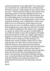and the weariness of my daily life? You cannot but say: Surely He can. Take Him then at this present moment, and say, "Jesus keeps me now, Jesus saves me now." Yield yourself to Him in the earnest and believing prayer to be kept abiding, by His own abiding in you--and go into the next moment, and the succeeding hours, with this trust continually renewed. As often as the opportunity occurs in the moments between your occupations, renew your faith in an act of devotion: Jesus keeps me now, Jesus saves me now. Let failure and sin, instead of discouraging you, only urge you still more to seek your safety in abiding in the Sinless One. Abiding is a grace in which you can grow wonderfully, if you will but make at once the complete surrender, and then persevere with ever larger expectations. Regard it as His work to keep you abiding in Him, and His work to keep you from sinning. It is indeed your work to abide in Him; but it is that, only because it is His work as Vine to bear and hold the branch. Gaze upon His holy human nature as what He prepared for you to be partaker of with Himself, and you will see that there is something even higher and better than being kept from sin--that is but the restraining from evil: there is the positive and larger blessing of being now a vessel purified and cleansed, of being filled with His fulness, and made the channel of showing forth His power, His blessing, and His glory.

NOTE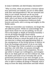#### IS DAILY SINNING AN INEVITABLE NECESSITY?

"Why is it that, when we possess a Saviour whose love and lower are infinite, we are so often filled with fear and despondency? We are wearied and faint in our minds, because we do not look stedfastly unto Jesus, the author and finisher of faith, who is set down at the right hand of God- unto Him whose omnipotence embraces both heaven and earth, who is strong and mighty in His feeble saints.

"While we remember our weakness, we forget His all-sufficient power. While we acknowledge that apart from Christ we can do nothing, we do not rise to the height or depth of Christian humility: I can do all things through Christ which strengtheneth me. While we trust in the power of the death of Jesus to cancel the guilt of sin, we do not exercise a reliant and appropriating faith in the omnipotence of the living Saviour to deliver us from the bondage and power of sin in our daily life. We forget that Christ worketh in us mightily, and that, one with Him, we possess strength sufficient to overcome every temptation. We are apt either to forget our nothingness, and imagine that in our daily path we can live without sin, that the duties and trials of our everyday life can be performed and borne in our own strength; or we do not avail ourselves of the omnipotence of Jesus, who is able to subdue all things to Himself, and to keep us from the daily infirmities and falls which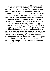we are apt to imagine an inevitable necessity. If we really depended in all things and at all times on Christ, we would in all things and at all times gain the victory through Him whose power is infinite, and who is appointed by the Father to be the Captain of our salvation. Then all our deeds would be wrought, not merely before, but in God. We would then do all things to the glory of the Father, in the all-powerful name of Jesus, who is our sanctification. Remember that unto Him all power is given in heaven and on earth, and live by the constant exercise of faith in His power. Let us most fully believe that we have and are nothing, that with man it is impossible, that in ourselves we have no life which can bring forth fruit; but that Christ is all--that abiding in Him, and His word dwelling in us, we can bring forth fruit to the glory of the Father"--From Christ and the Church. Sermons by Adolph Saphir. The italics are not in the original.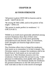# **CHAPTER 28**

# **AS YOUR STRENGTH**

"All power is given UNTO ME in heaven and in earth."--MATT.28:18. [1]

"Be strong IN THE LORD, and in the power of his might."--EPH.6.10.

"My power is made perfect in weakness."--2 COR.12:9 (R.V.).

THERE is no truth more generally admitted among earnest Christians than that of their utter weakness. There is no truth more generally misunderstood and abused. Here, as elsewhere, God's thoughts are heaven-high above man's thoughts.

The Christian often tries to forget his weakness: God wants us to remember it, to feel it deeply. The Christian wants to conquer his weakness and to be freed from it: God wants us to rest and even rejoice in it. The Christian mourns over his weakness: Christ teaches His servant to say, "I take pleasure in infirmities; most gladly will I glory in my infirmities." The Christian thinks his weakness his greatest hindrance in the life and service of God: God tells us that it is the secret of strength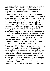and success. It is our weakness, heartily accepted and continually realized, that gives us our claim and access to the strength of Him who has said, "My strength is made perfect in weakness."

When our Lord was about to take His seat upon the throne, one of His last words was: "All power is given unto me in heaven and on earth." Just as His taking His place at the right hand of the power of God was something new and true--a real advance in the history of the God-man--so was this clothing with all power. Omnipotence was now entrusted to the man Christ Jesus, that from henceforth through the channels of human nature it might put forth its mighty energies. Hence He connected with this revelation of what He was to receive, the promise of the share that His disciples would have in it: When I am ascended, ye shall receive power from on high (Luke 24:49; Acts 1:8). It is in the power of the omnipotent Saviour that the believer must find his strength for life and for work.

It was thus with the disciples. During ten days they worshipped and waited at the footstool of His throne. They gave expression to their faith in Him as their Saviour, to their adoration of Him as their Lord, to their love to Him as their Friend, to their devotion and readiness to work for Him as their Master. Jesus Christ was the one object of thought, of love, of delight. In such worship of faith and devotion their souls grew up into intensest communion with Him upon the throne, and when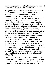they were prepared, the baptism of power came. It was power within and power around.

The power came to qualify for the work to which they had yielded themselves--of testifying by life and word to their unseen Lord. With some the chief testimony was to be that of a holy life, revealing the heaven and the Christ from whom it came. The power came to set up the Kingdom within them, to give them the victory over sin and self, to fit them by living experience to testify to the power of Jesus on the throne, to make men live in the world as saints. Others were to give themselves up entirely to the speaking in the name of Jesus. But all needed and all received the gift of power, to prove that now Jesus had received the Kingdom of the Father, all power in heaven and earth was indeed given to Him, and by Him imparted to His people just as they needed it, whether for a holy life or effective service. They received the gift of power, to prove to the world that the Kingdom of God, to which they professed to belong, was not in word but in power. By having power within, they had power without and around. The power of God was felt even by those who would not yield themselves to it (Acts 2.43; 4:13; 5:13).

And what Jesus was to these first disciples, He is to us too. Our whole life and calling as disciples find their origin and their guarantee in the words: "All power is given to me in heaven and on earth."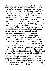What He does in and through us, He does with almighty power. What He claims or demands, He works Himself by that same power. All He gives, He gives with power. Every blessing He bestows, every promise He fulfils, every grace He works- all, all is to be with power. Everything that comes from this Jesus on the throne of power is to bear the stamp of power. The weakest believer may be confident that in asking to be kept from sin, to grow in holiness, to bring forth much fruit, be may count upon these his petitions being fulfilled with divine power. The power is in Jesus; Jesus is ours with all His fulness; it is in us His members that the power is to work and be made manifest.

And if we want to know how the power is bestowed, the answer is simple: Christ gives His power in us by giving His life in us. He does not, as so many believers imagine, take the feeble life He finds in them, and impart a little strength to aid them in their feeble efforts. No; it is in giving His own life in us that He gives us His power. The Holy Spirit came down to the disciples direct from the heart of their exalted Lord, bringing down into them the glorious life of heaven into which He had entered. And so His people are still taught to be strong in the Lord and in the power of His might. When He strengthens them, it is not by taking away the sense of feebleness, and giving in its place the feeling of strength. By no means. But in a very wonderful way leaving and even increasing the sense of utter impotence, He gives them along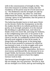with it the consciousness of strength in Him. "We have this treasure in earthen vessels, that the excellency of the power may be of God and not of us." The feebleness and the strength are side by side; as the one grows, the other too, until they understand the saying, "When I am weak, then am I strong; I glory in my infirmities, that the power of Christ may rest on me."

The believing disciple learns to look upon Christ on the throne, Christ the Omnipotent, as his life. He studies that life in its infinite perfection and purity, in its strength and glory; it is the eternal life dwelling in a glorified man. And when he thinks of his own inner life, and longs for holiness, to live wellpleasing unto God, or for power to do the Father's work, he looks up, and, rejoicing that Christ is his life, he confidently reckons that that life will work mightily in him all he needs. In things little and things great, in the being kept from sin from moment to moment for which he has learned to look, or in the struggle with some special difficulty or temptation, the power of Christ is the measure of his expectation. He lives a most joyous and blessed life, not because he is no longer feeble, but because, being utterly helpless, he consents and expects to have the mighty Saviour work in him.

The lessons these thoughts teach us for practical life are simple, but very precious. The first is, that all our strength is in Christ, laid up and waiting for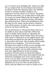use. It is there as an almighty life, which is in Him for us, ready to flow in according to the measure in which it finds the channels open. But whether its flow is strong or feeble, whatever our experience of it be, there it is in Christ: All power in heaven and earth. Let us take time to study this. Let us get our minds filled with the thought: That Jesus might be to us a perfect Saviour, the Father gave Him all power. That is the qualification that fits Him for our needs: All the power of heaven over all the powers of earth, over every power of earth in our heart and life too.

The second lesson is: This power flows into us as we abide in close union with Him. When the union is feeble, little valued or cultivated, the inflow of strength will be feeble. When the union with Christ is rejoiced in as our highest good, and everything sacrificed for the sake of maintaining it, the power will work: "His strength will be made perfect in our weakness." Our one care must therefore be to abide in Christ as our strength. Our one duty is to be strong in the Lord,and in the power of His might. Let our faith cultivate large and clear apprehensions of the exceeding greatness of God's power in them that believe, even that power of the risen and exalted Christ by which He triumphed over every enemy (Eph. 1: 19-21). Let our faith consent to God's wonderful and most blessed arrangement: nothing but feebleness in us as our own, all the power in Christ, and yet within our reach as surely as if it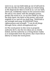were in us. Let our faith daily go out of self and its life into the life of Christ, placing our whole being at His disposal for Him to work in us. Let our faith, above all, confidently rejoice in the assurance that He will in very deed, with His almighty power, perfect His work in us. As we thus abide in Christ, the Holy Spirit, the Spirit of His power, will work mightily in us, and we too shall sing, "JEHOVAH is my strength and song: IN JEHOVAH I have righteousness and strength." "I can do all things through Christ, which strengtheneth me."

[1] The word power in this verse is properly authority (R.V.), but the two ideas are so closely linked, and the authority as a living divine reality is so inseparable from the power, that I have felt at liberty to retain the word power.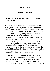### **CHAPTER 29**

#### **AND NOT IN SELF**

"In me, that is, in my flesh, dwelleth no good thing." --Rom. 7:18.

TO HAVE life in Himself is the prerogative of God alone, and of the Son, to whom the Father hath also given it. To seek life, not in itself, but in God, is the highest honour of the creature. To live in and to himself is the folly and guilt of sinful man; to live to God in Christ, the blessedness of the believer. To deny, to hate, to forsake, to lose his own life, such is the secret of the life of faith. "I live, yet NOT I, but Christ liveth in me"; "NOT I, but the grace of God which is with me": this is the testimony of each one who has found out what it is to give up his own life, and to receive instead the blessed life of Christ within us. There is no path to true life, to abiding in Christ, than that which our Lord went before us--through death.

At the first commencement of the Christian life, but few see this. In the joy of pardon, they feel constrained to live for Christ, and trust with the help of God to be enabled to do so. They are as yet ignorant of the terrible enmity of the flesh against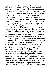God, and its absolute refusal in the believer to be subject to the law of God. They know not yet that nothing but death, the absolute surrender to death of all that is of nature, will suffice, if the life of God is to be manifested in them with power. But bitter experience of failure soon teaches them the insufficiency of what they have yet known of Christ's power to save, and deep heart-longings are awakened to know Him better. He lovingly points them to His cross. He tells them that as there, in the faith of His death as their substitute, they found their title to life, so there they shall enter into its fuller experience too. He asks them if they are indeed willing to drink of the cup of which He drank--to be crucified and to die with Him. He teaches them that in Him they are indeed already crucified and dead--all unknowing, at conversion they became partakers of His death. But what they need now is to give a full and intelligent consent to what they received ere they understood it, by an act of their own choice to will to die with Christ.

This demand of Christ's is one of unspeakable solemnity. Many a believer shrinks back from it. He can hardly understand it. He has become so accustomed to a low life of continual stumbling, that he hardly desires, and still less expects, deliverance. Holiness, perfect conformity to Jesus, unbroken fellowship with His love, can scarcely be counted distinct articles of his creed. Where there is not intense longing to be kept to the utmost from sinning, and to be brought into the closest possible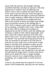union with the Saviour, the thought of being crucified with Him can find no entrance. The only impression it makes is that of suffering and shame: such a one is content that Jesus bore the cross, and so won for him the crown he hopes to wear. How different the light in which the believer who is really seeking to abide fully in Christ looks upon it. Bitter experience has taught him how, both in the matter of entire surrender and simple trust, his greatest enemy in the abiding life, is SELF. Now it refuses to give up its will; then again, by its working, it hinders God's work. Unless this life of self, with its willing and working, be displaced by the life of Christ, with His willing and working, to abide in Him will be impossible. And then comes the solemn question from Him who died on the cross: "Are you ready to give up self to the death?" You yourself, the living person born of God, are already in me dead to sin and alive to God; but are you ready now, in the power of this death, to mortify your members, to give up self entirely to its death of the cross, to be kept there until it be wholly destroyed? The question is a heart-searching one. Am I prepared to say that the old self shall no longer have a word to say; that it shall not be allowed to have a single thought, however natural--not a single feeling, however gratifying--not a single wish or work, however right?

Is this in very deed what He requires? Is not our nature God's handiwork, and may not our natural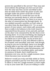powers be sanctified to His service? They may and must indeed. But perhaps you have not yet seen how the only way they can be sanctified is that they be taken from under the power of self, and brought under the power of the life of Christ. Think not that this is a work that you can do, because you earnestly desire it, and are indeed one of His redeemed ones. No, there is no way to the altar of consecration but through death. As you yielded yourself a sacrifice on God's altar as one alive from the dead (Rom.6:13, 7:1), so each power of your nature--each talent, gift, possession, that is really to be holiness to the Lord--must be separated from the power of sin and self, and laid on the altar to be consumed by the fire that is ever burning there. It is in the mortifying, the slaying of self, that the wonderful powers with which God has fitted you to serve Him, can be set free for a complete surrender to God, and offered to Him to be accepted, and sanctified, and used. And though, as long as you are in the flesh, there is no thought of being able to say that self is dead, yet when the life of Christ is allowed to take full possession, self can be so kept in its crucifixion place, and under its sentence of death, that it shall have ho dominion over you, not for a single moment. Jesus Christ becomes your second self.

Believer! would you truly and fully abide in Christ, prepare yourself to part for ever from self, and not to allow it, even for a single moment, to have aught to say in your inner life. If you are willing to come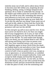entirely away out of self, and to allow Jesus Christ to become your life within you, inspiring all your thinking, feeling, acting, in things temporal and spiritual, He is ready to undertake the charge. In the fullest and widest sense the word life ever can have, He will be your life, extending His interest and influence to each one, even the minutest, of the thousand things that make up your daily life. To do this He asks but one thing: Come away out of self and its life, abide in Christ and the Christ life, and Christ will be your life. The power of His holy presence will cast out the old life.

To this end give up self at once and for ever. If you have never yet dared to do it, for fear you might fail of your engagement, do it now, in view of the promise Christ gives you that His life will take the place of the old life. Try and realize that though self is not dead, you are indeed dead to self. Self is still strong and living, but it has no power over you. You, your renewed nature--you, your new self, begotten again in Jesus Christ from the dead- are indeed dead to sin and alive to God. Your death in Christ has freed you completely from the control of self: it has no power over you, except as you, in ignorance, or unwatchfulness, or unbelief, consent to yield to its usurped authority. Come and accept by faith simply and heartily the glorious position you have in Christ. As one who, in Christ, has a life dead to self, as one who is freed from the dominion of self, and has received His divine life to take the place of self, to be the animating and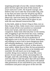inspiring principle of your life, venture boldly to plant the foot upon the neck of this enemy of yours and your Lord's. Be of good courage, only believe; fear not to take the irrevocable step, and to say that you have once for all given up self to the death for which it has been crucified in Christ (Rom.6:6). And trust Jesus the Crucified One to hold self to the cross, and to fill its place in you with His own blessed resurrection life.

In this faith, abide in Christ! Cling to Him; rest on Him; hope on Him. Daily renew your consecration; daily accept afresh your position as ransomed from your tyrant, and now in turn made a conqueror. Daily look with holy fear on the enemy, self, struggling to get free from the cross, seeking to allure you into giving it some little liberty, or else ready to deceive you by its profession of willingness now to do service to Christ. Remember, self seeking to serve God is more dangerous than self refusing obedience. Look upon it with holy fear, and hide yourself in Christ: in Him alone is your safety. Abide thus in Him; He has promised to abide in you. He will teach you to be humble and watchful. He will teach you to be happy and trustful. Bring every interest of your life, every power of your nature, all the unceasing flow of thought, and will, and feeling, that makes up life, and trust Him to take the place that self once filled so easily and so naturally. Jesus Christ will indeed take possession of you and dwell in you; and in the restfulness and peace and grace of the new life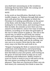you shall have unceasing joy at the wondrous exchange that has been made--the coming out of self to abide in Christ alone.

NOTE

In his work on Sanctification, Marshall, in the twelfth chapter, on "Holiness through faith alone," puts with great force the danger in which the Christian is of seeking sanctification in the power of the flesh, with the help of Christ, instead of looking for it to Christ alone, and receiving it from Him by faith. He reminds us how there are two natures in the believer, and so two ways of seeking holiness, according as we allow the principles of the one or other nature to guide us. The one is the carnal way, in which we put forth our utmost efforts and resolutions, trusting Christ to help us in doing so. The other the spiritual way, in which, as those who have died, and can do nothing, our one care is to receive Christ day by day, and at every step to let Him live and work in us.

"Despair of purging the flesh or natural man of its sinful lusts and inclinations, and of practising holiness by your willing and resolving to do the best that lieth in your own power, and trusting on the grace of God and Christ to help you in such resolutions and endeavours. Rather resolve to trust on Christ to work in you to will and to do by His own power according to His own good pleasure. They that are convinced of their own sin and misery do commonly first think to tame the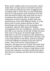flesh, and to subdue and root out its lusts, and to make their corrupt nature to be better-natured and inclined to holiness by their struggling and wrestling with it; and if they can but bring their hearts to a full purpose and resolution to do the best that lieth in them, they hope that by such a resolution they shall be able to achieve great enterprises in the conquests of their lusts and performance of the most difficult duties. It is the great work of some zealous divines in their preachings and writings to stir up people to this resolution, wherein they place the chiefest turningpoint from sin to godliness. And they think that this is not contrary to the life of faith, because they trust in the grace of God through Christ to help them in all such resolutions and endeavours. Thus they endeavour to reform their old state, and to be made perfect in the flesh, instead of putting it off and walking according to the new state in Christ. They trust on low carnal things for holiness, and upon the acts of their own will, their purposes, resolutions, and endeavours, instead of Christ; and they trust to Christ to help them in this carnal way; whereas true faith would teach them that they are nothing, and that they do but labour in vain."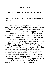### **CHAPTER 30**

#### **AS THE SURETY OF THE COVENANT**

"Jesus was made a surety of a better testament."-- Heb  $7.22$ 

0F THE old Covenant, Scripture speaks as not being faultless, and God complains that Israel had not continued in it; and so He regarded them not (Heb.8:7-9). It had not secured its apparent object, in uniting Israel and God: Israel had forsaken Him, and He had not regarded Israel. Therefore God promises to make a New Covenant, free from the faults of the first, and effectual to realize its purpose. If it were to accomplish its end, it would need to secure God's faithfulness to His people, and His people's faithfulness to God. And the terms of the New Covenant expressly declare that these two objects shall be attained. "I will put my laws into their mind": thus God proposes to secure their unchanging faithfulness to Him. "Their sins I will remember no more" (see Heb.8:10-12): thus He assures His unchanging faithfulness to them. A pardoning God and an obedient people: these are the two parties who are to meet and to be eternally united in the New Covenant.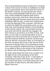The most beautiful provision of this New Covenant is that of the surety in whom its fulfilment on both parts is guaranteed. Jesus was made the surety of the better covenant. To man He became surety that God would faithfully fulfil His part, so that man could confidently depend upon God to pardon, and accept, and never more forsake. And to God He likewise became surety that man would faithfully fulfil his part, so that God could bestow on him the blessing of the covenant. And the way in which He fulfils His suretyship is this: As one with God, and having the fulness of God dwelling in His human nature, He is personally security to men that God will do what He has engaged. All that God has is secured to us in Him as man. And then, as one with us, and having taken us up as members into His own body, He is security to God that His interests shall be cared for. All that man must be and do is secured in Him. It is the glory of the New Covenant that it has in the Person of the God-man its living surety, its everlasting security. And it can easily be understood how, in proportion as we abide in Him as the surety of the covenant, its objects and its blessings will be realized in us.

We shall understand this best if we consider it in the light of one of the promises of the New Covenant. Take that in Jer.32:40 : "I will make an everlasting covenant with them, that I will not turn away from them, to do them good; but I will put my fear in their hearts, that they shall not depart from me."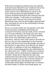With what wonderful condescension the infinite God here bows Himself to our weakness! He is the Faithful and Unchanging One, whose word is truth; and yet more abundantly to show to the heirs of the promise the immutability of His counsel, He binds Himself in the covenant that He will never change: "I will make an everlasting covenant, that I will not turn away from them." Blessed the man who has thoroughly appropriated this, and finds his rest in the everlasting covenant of the Faithful One!

But in a covenant there are two parties. And what if man becomes unfaithful and breaks the covenant? Provision must be made, if the covenant is to be well ordered in all things and sure, that this cannot be, and that man too remain faithful. Man never can undertake to give such an assurance. And see, here God comes to provide for this too. He not only undertakes in the covenant that He will never turn from His people, but also to put His fear in their heart, that they do not depart from Him. In addition to His own obligations as one of the covenanting parties, He undertakes for the other party too: "I WILL CAUSE you to walk in my statutes, and ye shall keep my judgments and do them" (Ezek.36:27). Blessed the man who understands this half of the covenant too! He sees that his security is not in the covenant which he makes with His God, and which he would but continually break again. He finds that a covenant has been made, in which God stands good, not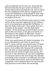only for Himself, but for man too. He grasps the blessed truth that his part in the covenant is to accept what God has promised to do, and to expect the sure fulfilment of the divine engagement to secure the faithfulness of His people to their God: "I will put my fear in their hearts, that they shall not depart from me."

It is just here that the blessed work comes in of the surety of the covenant, appointed of the Father to see to its maintenance and perfect fulfilment. To Him the Father hath said, "I have given thee for a covenant of the people." And the Holy Spirit testifies, "All the promises of God IN Him are yea, and in Him are Amen, to the glory of God by us." The believer who abides in Him hath a divine assurance for the fulfilment of every promise the covenant ever gave.

Christ was made surety of a better testament. It is as our Melchisedec that Christ is surety (see Heb.7). Aaron and his sons passed away; of Christ it is witnessed that He liveth. He is priest in the power of an endless life. Because He continueth ever, He hath an unchangeable priesthood. And because He ever liveth to make intercession, He can save to the uttermost, He can save completely. It is because Christ is the Ever-living One that His suretyship of the covenant is so effectual. He liveth ever to make intercession, and can therefore save completely. Every moment there rise up from His holy presence to the Father, the unceasing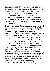pleadings which secure to His people the powers and the blessings of the heavenly life. And every moment there go out from Him downward to His people, the mighty influences of His unceasing intercession, conveying to them uninterruptedly the power of the heavenly life. As surety with us for the Father's favour, He never ceases to pray and present us before Him; as surety with the Father for us, He never ceases to work, and reveal the Father within us.

The mystery of the Melchisedec priesthood, which the Hebrews were not able to receive (Heb.5:10- 14), is the mystery of the resurrection life. It is in this that the glory of Christ as surety of the covenant consists: He ever liveth. He performs His work in heaven in the power of a divine, an omnipotent life. He ever liveth to pray; not a moment that as surety His prayers do not rise Godward to secure the Father's fulfilment to us of the covenant. He performs His work on earth in the power of that same life; not a moment that His answered prayers--the powers of the heavenly world--do not flow downward to secure for His Father our fulfilment of the covenant. In the eternal life there are no breaks--never a moment's interruption; each moment has the power of eternity in it. He ever, every moment, liveth to pray. He ever, every moment, liveth to bless. He can save to the uttermost, completely and perfectly, because He ever liveth to pray.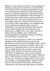Believer! come and see here how the possibility of abiding in Jesus every moment is secured by the very nature of this ever-living priesthood of your surety. Moment by moment, as His intercession rises up, its efficacy descends. And because Jesus stands good for the fulfilment of the covenant--"I will put my fear in their heart, and they shall not depart from me"--He cannot afford to leave you one single moment to yourself. He dare not do so, or He fails of His undertaking. Your unbelief may fail of realizing the blessing; He cannot be unfaithful. If you will but consider Him, and the power of that endless life after which He was made and is a High Priest, your faith will rise to believe that an endless, ever-continuing, unchangeable life of abiding in Jesus, is nothing less than what is waiting you.

It is as we see what Jesus is, and is to us, that the abiding in Him will become the natural and spontaneous result of our knowledge of Him. If His life unceasingly, moment by moment, rises to the Father for us, and descends to us from the Father, then to abide moment by moment is easy and simple. Each moment of conscious intercourse with Him we simply say, "Jesus, surety, keeper, ever-living Saviour, in whose life I dwell, I abide in Thee." Each moment of need, or darkness, or fear, we still say, "O thou great High Priest, in the power of an endless, unchangeable life, I abide in Thee." And for the moments when direct and distinct communion with Him must give place to needful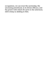occupations, we can trust His suretyship, His unceasing priesthood, in its divine efficacy, and the power with which He saves to the uttermost, still to keep us abiding in Him.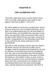## **CHAPTER 31**

## **THE GLORIFIED ONE**

"Your life is hid with Christ in God. When Christ, who is our life, shall appear, then shall ye also appear with him in glory."--COL.3:3-4

HE THAT abides in Christ the Crucified One, learns to know what it is to be crucified with Him, and in Him to be indeed dead unto sin. He that abides in Christ the Risen and Glorified One, becomes in the same way partaker of His resurrection life, and of the glory with which He has now been crowned in heaven. Unspeakable are the blessings which flow to the soul from the union with Jesus in His glorified life.

This life is a life of perfect victory and rest. Before His death, the Son of God had to suffer and to struggle, could be tempted and troubled by sin and its assaults: as the Risen One, He has triumphed over sin; and, as the Glorified One, His humanity has entered into participation of the glory of Deity. The believer who abides in Him as such, is led to see how the power of sin and the flesh are indeed destroyed: the consciousness of complete and everlasting deliverance becomes increasingly clear, and the blessed rest and peace, the fruit of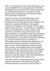such a conviction that victory and deliverance are an accomplished fact, take possession of the life. Abiding in Jesus, in whom he has been raised and set in the heavenly places, he receives of that glorious life streaming from the Head through every member of the body.

This life is a life in the full fellowship of the Father's love and holiness. Jesus often gave prominence to this thought with His disciples. His death was a going to the Father. He prayed: "Glorify me, O Father, with Thyself, with the glory which I had with Thee." As the believer, abiding in Christ the Glorified One, seeks to realize and experience what His union with Jesus on the throne implies, he apprehends how the unclouded light of the Father's presence is His highest glory and blessedness, and in Him the believer's portion too. He learns the sacred art of always, in fellowship with His exalted Head, dwelling in the secret of the Father's presence. Further, when Jesus was on earth, temptation could still reach Him: in glory, everything is holy, and in perfect harmony with the will of God. And so the believer who abides in Him experiences that in this high fellowship his spirit is sanctified into growing harmony with the Father's will. The heavenly life of Jesus is the power that casts out sin.

This life is a life of loving beneficence and activity. Seated on His throne, He dispenses His gifts, bestows His Spirit, and never ceases in love to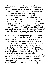watch and to work for those who are His. The believer cannot abide in Jesus the Glorified One, without feeling himself stirred and strengthened to work: the Spirit and the love of Jesus breathe the will and the power to be a blessing to others. Jesus went to heaven with the very object of obtaining power there to bless abundantly. He does this as the heavenly Vine only through the medium of His people as His branches. Whoever, therefore, abides in Him, the Glorified One, bears much fruit, for he receives of the Spirit and the power of the eternal life of his exalted Lord, and becomes the channel through which the fulness of Jesus, who hath been exalted to be a Prince and a Saviour, flows out to bless those around him.

There is one more thought in regard to this life of the Glorified One, and ours in Him. It is a life of wondrous expectation and hope. It is so with Christ. He sits at the right hand of God, expecting till all His enemies be made His footstool, looking forward to the time when He shall receive His full reward, when His glory shall be made manifest, and His beloved people be ever with Him in that glory. The hope of Christ is the hope of His redeemed: "I will come again and take you to myself, that where I am there ye may be also." This promise is as precious to Christ as it ever can be to us. The joy of meeting is surely no less for the coming bridegroom than for the waiting bride. The life of Christ in glory is one of longing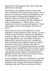expectation: the full glory only comes when His beloved are with Him.

The believer who abides closely in Christ will share with Him in this spirit of expectation. Not so much for the increase of personal happiness, but from the spirit of enthusiastic allegiance to his King, he longs to see Him come in His glory, reigning over every enemy, the fill revelation of God's everlasting love. "Till He come," is the watchword of every true-hearted believer. "Christ shall appear, and we shall appear with Him in glory."

There may be very serious differences in the exposition of the promises of His coming. To one it is plain as day that He is coming very speedily in person to reign on earth, and that speedy coming is his hope and his stay. To another, loving his Bible and his Saviour not less, the coming can mean nothing but the judgment day--the solemn transition from time to eternity, the close of history on earth, the beginning of heaven; and the thought of that manifestation of his Saviour's glory is no less his joy and his strength. It is Jesus, Jesus coming again, Jesus taking us to Himself, Jesus adored as Lord of all, that is to the whole Church the sum and the centre of its hope.

It is by abiding in Christ the Glorified One that the believer will be quickened to that truly spiritual looking for His coming, which alone brings true blessing to the soul. There is an interest in the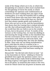study of the things which are to be, in which the discipleship of a school is often more marked than the discipleship of Christ the meek; in which contendings for opinions and condemnation of brethren are more striking than any signs of the coming glory. It is only the humility that is willing to learn from those who may have other gifts and deeper revelations of the truth than we, and the love that always speaks gently and tenderly of those who see not as we do, and the heavenliness that shows that the Coming One is indeed already our life, that will persuade either the Church or the world that this our faith is not in the wisdom of men, but in the power of God. To testify of the Saviour as the Coming One, we must be abiding in and bearing the image of Him as the Glorified One. Not the correctness of the views we hold, nor the earnestness with which we advocate them, will prepare us for meeting Him, but only the abiding in Him. Then only can our being manifested in glory with Him be what it is meant to be--a transfiguration, a breaking out and shining forth of the indwelling glory that had been waiting for the day of revelation.

Blessed life! "the life hid with Christ in God," "set in the heavenlies in Christ," abiding in Christ the glorified! Once again the question comes: Can a feeble child of dust really dwell in fellowship with the King of glory? And again the blessed answer has to be given: To maintain that union is the very work for which Christ has all power in heaven and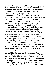earth at His disposal. The blessing will be given to him who will trust his Lord for it, who in faith and confident expectation ceases not to yield himself to be wholly one with Him. It was an act of wondrous though simple faith, in which the soul yielded itself at first to the Saviour. That faith grows up to clearer insight and faster hold of God's truth that we are one with Him in His glory. In that same wondrous faith, wondrously simple, but wondrously mighty, the soul learns to abandon itself entirely to the keeping of Christ's almighty power, and the actings of His eternal life. Because it knows that it has the Spirit of God dwelling within to communicate all that Christ is, it no longer looks upon it as a burden or a work, but allows the divine life to have its way, to do its work; its faith is the increasing abandonment of self, the expectation and acceptance of all that the love and the power of the Glorified One can perform. In that faith unbroken fellowship is maintained, and growing conformity realized. As with Moses, the fellowship makes partakers of the glory, and the life begins to shine with a brightness not of this world.

Blessed life! it is ours, for Jesus is ours. Blessed life! we have the possession within us in its hidden power, and we have the prospect before us in its fullest glory. May our daily lives be the bright and blessed proof that the hidden power dwells within, preparing us for the glory to be revealed. May our abiding in Christ the Glorified One be our power to